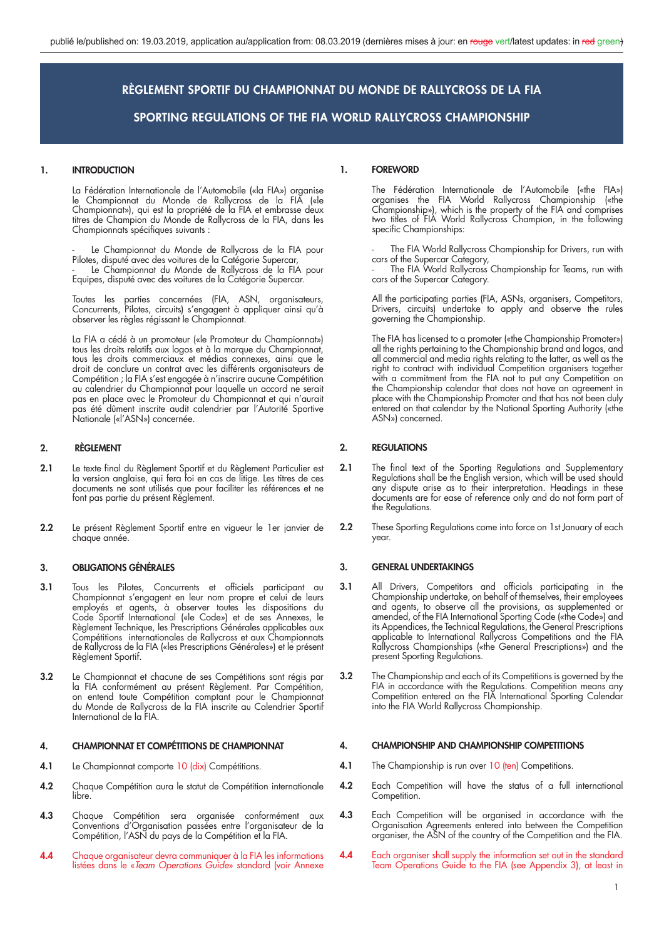#### **1. INTRODUCTION**

 La Fédération Internationale de l'Automobile («la FIA») organise le Championnat du Monde de Rallycross de la FIA («le Championnat»), qui est la propriété de la FIA et embrasse deux titres de Champion du Monde de Rallycross de la FIA, dans les Championnats spécifiques suivants :

Le Championnat du Monde de Rallycross de la FIA pour Pilotes, disputé avec des voitures de la Catégorie Supercar,

 - Le Championnat du Monde de Rallycross de la FIA pour Equipes, disputé avec des voitures de la Catégorie Supercar.

> Toutes les parties concernées (FIA, ASN, organisateurs, Concurrents, Pilotes, circuits) s'engagent à appliquer ainsi qu'à observer les règles régissant le Championnat.

> La FIA a cédé à un promoteur («le Promoteur du Championnat») tous les droits relatifs aux logos et à la marque du Championnat, tous les droits commerciaux et médias connexes, ainsi que le droit de conclure un contrat avec les différents organisateurs de Compétition ; la FIA s'est engagée à n'inscrire aucune Compétition au calendrier du Championnat pour laquelle un accord ne serait pas en place avec le Promoteur du Championnat et qui n'aurait pas été dûment inscrite audit calendrier par l'Autorité Sportive Nationale («l'ASN») concernée.

#### **2. RÈGLEMENT**

- 2.1 Le texte final du Règlement Sportif et du Règlement Particulier est la version anglaise, qui fera foi en cas de litige. Les titres de ces documents ne sont utilisés que pour faciliter les références et ne font pas partie du présent Règlement.
- **2.2** Le présent Règlement Sportif entre en vigueur le 1er janvier de chaque année.

#### **3. OBLIGATIONS GÉNÉRALES**

- **3.1** Tous les Pilotes, Concurrents et officiels participant au Championnat s'engagent en leur nom propre et celui de leurs employés et agents, à observer toutes les dispositions du Code Sportif International («le Code») et de ses Annexes, le Règlement Technique, les Prescriptions Générales applicables aux Compétitions internationales de Rallycross et aux Championnats de Rallycross de la FIA («les Prescriptions Générales») et le présent Règlement Sportif.
- **3.2** Le Championnat et chacune de ses Compétitions sont régis par la FIA conformément au présent Règlement. Par Compétition, on entend toute Compétition comptant pour le Championnat du Monde de Rallycross de la FIA inscrite au Calendrier Sportif International de la FIA.

#### **4. CHAMPIONNAT ET COMPÉTITIONS DE CHAMPIONNAT**

- 4.1 Le Championnat comporte 10 (dix) Compétitions.
- **4.2** Chaque Compétition aura le statut de Compétition internationale libre.
- **4.3** Chaque Compétition sera organisée conformément aux Conventions d'Organisation passées entre l'organisateur de la Compétition, l'ASN du pays de la Compétition et la FIA.
- **4.4** Chaque organisateur devra communiquer à la FIA les informations listées dans le «*Team Operations Guide*» standard (voir Annexe

#### **1. FOREWORD**

 The Fédération Internationale de l'Automobile («the FIA») organises the FIA World Rallycross Championship («the Championship»), which is the property of the FIA and comprises two titles of FIA World Rallycross Champion, in the following specific Championships:

> The FIA World Rallycross Championship for Drivers, run with cars of the Supercar Category,

 - The FIA World Rallycross Championship for Teams, run with cars of the Supercar Category.

> All the participating parties (FIA, ASNs, organisers, Competitors, Drivers, circuits) undertake to apply and observe the rules governing the Championship.

 The FIA has licensed to a promoter («the Championship Promoter») all the rights pertaining to the Championship brand and logos, and all commercial and media rights relating to the latter, as well as the right to contract with individual Competition organisers together with a commitment from the FIA not to put any Competition on the Championship calendar that does not have an agreement in place with the Championship Promoter and that has not been duly entered on that calendar by the National Sporting Authority («the ASN») concerned.

#### **2. REGULATIONS**

- **2.1** The final text of the Sporting Regulations and Supplementary Regulations shall be the English version, which will be used should any dispute arise as to their interpretation. Headings in these documents are for ease of reference only and do not form part of the Regulations.
- **2.2** These Sporting Regulations come into force on 1st January of each year.

#### **3. GENERAL UNDERTAKINGS**

- **3.1** All Drivers, Competitors and officials participating in the Championship undertake, on behalf of themselves, their employees and agents, to observe all the provisions, as supplemented or amended, of the FIA International Sporting Code («the Code») and its Appendices, the Technical Regulations, the General Prescriptions applicable to International Rallycross Competitions and the FIA Rallycross Championships («the General Prescriptions») and the present Sporting Regulations.
- **3.2** The Championship and each of its Competitions is governed by the FIA in accordance with the Regulations. Competition means any Competition entered on the FIA International Sporting Calendar into the FIA World Rallycross Championship.

#### **4. CHAMPIONSHIP AND CHAMPIONSHIP COMPETITIONS**

- **4.1** The Championship is run over 10 (ten) Competitions.
- **4.2** Each Competition will have the status of a full international Competition.
- **4.3** Each Competition will be organised in accordance with the Organisation Agreements entered into between the Competition organiser, the ASN of the country of the Competition and the FIA.
- **4.4** Each organiser shall supply the information set out in the standard Team Operations Guide to the FIA (see Appendix 3), at least in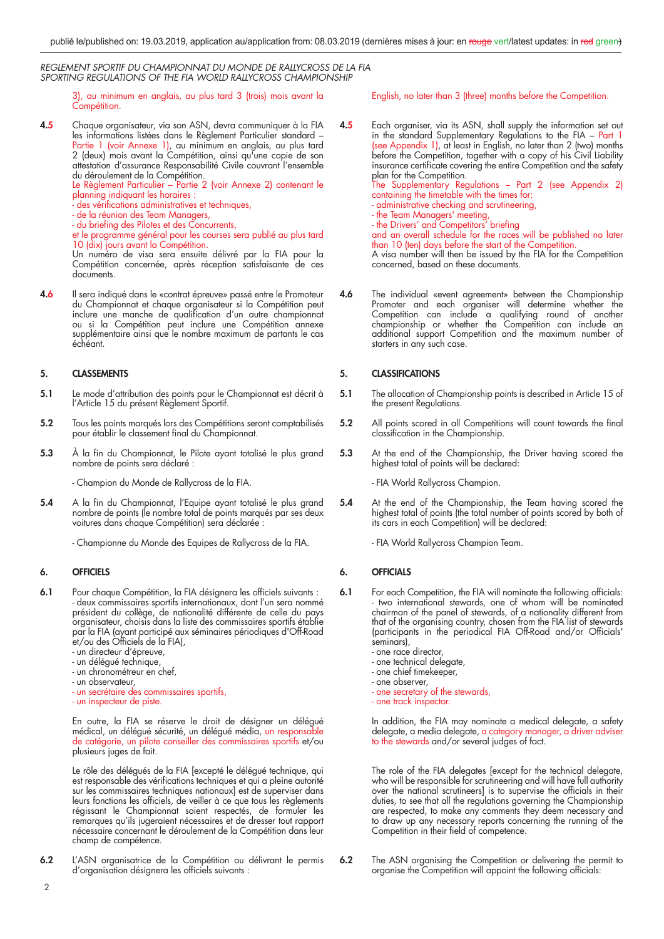3), au minimum en anglais, au plus tard 3 (trois) mois avant la Compétition.

**4.5** Chaque organisateur, via son ASN, devra communiquer à la FIA les informations listées dans le Règlement Particulier standard – Partie 1 (voir Annexe 1), au minimum en anglais, au plus tard 2 (deux) mois avant la Compétition, ainsi qu'une copie de son attestation d'assurance Responsabilité Civile couvrant l'ensemble du déroulement de la Compétition.

Le Règlement Particulier – Partie 2 (voir Annexe 2) contenant le planning indiquant les horaires :

- des vérifications administratives et techniques,
- de la réunion des Team Managers,
- du briefing des Pilotes et des Concurrents,
- et le programme général pour les courses sera publié au plus tard 10 (dix) jours avant la Compétition.

 Un numéro de visa sera ensuite délivré par la FIA pour la Compétition concernée, après réception satisfaisante de ces documents.

**4.6** Il sera indiqué dans le «contrat épreuve» passé entre le Promoteur du Championnat et chaque organisateur si la Compétition peut inclure une manche de qualification d'un autre championnat ou si la Compétition peut inclure une Compétition annexe supplémentaire ainsi que le nombre maximum de partants le cas échéant.

#### **5. CLASSEMENTS**

- **5.1** Le mode d'attribution des points pour le Championnat est décrit à l'Article 15 du présent Règlement Sportif.
- **5.2** Tous les points marqués lors des Compétitions seront comptabilisés pour établir le classement final du Championnat.
- **5.3** À la fin du Championnat, le Pilote ayant totalisé le plus grand nombre de points sera déclaré :

- Champion du Monde de Rallycross de la FIA.

- **5.4** A la fin du Championnat, l'Equipe ayant totalisé le plus grand nombre de points (le nombre total de points marqués par ses deux voitures dans chaque Compétition) sera déclarée :
	- Championne du Monde des Equipes de Rallycross de la FIA.

#### **6. OFFICIELS**

- **6.1** Pour chaque Compétition, la FIA désignera les officiels suivants : - deux commissaires sportifs internationaux, dont l'un sera nommé président du collège, de nationalité différente de celle du pays organisateur, choisis dans la liste des commissaires sportifs établie par la FIA (ayant participé aux séminaires périodiques d'Off-Road et/ou des Officiels de la FIA),
- un directeur d'épreuve,
- un délégué technique,
	- un chronométreur en chef,
	- un observateur,
	- un secrétaire des commissaires sportifs,
	- un inspecteur de piste.

 En outre, la FIA se réserve le droit de désigner un délégué médical, un délégué sécurité, un délégué média, un responsable de catégorie, un pilote conseiller des commissaires sportifs et/ou plusieurs juges de fait.

 Le rôle des délégués de la FIA [excepté le délégué technique, qui est responsable des vérifications techniques et qui a pleine autorité sur les commissaires techniques nationaux] est de superviser dans leurs fonctions les officiels, de veiller à ce que tous les règlements régissant le Championnat soient respectés, de formuler les remarques qu'ils jugeraient nécessaires et de dresser tout rapport nécessaire concernant le déroulement de la Compétition dans leur champ de compétence.

**6.2** L'ASN organisatrice de la Compétition ou délivrant le permis d'organisation désignera les officiels suivants :

English, no later than 3 (three) months before the Competition.

**4.5** Each organiser, via its ASN, shall supply the information set out in the standard Supplementary Regulations to the FIA – Part 1 (see Appendix 1), at least in English, no later than 2 (two) months before the Competition, together with a copy of his Civil Liability insurance certificate covering the entire Competition and the safety plan for the Competition. The Supplementary Regulations – Part 2 (see Appendix 2) containing the timetable with the times for: - administrative checking and scrutineering, - the Team Managers' meeting, - the Drivers' and Competitors' briefing and an overall schedule for the races will be published no later than 10 (ten) days before the start of the Competition. A visa number will then be issued by the FIA for the Competition concerned, based on these documents.

**4.6** The individual «event agreement» between the Championship Promoter and each organiser will determine whether the Competition can include a qualifying round of another championship or whether the Competition can include an additional support Competition and the maximum number of starters in any such case.

#### **5. CLASSIFICATIONS**

- **5.1** The allocation of Championship points is described in Article 15 of the present Regulations.
- **5.2** All points scored in all Competitions will count towards the final classification in the Championship.
- **5.3** At the end of the Championship, the Driver having scored the highest total of points will be declared:

- FIA World Rallycross Champion.

**5.4** At the end of the Championship, the Team having scored the highest total of points (the total number of points scored by both of its cars in each Competition) will be declared:

- FIA World Rallycross Champion Team.

#### **6. OFFICIALS**

- **6.1** For each Competition, the FIA will nominate the following officials: - two international stewards, one of whom will be nominated chairman of the panel of stewards, of a nationality different from that of the organising country, chosen from the FIA list of stewards (participants in the periodical FIA Off-Road and/or Officials' seminars),
- one race director,
- one technical delegate,
	- one chief timekeeper,
	- one observer, - one secretary of the stewards,
	- one track inspector.

 In addition, the FIA may nominate a medical delegate, a safety delegate, a media delegate, a category manager, a driver adviser

to the stewards and/or several judges of fact.

 The role of the FIA delegates [except for the technical delegate, who will be responsible for scrutineering and will have full authority over the national scrutineers] is to supervise the officials in their duties, to see that all the regulations governing the Championship are respected, to make any comments they deem necessary and to draw up any necessary reports concerning the running of the Competition in their field of competence.

**6.2** The ASN organising the Competition or delivering the permit to organise the Competition will appoint the following officials: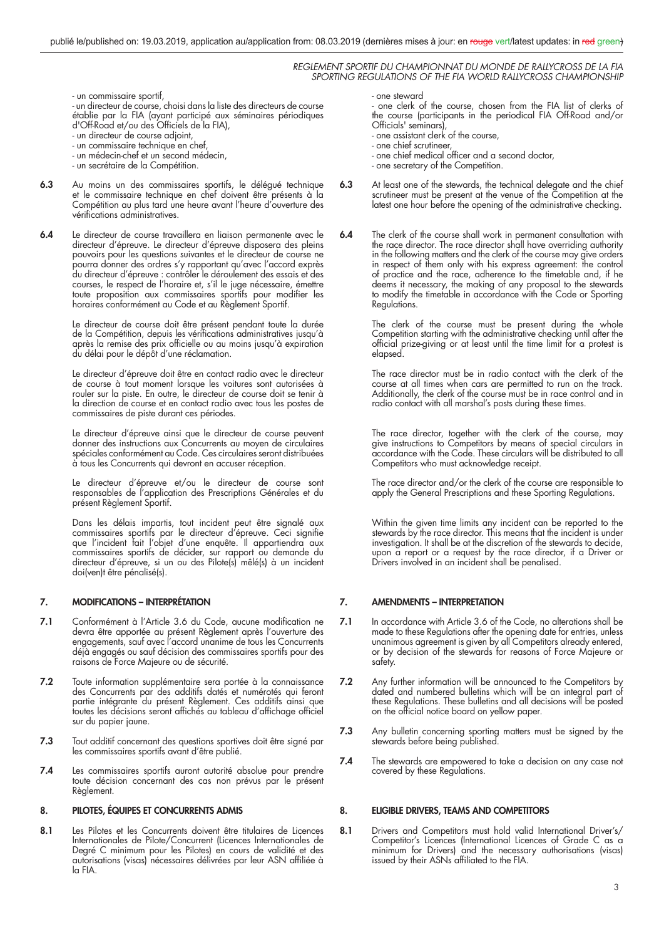- un commissaire sportif,

 - un directeur de course, choisi dans la liste des directeurs de course établie par la FIA (ayant participé aux séminaires périodiques d'Off-Road et/ou des Officiels de la FIA),

- un directeur de course adjoint,
- un commissaire technique en chef,
	- un médecin-chef et un second médecin,
	- un secrétaire de la Compétition.
- **6.3** Au moins un des commissaires sportifs, le délégué technique et le commissaire technique en chef doivent être présents à la Compétition au plus tard une heure avant l'heure d'ouverture des vérifications administratives.
- **6.4** Le directeur de course travaillera en liaison permanente avec le directeur d'épreuve. Le directeur d'épreuve disposera des pleins pouvoirs pour les questions suivantes et le directeur de course ne pourra donner des ordres s'y rapportant qu'avec l'accord exprès du directeur d'épreuve : contrôler le déroulement des essais et des courses, le respect de l'horaire et, s'il le juge nécessaire, émettre toute proposition aux commissaires sportifs pour modifier les horaires conformément au Code et au Règlement Sportif.

 Le directeur de course doit être présent pendant toute la durée de la Compétition, depuis les vérifications administratives jusqu'à après la remise des prix officielle ou au moins jusqu'à expiration du délai pour le dépôt d'une réclamation.

 Le directeur d'épreuve doit être en contact radio avec le directeur de course à tout moment lorsque les voitures sont autorisées à rouler sur la piste. En outre, le directeur de course doit se tenir à la direction de course et en contact radio avec tous les postes de commissaires de piste durant ces périodes.

 Le directeur d'épreuve ainsi que le directeur de course peuvent donner des instructions aux Concurrents au moyen de circulaires spéciales conformément au Code. Ces circulaires seront distribuées à tous les Concurrents qui devront en accuser réception.

 Le directeur d'épreuve et/ou le directeur de course sont responsables de l'application des Prescriptions Générales et du présent Règlement Sportif.

 Dans les délais impartis, tout incident peut être signalé aux commissaires sportifs par le directeur d'épreuve. Ceci signifie que l'incident fait l'objet d'une enquête. Il appartiendra aux commissaires sportifs de décider, sur rapport ou demande du directeur d'épreuve, si un ou des Pilote(s) mêlé(s) à un incident doi(ven)t être pénalisé(s).

#### **7. MODIFICATIONS – INTERPRÉTATION**

- **7.1** Conformément à l'Article 3.6 du Code, aucune modification ne devra être apportée au présent Règlement après l'ouverture des engagements, sauf avec l'accord unanime de tous les Concurrents déjà engagés ou sauf décision des commissaires sportifs pour des raisons de Force Majeure ou de sécurité.
- **7.2** Toute information supplémentaire sera portée à la connaissance des Concurrents par des additifs datés et numérotés qui feront partie intégrante du présent Règlement. Ces additifs ainsi que toutes les décisions seront affichés au tableau d'affichage officiel sur du papier jaune.
- **7.3** Tout additif concernant des questions sportives doit être signé par les commissaires sportifs avant d'être publié.
- **7.4** Les commissaires sportifs auront autorité absolue pour prendre toute décision concernant des cas non prévus par le présent Règlement.

#### **8. PILOTES, ÉQUIPES ET CONCURRENTS ADMIS**

**8.1** Les Pilotes et les Concurrents doivent être titulaires de Licences Internationales de Pilote/Concurrent (Licences Internationales de Degré C minimum pour les Pilotes) en cours de validité et des autorisations (visas) nécessaires délivrées par leur ASN affiliée à la FIA.

#### - one steward

 - one clerk of the course, chosen from the FIA list of clerks of the course (participants in the periodical FIA Off-Road and/or Officials' seminars),

- one assistant clerk of the course,
- one chief scrutineer,
- one chief medical officer and a second doctor,
	- one secretary of the Competition.
- **6.3** At least one of the stewards, the technical delegate and the chief scrutineer must be present at the venue of the Competition at the latest one hour before the opening of the administrative checking.
- **6.4** The clerk of the course shall work in permanent consultation with the race director. The race director shall have overriding authority in the following matters and the clerk of the course may give orders in respect of them only with his express agreement: the control of practice and the race, adherence to the timetable and, if he deems it necessary, the making of any proposal to the stewards to modify the timefable in accordance with the Code or Sporting Regulations.

 The clerk of the course must be present during the whole Competition starting with the administrative checking until after the official prize-giving or at least until the time limit for a protest is elapsed.

> The race director must be in radio contact with the clerk of the course at all times when cars are permitted to run on the track. Additionally, the clerk of the course must be in race control and in radio contact with all marshal's posts during these times.

> The race director, together with the clerk of the course, may give instructions to Competitors by means of special circulars in accordance with the Code. These circulars will be distributed to all Competitors who must acknowledge receipt.

 The race director and/or the clerk of the course are responsible to apply the General Prescriptions and these Sporting Regulations.

> Within the given time limits any incident can be reported to the stewards by the race director. This means that the incident is under investigation. It shall be at the discretion of the stewards to decide, upon a report or a request by the race director, if a Driver or Drivers involved in an incident shall be penalised.

#### **7. AMENDMENTS – INTERPRETATION**

- **7.1** In accordance with Article 3.6 of the Code, no alterations shall be made to these Regulations after the opening date for entries, unless unanimous agreement is given by all Competitors already entered, or by decision of the stewards for reasons of Force Majeure or safety.
- **7.2** Any further information will be announced to the Competitors by dated and numbered bulletins which will be an integral part of these Regulations. These bulletins and all decisions will be posted on the official notice board on yellow paper.
- **7.3** Any bulletin concerning sporting matters must be signed by the stewards before being published.
- **7.4** The stewards are empowered to take a decision on any case not covered by these Regulations.

#### **8. ELIGIBLE DRIVERS, TEAMS AND COMPETITORS**

8.1 Drivers and Competitors must hold valid International Driver's/ Competitor's Licences (International Licences of Grade C as a minimum for Drivers) and the necessary authorisations (visas) issued by their ASNs affiliated to the FIA.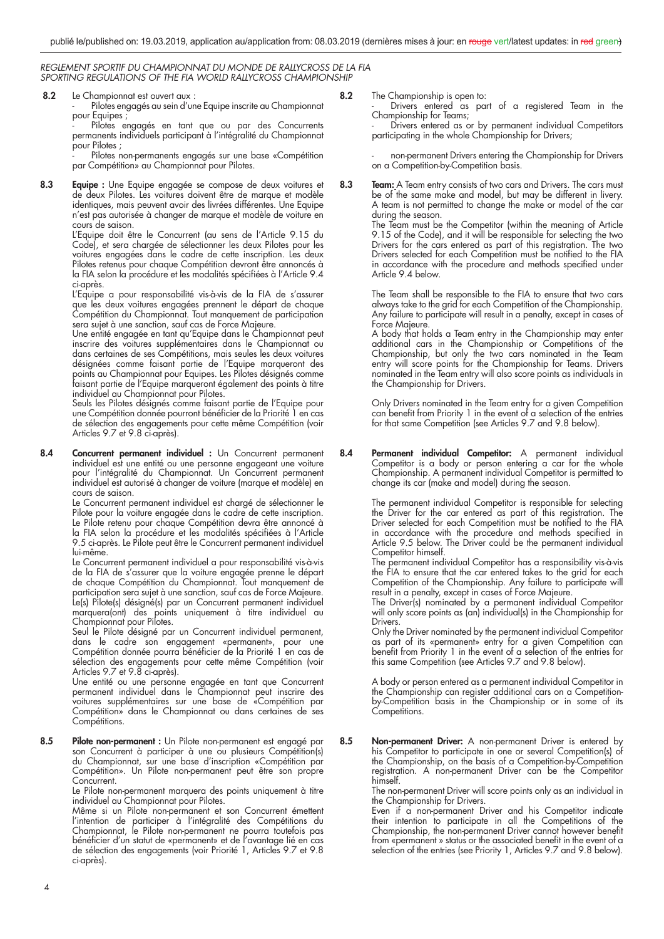**8.2** Le Championnat est ouvert aux :

Pilotes engagés au sein d'une Equipe inscrite au Championnat pour Equipes ;

 - Pilotes engagés en tant que ou par des Concurrents permanents individuels participant à l'intégralité du Championnat pour Pilotes ;

Pilotes non-permanents engagés sur une base «Compétition par Compétition» au Championnat pour Pilotes.

**8.3 Equipe :** Une Equipe engagée se compose de deux voitures et de deux Pilotes. Les voitures doivent être de marque et modèle identiques, mais peuvent avoir des livrées différentes. Une Equipe n'est pas autorisée à changer de marque et modèle de voiture en cours de saison.

 L'Equipe doit être le Concurrent (au sens de l'Article 9.15 du Code), et sera chargée de sélectionner les deux Pilotes pour les voitures engagées dans le cadre de cette inscription. Les deux Pilotes retenus pour chaque Compétition devront être annoncés à la FIA selon la procédure et les modalités spécifiées à l'Article 9.4 ci-après.

 L'Equipe a pour responsabilité vis-à-vis de la FIA de s'assurer que les deux voitures engagées prennent le départ de chaque Compétition du Championnat. Tout manquement de participation sera sujet à une sanction, sauf cas de Force Majeure.

 Une entité engagée en tant qu'Equipe dans le Championnat peut inscrire des voitures supplémentaires dans le Championnat ou dans certaines de ses Compétitions, mais seules les deux voitures désignées comme faisant partie de l'Equipe marqueront des points au Championnat pour Equipes. Les Pilotes désignés comme faisant partie de l'Equipe marqueront également des points à titre individuel au Championnat pour Pilotes.

 Seuls les Pilotes désignés comme faisant partie de l'Equipe pour une Compétition donnée pourront bénéficier de la Priorité 1 en cas de sélection des engagements pour cette même Compétition (voir Articles 9.7 et 9.8 ci-après).

**8.4 Concurrent permanent individuel :** Un Concurrent permanent individuel est une entité ou une personne engageant une voiture pour l'intégralité du Championnat. Un Concurrent permanent individuel est autorisé à changer de voiture (marque et modèle) en cours de saison.

 Le Concurrent permanent individuel est chargé de sélectionner le Pilote pour la voiture engagée dans le cadre de cette inscription. Le Pilote retenu pour chaque Compétition devra être annoncé à la FIA selon la procédure et les modalités spécifiées à l'Article 9.5 ci-après. Le Pilote peut être le Concurrent permanent individuel lui-même.

 Le Concurrent permanent individuel a pour responsabilité vis-à-vis de la FIA de s'assurer que la voiture engagée prenne le départ de chaque Compétition du Championnat. Tout manquement de participation sera sujet à une sanction, sauf cas de Force Majeure. Le(s) Pilote(s) désigné(s) par un Concurrent permanent individuel marquera(ont) des points uniquement à titre individuel au Championnat pour Pilotes.

 Seul le Pilote désigné par un Concurrent individuel permanent, dans le cadre son engagement «permanent», pour une Compétition donnée pourra bénéficier de la Priorité 1 en cas de sélection des engagements pour cette même Compétition (voir Articles 9.7 et 9.8 ci-après).

 Une entité ou une personne engagée en tant que Concurrent permanent individuel dans le Championnat peut inscrire des voitures supplémentaires sur une base de «Compétition par Compétition» dans le Championnat ou dans certaines de ses Compétitions.

**8.5 Pilote non-permanent :** Un Pilote non-permanent est engagé par son Concurrent à participer à une ou plusieurs Compétition(s) du Championnat, sur une base d'inscription «Compétition par Compétition». Un Pilote non-permanent peut être son propre Concurrent.

 Le Pilote non-permanent marquera des points uniquement à titre individuel au Championnat pour Pilotes.

Même si un Pilote non-permanent et son Concurrent émettent l'intention de participer à l'intégralité des Compétitions du Championnat, le Pilote non-permanent ne pourra toutefois pas bénéficier d'un statut de «permanent» et de l'avantage lié en cas de sélection des engagements (voir Priorité 1, Articles 9.7 et 9.8 ci-après).

**8.2** The Championship is open to:

Drivers entered as part of a registered Team in the Championship for Teams;

Drivers entered as or by permanent individual Competitors participating in the whole Championship for Drivers;

non-permanent Drivers entering the Championship for Drivers on a Competition-by-Competition basis.

**8.3 Team:** A Team entry consists of two cars and Drivers. The cars must be of the same make and model, but may be different in livery. A team is not permitted to change the make or model of the car during the season.

The Team must be the Competitor (within the meaning of Article 9.15 of the Code), and it will be responsible for selecting the two Drivers for the cars entered as part of this registration. The two Drivers selected for each Competition must be notified to the FIA in accordance with the procedure and methods specified under Article 9.4 below.

 The Team shall be responsible to the FIA to ensure that two cars always take to the grid for each Competition of the Championship. Any failure to participate will result in a penalty, except in cases of Force Majeure.

A body that holds a Team entry in the Championship may enter additional cars in the Championship or Competitions of the Championship, but only the two cars nominated in the Team entry will score points for the Championship for Teams. Drivers nominated in the Team entry will also score points as individuals in the Championship for Drivers.

 Only Drivers nominated in the Team entry for a given Competition can benefit from Priority 1 in the event of a selection of the entries for that same Competition (see Articles 9.7 and 9.8 below).

**8.4 Permanent individual Competitor:** A permanent individual Competitor is a body or person entering a car for the whole Championship. A permanent individual Competitor is permitted to change its car (make and model) during the season.

> The permanent individual Competitor is responsible for selecting the Driver for the car entered as part of this registration. The Driver selected for each Competition must be notified to the FIA in accordance with the procedure and methods specified in Article 9.5 below. The Driver could be the permanent individual Competitor himself.

> The permanent individual Competitor has a responsibility vis-à-vis the FIA to ensure that the car entered takes to the grid for each Competition of the Championship. Any failure to participate will result in a penalty, except in cases of Force Majeure.

> The Driver(s) nominated by a permanent individual Competitor will only score points as (an) individual(s) in the Championship for Drivers.

 Only the Driver nominated by the permanent individual Competitor as part of its «permanent» entry for a given Competition can benefit from Priority 1 in the event of a selection of the entries for this same Competition (see Articles 9.7 and 9.8 below).

> A body or person entered as a permanent individual Competitor in the Championship can register additional cars on a Competitionby-Competition basis in the Championship or in some of its Competitions.

**8.5 Non-permanent Driver:** A non-permanent Driver is entered by his Competitor to participate in one or several Competition(s) of the Championship, on the basis of a Competition-by-Competition registration. A non-permanent Driver can be the Competitor himself.

> The non-permanent Driver will score points only as an individual in the Championship for Drivers.

 Even if a non-permanent Driver and his Competitor indicate their intention to participate in all the Competitions of the Championship, the non-permanent Driver cannot however benefit from «permanent » status or the associated benefit in the event of a selection of the entries (see Priority 1, Articles 9.7 and 9.8 below).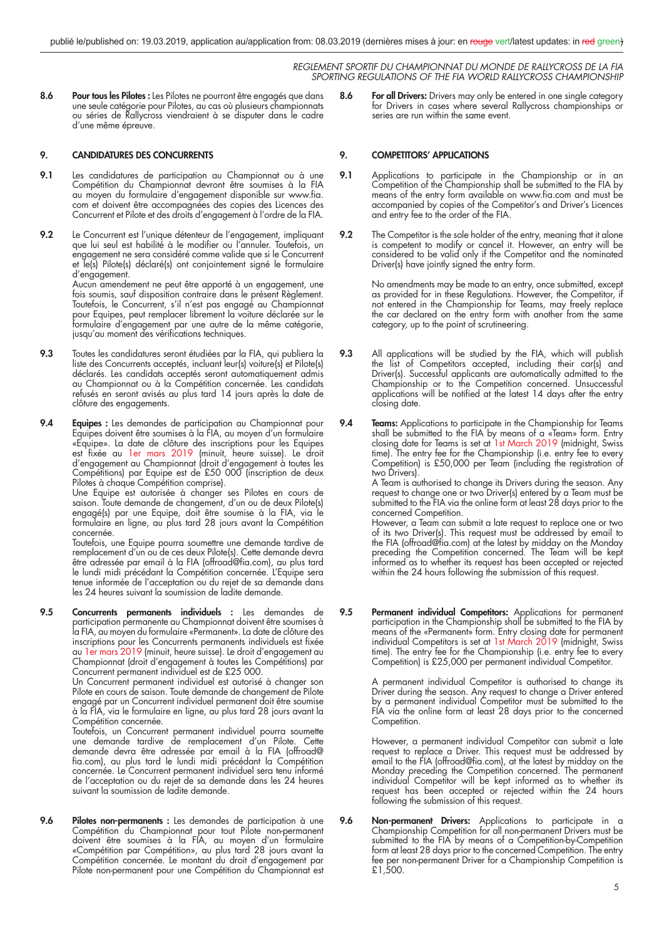8.6 Pour tous les Pilotes : Les Pilotes ne pourront être engagés que dans une seule catégorie pour Pilotes, au cas où plusieurs championnats ou séries de Rallycross viendraient à se disputer dans le cadre d'une même épreuve.

#### **9. CANDIDATURES DES CONCURRENTS**

- **9.1** Les candidatures de participation au Championnat ou à une Compétition du Championnat devront être soumises à la FIA au moyen du formulaire d'engagement disponible sur www.fia. com et doivent être accompagnées des copies des Licences des Concurrent et Pilote et des droits d'engagement à l'ordre de la FIA.
- **9.2** Le Concurrent est l'unique détenteur de l'engagement, impliquant que lui seul est habilité à le modifier ou l'annuler. Toutefois, un engagement ne sera considéré comme valide que si le Concurrent et le(s) Pilote(s) déclaré(s) ont conjointement signé le formulaire d'engagement. Aucun amendement ne peut être apporté à un engagement, une fois soumis, sauf disposition contraire dans le présent Règlement. Toutefois, le Concurrent, s'il n'est pas engagé au Championnat pour Equipes, peut remplacer librement la voiture déclarée sur le formulaire d'engagement par une autre de la même catégorie, jusqu'au moment des vérifications techniques.
- **9.3** Toutes les candidatures seront étudiées par la FIA, qui publiera la liste des Concurrents acceptés, incluant leur(s) voiture(s) et Pilote(s) déclarés. Les candidats acceptés seront automatiquement admis au Championnat ou à la Compétition concernée. Les candidats refusés en seront avisés au plus tard 14 jours après la date de clôture des engagements.
- **9.4 Equipes :** Les demandes de participation au Championnat pour Equipes doivent être soumises à la FIA, au moyen d'un formulaire «Equipe». La date de clôture des inscriptions pour les Equipes est fixée au 1er mars 2019 (minuit, heure suisse). Le droit d'engagement au Championnat (droit d'engagement à toutes les Compétitions) par Equipe est de £50 000 (inscription de deux Pilotes à chaque Compétition comprise).

 Une Equipe est autorisée à changer ses Pilotes en cours de saison. Toute demande de changement, d'un ou de deux Pilote(s) engagé(s) par une Equipe, doit être soumise à la FIA, via le formulaire en ligne, au plus tard 28 jours avant la Compétition concernée.

 Toutefois, une Equipe pourra soumettre une demande tardive de remplacement d'un ou de ces deux Pilote(s). Cette demande devra être adressée par email à la FIA (offroad@fia.com), au plus tard le lundi midi précédant la Compétition concernée. L'Equipe sera tenue informée de l'acceptation ou du rejet de sa demande dans les 24 heures suivant la soumission de ladite demande.

**9.5 Concurrents permanents individuels :** Les demandes de participation permanente au Championnat doivent être soumises à la FIA, au moyen du formulaire «Permanent». La date de clôture des inscriptions pour les Concurrents permanents individuels est fixée au 1er mars 2019 (minuit, heure suisse). Le droit d'engagement au Championnat (droit d'engagement à toutes les Compétitions) par Concurrent permanent individuel est de £25 000.

 Un Concurrent permanent individuel est autorisé à changer son Pilote en cours de saison. Toute demande de changement de Pilote engagé par un Concurrent individuel permanent doit être soumise à la FIA, via le formulaire en ligne, au plus tard 28 jours avant la Compétition concernée.

 Toutefois, un Concurrent permanent individuel pourra soumette une demande tardive de remplacement d'un Pilote. Cette demande devra être adressée par email à la FIA (offroad@ fia.com), au plus tard le lundi midi précédant la Compétition concernée. Le Concurrent permanent individuel sera tenu informé de l'acceptation ou du rejet de sa demande dans les 24 heures suivant la soumission de ladite demande.

**9.6 Pilotes non-permanents :** Les demandes de participation à une Compétition du Championnat pour tout Pilote non-permanent doivent être soumises à la FIA, au moyen d'un formulaire «Compétition par Compétition», au plus tard 28 jours avant la Compétition concernée. Le montant du droit d'engagement par Pilote non-permanent pour une Compétition du Championnat est

**8.6 For all Drivers:** Drivers may only be entered in one single category for Drivers in cases where several Rallycross championships or series are run within the same event.

#### **9. COMPETITORS' APPLICATIONS**

- **9.1** Applications to participate in the Championship or in an Competition of the Championship shall be submitted to the FIA by means of the entry form available on www.fia.com and must be accompanied by copies of the Competitor's and Driver's Licences and entry fee to the order of the FIA.
- **9.2** The Competitor is the sole holder of the entry, meaning that it alone is competent to modify or cancel it. However, an entry will be considered to be valid only if the Competitor and the nominated Driver(s) have jointly signed the entry form.

 No amendments may be made to an entry, once submitted, except as provided for in these Regulations. However, the Competitor, if not entered in the Championship for Teams, may freely replace the car declared on the entry form with another from the same category, up to the point of scrutineering.

- **9.3** All applications will be studied by the FIA, which will publish the list of Competitors accepted, including their car(s) and Driver(s). Successful applicants are automatically admitted to the Championship or to the Competition concerned. Unsuccessful applications will be notified at the latest 14 days after the entry closing date.
- **9.4 Teams:** Applications to participate in the Championship for Teams shall be submitted to the FIA by means of a «Team» form. Entry closing date for Teams is set at 1st March 2019 (midnight, Swiss time). The entry fee for the Championship (i.e. entry fee to every Competition) is £50,000 per Team (including the registration of two Drivers).

 A Team is authorised to change its Drivers during the season. Any request to change one or two Driver(s) entered by a Team must be submitted to the FIA via the online form at least 28 days prior to the concerned Competition.

 However, a Team can submit a late request to replace one or two of its two Driver(s). This request must be addressed by email to the FIA (offroad@fia.com) at the latest by midday on the Monday preceding the Competition concerned. The Team will be kept informed as to whether its request has been accepted or rejected within the 24 hours following the submission of this request.

**9.5 Permanent individual Competitors:** Applications for permanent participation in the Championship shall be submitted to the FIA by means of the «Permanent» form. Entry closing date for permanent individual Competitors is set at 1st March 2019 (midnight, Swiss time). The entry fee for the Championship (i.e. entry fee to every Competition) is £25,000 per permanent individual Competitor.

> A permanent individual Competitor is authorised to change its Driver during the season. Any request to change a Driver entered by a permanent individual Competitor must be submitted to the FIA via the online form at least 28 days prior to the concerned Competition.

> However, a permanent individual Competitor can submit a late request to replace a Driver. This request must be addressed by email to the FIA (offroad@fia.com), at the latest by midday on the Monday preceding the Competition concerned. The permanent individual Competitor will be kept informed as to whether its request has been accepted or rejected within the 24 hours following the submission of this request.

**9.6 Non-permanent Drivers:** Applications to participate in a Championship Competition for all non-permanent Drivers must be submitted to the FIA by means of a Competition-by-Competition form at least 28 days prior to the concerned Competition. The entry fee per non-permanent Driver for a Championship Competition is £1,500.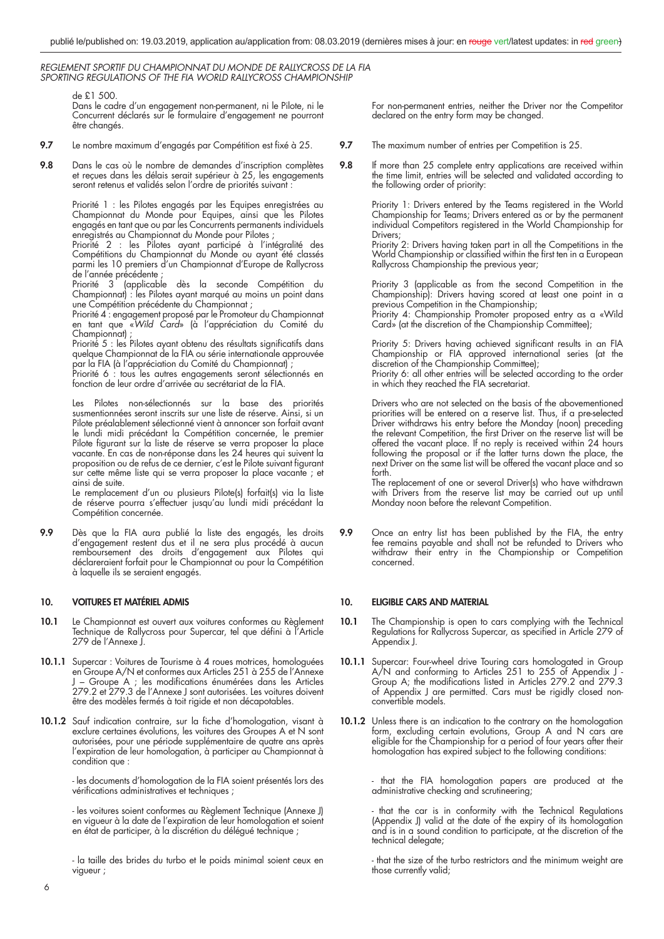de £1 500.

 Dans le cadre d'un engagement non-permanent, ni le Pilote, ni le Concurrent déclarés sur le formulaire d'engagement ne pourront être changés.

- **9.7** Le nombre maximum d'engagés par Compétition est fixé à 25.
- **9.8** Dans le cas où le nombre de demandes d'inscription complètes et reçues dans les délais serait supérieur à 25, les engagements seront retenus et validés selon l'ordre de priorités suivant :

Priorité 1 : les Pilotes engagés par les Equipes enregistrées au Championnat du Monde pour Equipes, ainsi que les Pilotes engagés en tant que ou par les Concurrents permanents individuels enregistrés au Championnat du Monde pour Pilotes ;

 Priorité 2 : les Pilotes ayant participé à l'intégralité des Compétitions du Championnat du Monde ou ayant été classés parmi les 10 premiers d'un Championnat d'Europe de Rallycross de l'année précédente ;

 Priorité 3 (applicable dès la seconde Compétition du Championnat) : les Pilotes ayant marqué au moins un point dans une Compétition précédente du Championnat ;

 Priorité 4 : engagement proposé par le Promoteur du Championnat en tant que «*Wild Card*» (à l'appréciation du Comité du Championnat)

Priorité 5 : les Pilotes ayant obtenu des résultats significatifs dans quelque Championnat de la FIA ou série internationale approuvée par la FIA (à l'appréciation du Comité du Championnat) ;

 Priorité 6 : tous les autres engagements seront sélectionnés en fonction de leur ordre d'arrivée au secrétariat de la FIA.

 Les Pilotes non-sélectionnés sur la base des priorités susmentionnées seront inscrits sur une liste de réserve. Ainsi, si un Pilote préalablement sélectionné vient à annoncer son forfait avant le lundi midi précédant la Compétition concernée, le premier Pilote figurant sur la liste de réserve se verra proposer la place vacante. En cas de non-réponse dans les 24 heures qui suivent la proposition ou de refus de ce dernier, c'est le Pilote suivant figurant sur cette même liste qui se verra proposer la place vacante ; et ainsi de suite.

 Le remplacement d'un ou plusieurs Pilote(s) forfait(s) via la liste de réserve pourra s'effectuer jusqu'au lundi midi précédant la Compétition concernée.

**9.9** Dès que la FIA aura publié la liste des engagés, les droits d'engagement restent dus et il ne sera plus procédé à aucun remboursement des droits d'engagement aux Pilotes qui déclareraient forfait pour le Championnat ou pour la Compétition à laquelle ils se seraient engagés.

#### **10. VOITURES ET MATÉRIEL ADMIS**

- **10.1** Le Championnat est ouvert aux voitures conformes au Règlement Technique de Rallycross pour Supercar, tel que défini à l'Article 279 de l'Annexe J.
- **10.1.1** Supercar : Voitures de Tourisme à 4 roues motrices, homologuées en Groupe A/N et conformes aux Articles 251 à 255 de l'Annexe J – Groupe A ; les modifications énumérées dans les Articles 279.2 et 279.3 de l'Annexe J sont autorisées. Les voitures doivent être des modèles fermés à toit rigide et non décapotables.
- 10.1.2 Sauf indication contraire, sur la fiche d'homologation, visant à exclure certaines évolutions, les voitures des Groupes A et N sont autorisées, pour une période supplémentaire de quatre ans après l'expiration de leur homologation, à participer au Championnat à condition que :

 - les documents d'homologation de la FIA soient présentés lors des vérifications administratives et techniques ;

 - les voitures soient conformes au Règlement Technique (Annexe J) en vigueur à la date de l'expiration de leur homologation et soient en état de participer, à la discrétion du délégué technique ;

 - la taille des brides du turbo et le poids minimal soient ceux en vigueur ;

 For non-permanent entries, neither the Driver nor the Competitor declared on the entry form may be changed.

- **9.7** The maximum number of entries per Competition is 25.
- **9.8** If more than 25 complete entry applications are received within the time limit, entries will be selected and validated according to the following order of priority:

 Priority 1: Drivers entered by the Teams registered in the World Championship for Teams; Drivers entered as or by the permanent individual Competitors registered in the World Championship for Drivers;

 Priority 2: Drivers having taken part in all the Competitions in the World Championship or classified within the first ten in a European Rallycross Championship the previous year;

> Priority 3 (applicable as from the second Competition in the Championship): Drivers having scored at least one point in a previous Competition in the Championship;

> Priority 4: Championship Promoter proposed entry as a «Wild Card» (at the discretion of the Championship Committee);

Priority 5: Drivers having achieved significant results in an FIA Championship or FIA approved international series (at the discretion of the Championship Committee); Priority 6: all other entries will be selected according to the order in which they reached the FIA secretariat.

> Drivers who are not selected on the basis of the abovementioned priorities will be entered on a reserve list. Thus, if a pre-selected Driver withdraws his entry before the Monday (noon) preceding the relevant Competition, the first Driver on the reserve list will be offered the vacant place. If no reply is received within 24 hours following the proposal or if the latter turns down the place, the next Driver on the same list will be offered the vacant place and so forth.

 The replacement of one or several Driver(s) who have withdrawn with Drivers from the reserve list may be carried out up until Monday noon before the relevant Competition.

**9.9** Once an entry list has been published by the FIA, the entry fee remains payable and shall not be refunded to Drivers who withdraw their entry in the Championship or Competition concerned.

#### **10. ELIGIBLE CARS AND MATERIAL**

- **10.1** The Championship is open to cars complying with the Technical Regulations for Rallycross Supercar, as specified in Article 279 of Appendix J.
- **10.1.1** Supercar: Four-wheel drive Touring cars homologated in Group A/N and conforming to Articles 251 to 255 of Appendix J - Group A; the modifications listed in Articles 279.2 and 279.3 of Appendix J are permitted. Cars must be rigidly closed nonconvertible models.
- **10.1.2** Unless there is an indication to the contrary on the homologation form, excluding certain evolutions, Group A and N cars are eligible for the Championship for a period of four years after their homologation has expired subject to the following conditions:

 - that the FIA homologation papers are produced at the administrative checking and scrutineering;

 - that the car is in conformity with the Technical Regulations (Appendix J) valid at the date of the expiry of its homologation and is in a sound condition to participate, at the discretion of the technical delegate;

> - that the size of the turbo restrictors and the minimum weight are those currently valid;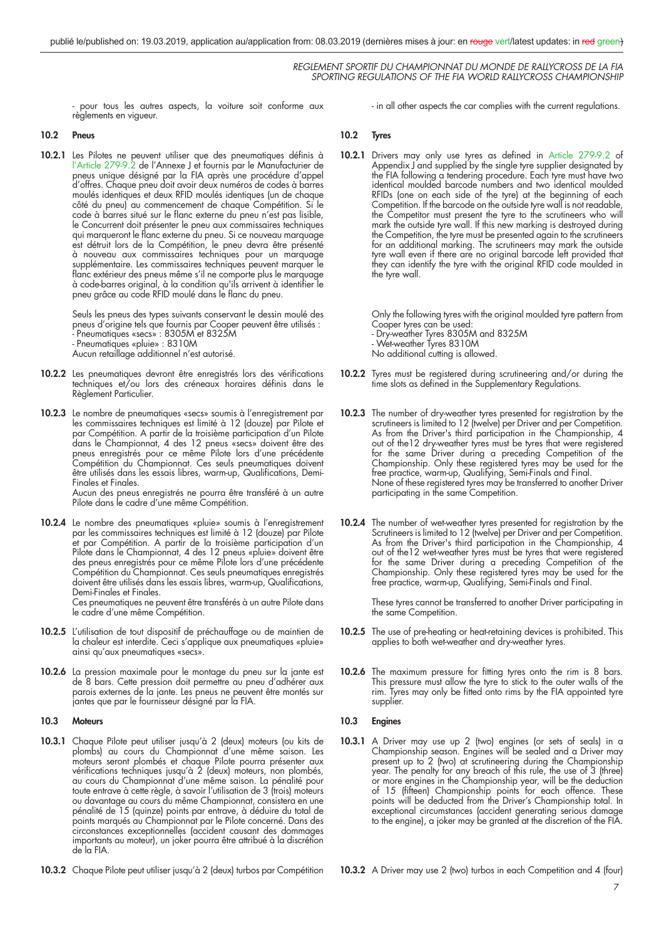- pour tous les autres aspects, la voiture soit conforme aux règlements en vigueur.

#### **10.2 Pneus**

**10.2.1** Les Pilotes ne peuvent utiliser que des pneumatiques définis à l'Article 279-9.2 de l'Annexe J et fournis par le Manufacturier de pneus unique désigné par la FIA après une procédure d'appel d'offres. Chaque pneu doit avoir deux numéros de codes à barres moulés identiques et deux RFID moulés identiques (un de chaque côté du pneu) au commencement de chaque Compétition. Si le code à barres situé sur le flanc externe du pneu n'est pas lisible, le Concurrent doit présenter le pneu aux commissaires techniques qui marqueront le flanc externe du pneu. Si ce nouveau marquage est détruit lors de la Compétition, le pneu devra être présenté à nouveau aux commissaires techniques pour un marquage supplémentaire. Les commissaires techniques peuvent marquer le flanc extérieur des pneus même s'il ne comporte plus le marquage à code-barres original, à la condition qu'ils arrivent à identifier le pneu grâce au code RFID moulé dans le flanc du pneu.

> Seuls les pneus des types suivants conservant le dessin moulé des pneus d'origine tels que fournis par Cooper peuvent être utilisés : - Pneumatiques «secs» : 8305M et 8325M - Pneumatiques «pluie» : 8310M Aucun retaillage additionnel n'est autorisé.

- 10.2.2 Les pneumatiques devront être enregistrés lors des vérifications techniques et/ou lors des créneaux horaires définis dans le Règlement Particulier.
- **10.2.3** Le nombre de pneumatiques «secs» soumis à l'enregistrement par les commissaires techniques est limité à 12 (douze) par Pilote et par Compétition. A partir de la troisième participation d'un Pilote dans le Championnat, 4 des 12 pneus «secs» doivent être des pneus enregistrés pour ce même Pilote lors d'une précédente Compétition du Championnat. Ces seuls pneumatiques doivent être utilisés dans les essais libres, warm-up, Qualifications, Demi-Finales et Finales. Aucun des pneus enregistrés ne pourra être transféré à un autre

Pilote dans le cadre d'une même Compétition.

**10.2.4** Le nombre des pneumatiques «pluie» soumis à l'enregistrement par les commissaires techniques est limité à 12 (douze) par Pilote et par Compétition. A partir de la troisième participation d'un Pilote dans le Championnat, 4 des 12 pneus «pluie» doivent être des pneus enregistrés pour ce même Pilote lors d'une précédente Compétition du Championnat. Ces seuls pneumatiques enregistrés doivent être utilisés dans les essais libres, warm-up, Qualifications, Demi-Finales et Finales.

 Ces pneumatiques ne peuvent être transférés à un autre Pilote dans le cadre d'une même Compétition.

- 10.2.5 L'utilisation de tout dispositif de préchauffage ou de maintien de la chaleur est interdite. Ceci s'applique aux pneumatiques «pluie» ainsi qu'aux pneumatiques «secs».
- **10.2.6** La pression maximale pour le montage du pneu sur la jante est de 8 bars. Cette pression doit permettre au pneu d'adhérer aux parois externes de la jante. Les pneus ne peuvent être montés sur jantes que par le fournisseur désigné par la FIA.

#### **10.3 Moteurs**

- **10.3.1** Chaque Pilote peut utiliser jusqu'à 2 (deux) moteurs (ou kits de plombs) au cours du Championnat d'une même saison. Les moteurs seront plombés et chaque Pilote pourra présenter aux vérifications techniques jusqu'à 2 (deux) moteurs, non plombés, au cours du Championnat d'une même saison. La pénalité pour toute entrave à cette règle, à savoir l'utilisation de 3 (trois) moteurs ou davantage au cours du même Championnat, consistera en une pénalité de 15 (quinze) points par entrave, à déduire du total de points marqués au Championnat par le Pilote concerné. Dans des circonstances exceptionnelles (accident causant des dommages importants au moteur), un joker pourra être attribué à la discrétion de la FIA.
- **10.3.2** Chaque Pilote peut utiliser jusqu'à 2 (deux) turbos par Compétition

- in all other aspects the car complies with the current regulations.

#### **10.2 Tyres**

**10.2.1** Drivers may only use tyres as defined in Article 279-9.2 of Appendix  $J$  and supplied by the single tyre supplier designated by the FIA following a tendering procedure. Each tyre must have two identical moulded barcode numbers and two identical moulded RFIDs (one on each side of the tyre) at the beginning of each Competition. If the barcode on the outside tyre wall is not readable, the Competitor must present the tyre to the scrutineers who will mark the outside tyre wall. If this new marking is destroyed during the Competition, the tyre must be presented again to the scrutineers for an additional marking. The scrutineers may mark the outside tyre wall even if there are no original barcode left provided that they can identify the tyre with the original RFID code moulded in the tyre wall.

> Only the following tyres with the original moulded tyre pattern from Cooper tyres can be used:

- Dry-weather Tyres 8305M and 8325M
- Wet-weather Tyres 8310M
- No additional cutting is allowed.
- **10.2.2** Tyres must be registered during scrutineering and/or during the time slots as defined in the Supplementary Regulations.
- **10.2.3** The number of dry-weather tyres presented for registration by the scrutineers is limited to 12 (twelve) per Driver and per Competition. As from the Driver's third participation in the Championship, 4 out of the12 dry-weather tyres must be tyres that were registered for the same Driver during a preceding Competition of the Championship. Only these registered tyres may be used for the free practice, warm-up, Qualifying, Semi-Finals and Final. None of these registered tyres may be transferred to another Driver participating in the same Competition.
- **10.2.4** The number of wet-weather tyres presented for registration by the Scrutineers is limited to 12 (twelve) per Driver and per Competition. As from the Driver's third participation in the Championship, 4 out of the12 wet-weather tyres must be tyres that were registered for the same Driver during a preceding Competition of the Championship. Only these registered tyres may be used for the free practice, warm-up, Qualifying, Semi-Finals and Final.

 These tyres cannot be transferred to another Driver participating in the same Competition.

- **10.2.5** The use of pre-heating or heat-retaining devices is prohibited. This applies to both wet-weather and dry-weather tyres.
- **10.2.6** The maximum pressure for fitting tyres onto the rim is 8 bars. This pressure must allow the tyre to stick to the outer walls of the rim. Tyres may only be fitted onto rims by the FIA appointed tyre supplier.

#### **10.3 Engines**

**10.3.1** A Driver may use up 2 (two) engines (or sets of seals) in a Championship season. Engines will be sealed and a Driver may present up to 2 (two) at scrutineering during the Championship year. The penalty for any breach of this rule, the use of 3 (three) or more engines in the Championship year, will be the deduction of 15 (fifteen) Championship points for each offence. These points will be deducted from the Driver's Championship total. In exceptional circumstances (accident generating serious damage to the engine), a joker may be granted at the discretion of the FIA.

**10.3.2** A Driver may use 2 (two) turbos in each Competition and 4 (four)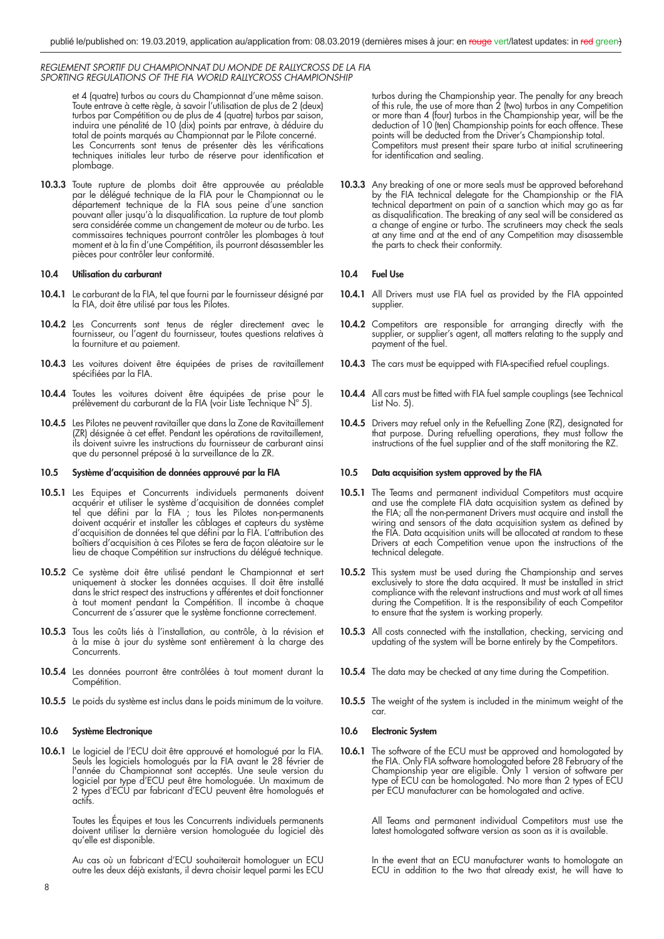et 4 (quatre) turbos au cours du Championnat d'une même saison. Toute entrave à cette règle, à savoir l'utilisation de plus de 2 (deux) turbos par Compétition ou de plus de 4 (quatre) turbos par saison, induira une pénalité de 10 (dix) points par entrave, à déduire du total de points marqués au Championnat par le Pilote concerné. Les Concurrents sont tenus de présenter dès les vérifications techniques initiales leur turbo de réserve pour identification et plombage.

**10.3.3** Toute rupture de plombs doit être approuvée au préalable par le délégué technique de la FIA pour le Championnat ou le département technique de la FIA sous peine d'une sanction pouvant aller jusqu'à la disqualification. La rupture de tout plomb sera considérée comme un changement de moteur ou de turbo. Les commissaires techniques pourront contrôler les plombages à tout moment et à la fin d'une Compétition, ils pourront désassembler les pièces pour contrôler leur conformité.

#### **10.4 Utilisation du carburant**

- **10.4.1** Le carburant de la FIA, tel que fourni par le fournisseur désigné par la FIA, doit être utilisé par tous les Pilotes.
- **10.4.2** Les Concurrents sont tenus de régler directement avec le fournisseur, ou l'agent du fournisseur, toutes questions relatives à la fourniture et au paiement.
- **10.4.3** Les voitures doivent être équipées de prises de ravitaillement spécifiées par la FIA.
- **10.4.4** Toutes les voitures doivent être équipées de prise pour le prélèvement du carburant de la FIA (voir Liste Technique N° 5).
- **10.4.5** Les Pilotes ne peuvent ravitailler que dans la Zone de Ravitaillement (ZR) désignée à cet effet. Pendant les opérations de ravitaillement, ils doivent suivre les instructions du fournisseur de carburant ainsi que du personnel préposé à la surveillance de la ZR.

#### **10.5 Système d'acquisition de données approuvé par la FIA**

- **10.5.1** Les Equipes et Concurrents individuels permanents doivent acquérir et utiliser le système d'acquisition de données complet tel que défini par la FIA ; tous les Pilotes non-permanents doivent acquérir et installer les câblages et capteurs du système d'acquisition de données tel que défini par la FIA. L'attribution des boîtiers d'acquisition à ces Pilotes se fera de façon aléatoire sur le lieu de chaque Compétition sur instructions du délégué technique.
- **10.5.2** Ce système doit être utilisé pendant le Championnat et sert uniquement à stocker les données acquises. Il doit être installé dans le strict respect des instructions y afférentes et doit fonctionner à tout moment pendant la Compétition. Il incombe à chaque Concurrent de s'assurer que le système fonctionne correctement.
- **10.5.3** Tous les coûts liés à l'installation, au contrôle, à la révision et à la mise à jour du système sont entièrement à la charge des Concurrents.
- **10.5.4** Les données pourront être contrôlées à tout moment durant la Compétition.
- **10.5.5** Le poids du système est inclus dans le poids minimum de la voiture.

#### **10.6 Système Electronique**

**10.6.1** Le logiciel de l'ECU doit être approuvé et homologué par la FIA. Seuls les logiciels homologués par la FIA avant le 28 février de l'année du Championnat sont acceptés. Une seule version du logiciel par type d'ECU peut être homologuée. Un maximum de 2 types d'ECU par fabricant d'ECU peuvent être homologués et actifs.

> Toutes les Équipes et tous les Concurrents individuels permanents doivent utiliser la dernière version homologuée du logiciel dès qu'elle est disponible.

> Au cas où un fabricant d'ECU souhaiterait homologuer un ECU outre les deux déjà existants, il devra choisir lequel parmi les ECU

turbos during the Championship year. The penalty for any breach of this rule, the use of more than 2 (two) turbos in any Competition or more than 4 (four) turbos in the Championship year, will be the deduction of 10 (ten) Championship points for each offence. These points will be deducted from the Driver's Championship total. Competitors must present their spare turbo at initial scrutineering for identification and sealing.

**10.3.3** Any breaking of one or more seals must be approved beforehand by the FIA technical delegate for the Championship or the FIA technical department on pain of a sanction which may go as far as disqualification. The breaking of any seal will be considered as a change of engine or turbo. The scrutineers may check the seals at any time and at the end of any Competition may disassemble the parts to check their conformity.

#### **10.4 Fuel Use**

- **10.4.1** All Drivers must use FIA fuel as provided by the FIA appointed supplier.
- **10.4.2** Competitors are responsible for arranging directly with the supplier, or supplier's agent, all matters relating to the supply and payment of the fuel.
- **10.4.3** The cars must be equipped with FIA-specified refuel couplings.
- **10.4.4** All cars must be fitted with FIA fuel sample couplings (see Technical List No. 5).
- **10.4.5** Drivers may refuel only in the Refuelling Zone (RZ), designated for that purpose. During refuelling operations, they must follow the instructions of the fuel supplier and of the staff monitoring the RZ.

#### **10.5 Data acquisition system approved by the FIA**

- 10.5.1 The Teams and permanent individual Competitors must acquire and use the complete FIA data acquisition system as defined by the FIA; all the non-permanent Drivers must acquire and install the wiring and sensors of the data acquisition system as defined by the FIA. Data acquisition units will be allocated at random to these Drivers at each Competition venue upon the instructions of the technical delegate.
- **10.5.2** This system must be used during the Championship and serves exclusively to store the data acquired. It must be installed in strict compliance with the relevant instructions and must work at all times during the Competition. It is the responsibility of each Competitor to ensure that the system is working properly.
- 10.5.3 All costs connected with the installation, checking, servicing and updating of the system will be borne entirely by the Competitors.
- **10.5.4** The data may be checked at any time during the Competition.
- **10.5.5** The weight of the system is included in the minimum weight of the car.

#### **10.6 Electronic System**

10.6.1 The software of the ECU must be approved and homologated by the FIA. Only FIA software homologated before 28 February of the Championship year are eligible. Only 1 version of software per type of ECU can be homologated. No more than 2 types of ECU per ECU manufacturer can be homologated and active.

> All Teams and permanent individual Competitors must use the latest homologated software version as soon as it is available.

> In the event that an ECU manufacturer wants to homologate an ECU in addition to the two that already exist, he will have to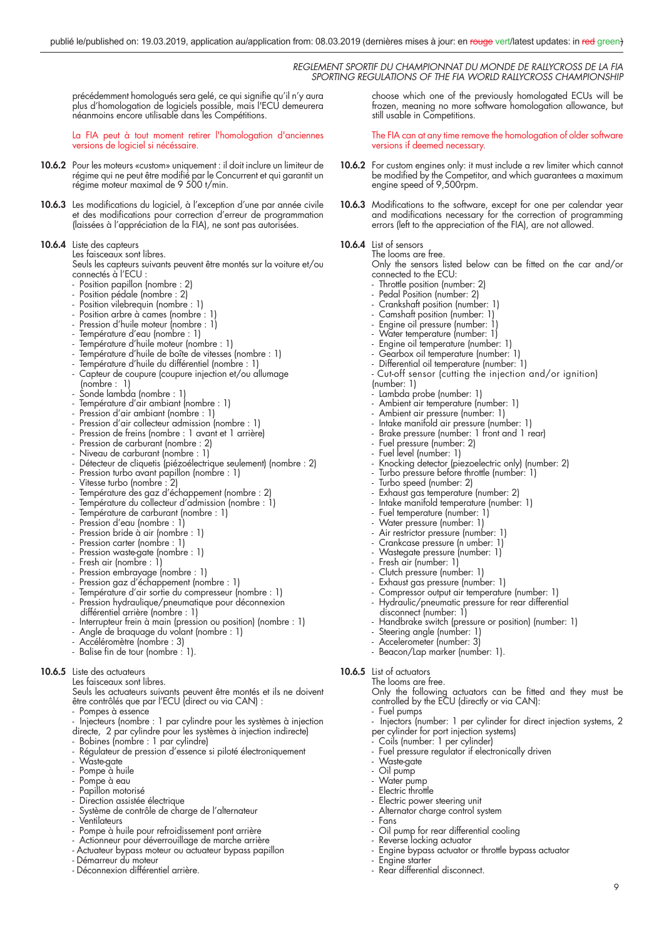précédemment homologués sera gelé, ce qui signifie qu'il n'y aura plus d'homologation de logiciels possible, mais l'ECU demeurera néanmoins encore utilisable dans les Compétitions.

La FIA peut à tout moment retirer l'homologation d'anciennes versions de logiciel si nécéssaire.

- **10.6.2** Pour les moteurs «custom» uniquement : il doit inclure un limiteur de régime qui ne peut être modifié par le Concurrent et qui garantit un régime moteur maximal de 9 500 t/min.
- 10.6.3 Les modifications du logiciel, à l'exception d'une par année civile et des modifications pour correction d'erreur de programmation (laissées à l'appréciation de la FIA), ne sont pas autorisées.

#### **10.6.4** Liste des capteurs

Les faisceaux sont libres.

 Seuls les capteurs suivants peuvent être montés sur la voiture et/ou connectés à l'ECU :

- Position papillon (nombre : 2)
- Position pédale (nombre : 2)
- Position vilebrequin (nombre : 1)
	- Position arbre à cames (nombre : 1
	- Pression d'huile moteur (nombre : 1)
	- Température d'eau (nombre : 1)
	- Température d'huile moteur (nombre : 1)
	- Température d'huile de boîte de vitesses (nombre : 1)
	- Température d'huile du différentiel (nombre : 1)
	- Capteur de coupure (coupure injection et/ou allumage (nombre : 1)
	- Sonde lambda (nombre : 1)
	- Température d'air ambiant (nombre : 1)
	- Pression d'air ambiant (nombre : 1)
	- Pression d'air collecteur admission (nombre : 1)
	- Pression de freins (nombre : 1 avant et 1 arrière)
	- Pression de carburant (nombre : 2)
	- Niveau de carburant (nombre : 1)
	- Détecteur de cliquetis (piézoélectrique seulement) (nombre : 2)
	- Pression turbo avant papillon (nombre : 1)
- Vitesse turbo (nombre : 2)
- Température des gaz d'échappement (nombre : 2)
	- Température du collecteur d'admission (nombre : 1)
	- Température de carburant (nombre : 1)
	- Pression d'eau (nombre : 1)
- Pression bride à air (nombre : 1)
- Pression carter (nombre : 1)
	- Pression waste-gate (nombre : 1)
	- Fresh air (nombre : 1)
- Pression embrayage (nombre : 1)
- Pression gaz d'échappement (nombre : 1)
	- Température d'air sortie du compresseur (nombre : 1)
	- Pression hydraulique/pneumatique pour déconnexion différentiel arrière (nombre : 1)
	- Interrupteur frein à main (pression ou position) (nombre : 1)
	- Angle de braquage du volant (nombre : 1)
	- Accéléromètre (nombre : 3)
	- Balise fin de tour (nombre : 1).

#### **10.6.5** Liste des actuateurs

Les faisceaux sont libres.

 Seuls les actuateurs suivants peuvent être montés et ils ne doivent être contrôlés que par l'ECU (direct ou via CAN) :

- Pompes à essence
- Injecteurs (nombre : 1 par cylindre pour les systèmes à injection
- directe, 2 par cylindre pour les systèmes à injection indirecte)
- Bobines (nombre : 1 par cylindre)
- Régulateur de pression d'essence si piloté électroniquement
- Waste-gate
- Pompe à huile
- Pompe à eau
- Papillon motorisé
- Direction assistée électrique
- Système de contrôle de charge de l'alternateur
- Ventilateurs
- Pompe à huile pour refroidissement pont arrière
- Actionneur pour déverrouillage de marche arrière
- Actuateur bypass moteur ou actuateur bypass papillon
- Démarreur du moteur
- Déconnexion différentiel arrière.

choose which one of the previously homologated ECUs will be frozen, meaning no more software homologation allowance, but still usable in Competitions.

The FIA can at any time remove the homologation of older software versions if deemed necessary.

- **10.6.2** For custom engines only: it must include a rev limiter which cannot be modified by the Competitor, and which guarantees a maximum engine speed of 9,500rpm.
- 10.6.3 Modifications to the software, except for one per calendar year and modifications necessary for the correction of programming errors (left to the appreciation of the FIA), are not allowed.

#### **10.6.4** List of sensors The looms are free.

Only the sensors listed below can be fitted on the car and/or connected to the ECU:

- Throttle position (number: 2)
- Pedal Position (number: 2)
- Crankshaft position (number: 1)
- Camshaft position (number: 1)
- Engine oil pressure (number: 1)
- Water temperature (number: 1)
- Engine oil temperature (number: 1)
- Gearbox oil temperature (number: 1)
- Differential oil temperature (number: 1)
- Cut-off sensor (cutting the injection and/or ignition)

9

- (number: 1)
- Lambda probe (number: 1)
- Ambient air temperature (number: 1)
- Ambient air pressure (number: 1)
- Intake manifold air pressure (number: 1)
- Brake pressure (number: 1 front and 1 rear)
	- Fuel pressure (number: 2)
	- Fuel level (number: 1)
- Knocking detector (piezoelectric only) (number: 2)

 - Compressor output air temperature (number: 1) Hydraulic/pneumatic pressure for rear differential

Handbrake switch (pressure or position) (number: 1)

Only the following actuators can be fitted and they must be

Injectors (number: 1 per cylinder for direct injection systems, 2

- Turbo pressure before throttle (number: 1)
	- Turbo speed (number: 2)
	- Exhaust gas temperature (number: 2)
	- Intake manifold temperature (number: 1)
	- Fuel temperature (number: 1)
	- Water pressure (number: 1)
	- Air restrictor pressure (number: 1)
	- Crankcase pressure (n umber: 1)
	- Wastegate pressure (number: 1)

Exhaust gas pressure (number: 1)

- Beacon/Lap marker (number: 1).

controlled by the ECU (directly or via CAN):

Fuel pressure regulator if electronically driven

- Engine bypass actuator or throttle bypass actuator

per cylinder for port injection systems) Coils (number: 1 per cylinder)

Oil pump for rear differential cooling

Electric power steering unit Alternator charge control system

Reverse locking actuator

Rear differential disconnect.

Engine starter

Fresh air (number: 1) Clutch pressure (number: 1)

disconnect (number: 1)

 - Steering angle (number: 1) - Accelerometer (number: 3)

The looms are free.

Fuel pumps

Waste-gate Oil pump Water pump Electric throttle

- Fans

**10.6.5** List of actuators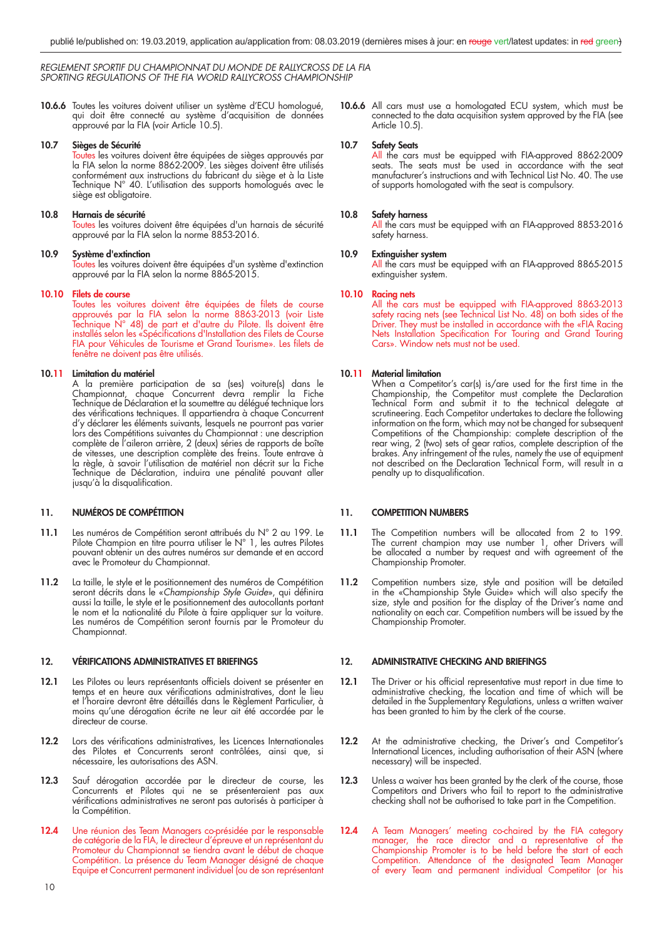**10.6.6** Toutes les voitures doivent utiliser un système d'ECU homologué, qui doit être connecté au système d'acquisition de données approuvé par la FIA (voir Article 10.5).

#### **10.7 Sièges de Sécurité**

Toutes les voitures doivent être équipées de sièges approuvés par la FIA selon la norme 8862-2009. Les sièges doivent être utilisés conformément aux instructions du fabricant du siège et à la Liste Technique N° 40. L'utilisation des supports homologués avec le siège est obligatoire.

#### **10.8 Harnais de sécurité**

Toutes les voitures doivent être équipées d'un harnais de sécurité approuvé par la FIA selon la norme 8853-2016.

#### **10.9 Système d'extinction**

Toutes les voitures doivent être équipées d'un système d'extinction approuvé par la FIA selon la norme 8865-2015.

#### **10.10 Filets de course**

Toutes les voitures doivent être équipées de filets de course approuvés par la FIA selon la norme 8863-2013 (voir Liste Technique N° 48) de part et d'autre du Pilote. Ils doivent être installés selon les «Spécifications d'Installation des Filets de Course FIA pour Véhicules de Tourisme et Grand Tourisme». Les filets de fenêtre ne doivent pas être utilisés.

#### **10.11 Limitation du matériel**

 A la première participation de sa (ses) voiture(s) dans le Championnat, chaque Concurrent devra remplir la Fiche Technique de Déclaration et la soumettre au délégué technique lors des vérifications techniques. Il appartiendra à chaque Concurrent d'y déclarer les éléments suivants, lesquels ne pourront pas varier lors des Compétitions suivantes du Championnat : une description complète de l'aileron arrière, 2 (deux) séries de rapports de boîte de vitesses, une description complète des freins. Toute entrave à la règle, à savoir l'utilisation de matériel non décrit sur la Fiche Technique de Déclaration, induira une pénalité pouvant aller jusqu'à la disqualification.

#### **11. NUMÉROS DE COMPÉTITION**

- **11.1** Les numéros de Compétition seront attribués du N° 2 au 199. Le Pilote Champion en titre pourra utiliser le N° 1, les autres Pilotes pouvant obtenir un des autres numéros sur demande et en accord avec le Promoteur du Championnat.
- **11.2** La taille, le style et le positionnement des numéros de Compétition seront décrits dans le «*Championship Style Guide*», qui définira aussi la taille, le style et le positionnement des autocollants portant le nom et la nationalité du Pilote à faire appliquer sur la voiture. Les numéros de Compétition seront fournis par le Promoteur du Championnat.

#### **12. VÉRIFICATIONS ADMINISTRATIVES ET BRIEFINGS**

- **12.1** Les Pilotes ou leurs représentants officiels doivent se présenter en temps et en heure aux vérifications administratives, dont le lieu et l'horaire devront être détaillés dans le Règlement Particulier, à moins qu'une dérogation écrite ne leur ait été accordée par le directeur de course.
- 12.2 Lors des vérifications administratives, les Licences Internationales des Pilotes et Concurrents seront contrôlées, ainsi que, si nécessaire, les autorisations des ASN.
- **12.3** Sauf dérogation accordée par le directeur de course, les Concurrents et Pilotes qui ne se présenteraient pas aux vérifications administratives ne seront pas autorisés à participer à la Compétition.
- **12.4** Une réunion des Team Managers co-présidée par le responsable de catégorie de la FIA, le directeur d'épreuve et un représentant du Promoteur du Championnat se tiendra avant le début de chaque Compétition. La présence du Team Manager désigné de chaque Equipe et Concurrent permanent individuel (ou de son représentant

**10.6.6** All cars must use a homologated ECU system, which must be connected to the data acquisition system approved by the FIA (see Article 10.5).

#### **10.7 Safety Seats**

All the cars must be equipped with FIA-approved 8862-2009 seats. The seats must be used in accordance with the seat manufacturer's instructions and with Technical List No. 40. The use of supports homologated with the seat is compulsory.

#### **10.8 Safety harness**

All the cars must be equipped with an FIA-approved 8853-2016 safety harness.

#### **10.9 Extinguisher system**

All the cars must be equipped with an FIA-approved 8865-2015 extinguisher system.

#### **10.10 Racing nets**

 All the cars must be equipped with FIA-approved 8863-2013 safety racing nets (see Technical List No. 48) on both sides of the Driver. They must be installed in accordance with the «FIA Racing Nets Installation Specification For Touring and Grand Touring Cars». Window nets must not be used.

#### **10.11 Material limitation**

When a Competitor's car(s) is/are used for the first time in the Championship, the Competitor must complete the Declaration Technical Form and submit it to the technical delegate at scrutineering. Each Competitor undertakes to declare the following information on the form, which may not be changed for subsequent Competitions of the Championship: complete description of the rear wing, 2 (two) sets of gear ratios, complete description of the brakes. Any infringement of the rules, namely the use of equipment not described on the Declaration Technical Form, will result in a penalty up to disqualification.

#### **11. COMPETITION NUMBERS**

- 11.1 The Competition numbers will be allocated from 2 to 199. The current champion may use number 1, other Drivers will be allocated a number by request and with agreement of the Championship Promoter.
- **11.2** Competition numbers size, style and position will be detailed in the «Championship Style Guide» which will also specify the size, style and position for the display of the Driver's name and nationality on each car. Competition numbers will be issued by the Championship Promoter.

#### **12. ADMINISTRATIVE CHECKING AND BRIEFINGS**

- **12.1** The Driver or his official representative must report in due time to administrative checking, the location and time of which will be detailed in the Supplementary Regulations, unless a written waiver has been granted to him by the clerk of the course.
- 12.2 At the administrative checking, the Driver's and Competitor's International Licences, including authorisation of their ASN (where necessary) will be inspected.
- 12.3 Unless a waiver has been granted by the clerk of the course, those Competitors and Drivers who fail to report to the administrative checking shall not be authorised to take part in the Competition.
- 12.4 A Team Managers' meeting co-chaired by the FIA category manager, the race director and a representative of the Championship Promoter is to be held before the start of each Competition. Attendance of the designated Team Manager of every Team and permanent individual Competitor (or his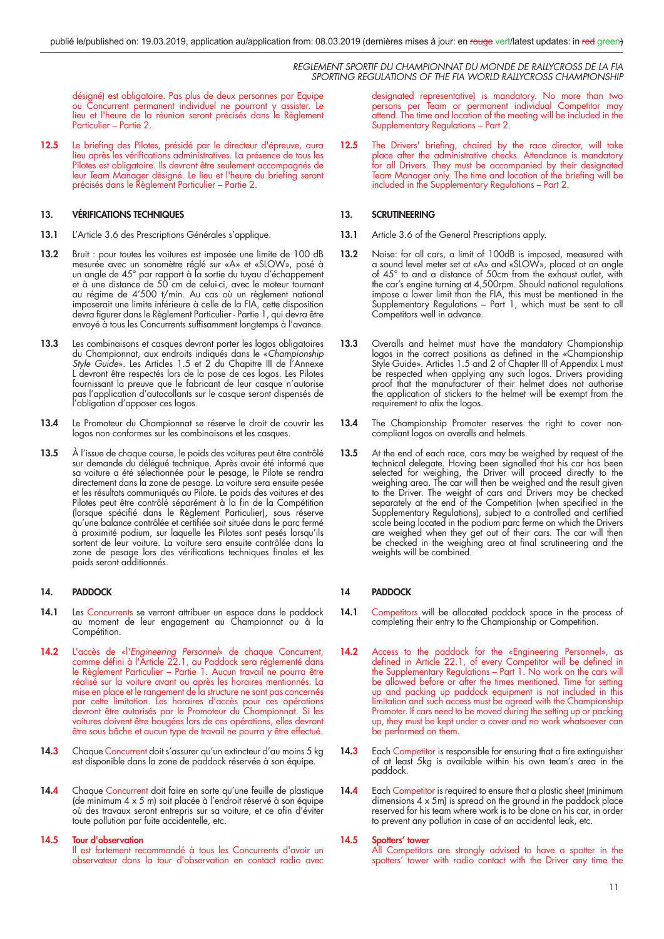désigné) est obligatoire. Pas plus de deux personnes par Equipe ou Concurrent permanent individuel ne pourront y assister. Le lieu et l'heure de la réunion seront précisés dans le Règlement Particulier – Partie 2.

12.5 Le briefing des Pilotes, présidé par le directeur d'épreuve, aura lieu après les vérifications administratives. La présence de tous les Pilotes est obligatoire. Ils devront être seulement accompagnés de leur Team Manager désigné. Le lieu et l'heure du briefing seront précisés dans le Règlement Particulier – Partie 2.

#### **13. VÉRIFICATIONS TECHNIQUES**

- **13.1** L'Article 3.6 des Prescriptions Générales s'applique.
- 13.2 Bruit : pour toutes les voitures est imposée une limite de 100 dB mesurée avec un sonomètre réglé sur «A» et «SLOW», posé à un angle de 45° par rapport à la sortie du tuyau d'échappement et à une distance de 50 cm de celui-ci, avec le moteur tournant au régime de 4'500 t/min. Au cas où un règlement national imposerait une limite inférieure à celle de la FIA, cette disposition devra figurer dans le Règlement Particulier - Partie 1, qui devra être envoyé à tous les Concurrents suffisamment longtemps à l'avance.
- **13.3** Les combinaisons et casques devront porter les logos obligatoires du Championnat, aux endroits indiqués dans le «*Championship Style Guide*». Les Articles 1.5 et 2 du Chapitre III de l'Annexe L devront être respectés lors de la pose de ces logos. Les Pilotes fournissant la preuve que le fabricant de leur casque n'autorise pas l'application d'autocollants sur le casque seront dispensés de l'obligation d'apposer ces logos.
- **13.4** Le Promoteur du Championnat se réserve le droit de couvrir les logos non conformes sur les combinaisons et les casques.
- **13.5** À l'issue de chaque course, le poids des voitures peut être contrôlé sur demande du délégué technique. Après avoir été informé que sa voiture a été sélectionnée pour le pesage, le Pilote se rendra directement dans la zone de pesage. La voiture sera ensuite pesée et les résultats communiqués au Pilote. Le poids des voitures et des Pilotes peut être contrôlé séparément à la fin de la Compétition (lorsque spécifié dans le Règlement Particulier), sous réserve qu'une balance contrôlée et certifiée soit située dans le parc fermé à proximité podium, sur laquelle les Pilotes sont pesés lorsqu'ils sortent de leur voiture. La voiture sera ensuite contrôlée dans la zone de pesage lors des vérifications techniques finales et les poids seront additionnés.

#### **14. PADDOCK**

- 14.1 Les Concurrents se verront attribuer un espace dans le paddock au moment de leur engagement au Championnat ou à la Compétition.
- **14.2** L'accès de «l'*Engineering Personnel*» de chaque Concurrent, comme défini à l'Article 22.1, au Paddock sera réglementé dans le Règlement Particulier – Partie 1. Aucun travail ne pourra être réalisé sur la voiture avant ou après les horaires mentionnés. La mise en place et le rangement de la structure ne sont pas concernés par cette limitation. Les horaires d'accès pour ces opérations devront être autorisés par le Promoteur du Championnat. Si les voitures doivent être bougées lors de ces opérations, elles devront être sous bâche et aucun type de travail ne pourra y être effectué.
- 14.3 Chaque Concurrent doit s'assurer qu'un extincteur d'au moins 5 kg est disponible dans la zone de paddock réservée à son équipe.
- 14.4 Chaque Concurrent doit faire en sorte qu'une feuille de plastique (de minimum 4 x 5 m) soit placée à l'endroit réservé à son équipe où des travaux seront entrepris sur sa voiture, et ce afin d'éviter toute pollution par fuite accidentelle, etc.

#### **14.5 Tour d'observation**

 Il est fortement recommandé à tous les Concurrents d'avoir un observateur dans la tour d'observation en contact radio avec designated representative) is mandatory. No more than two persons per Team or permanent individual Competitor may attend. The time and location of the meeting will be included in the Supplementary Regulations – Part 2.

**12.5** The Drivers' briefing, chaired by the race director, will take place after the administrative checks. Attendance is mandatory for all Drivers. They must be accompanied by their designated Team Manager only. The time and location of the briefing will be included in the Supplementary Regulations – Part 2.

#### **13. SCRUTINEERING**

- **13.1** Article 3.6 of the General Prescriptions apply.
- 13.2 Noise: for all cars, a limit of 100dB is imposed, measured with a sound level meter set at «A» and «SLOW», placed at an angle of 45° to and a distance of 50cm from the exhaust outlet, with the car's engine turning at 4,500rpm. Should national regulations impose a lower limit than the FIA, this must be mentioned in the Supplementary Regulations – Part 1, which must be sent to all Competitors well in advance.
- **13.3** Overalls and helmet must have the mandatory Championship logos in the correct positions as defined in the «Championship Style Guide». Articles 1.5 and 2 of Chapter III of Appendix L must be respected when applying any such logos. Drivers providing proof that the manufacturer of their helmet does not authorise the application of stickers to the helmet will be exempt from the requirement to afix the logos.
- **13.4** The Championship Promoter reserves the right to cover noncompliant logos on overalls and helmets.
- **13.5** At the end of each race, cars may be weighed by request of the technical delegate. Having been signalled that his car has been selected for weighing, the Driver will proceed directly to the weighing area. The car will then be weighed and the result given to the Driver. The weight of cars and Drivers may be checked separately at the end of the Competition (when specified in the Supplementary Regulations), subject to a controlled and certified scale being located in the podium parc ferme on which the Drivers are weighed when they get out of their cars. The car will then be checked in the weighing area at final scrutineering and the weights will be combined.

#### **14 PADDOCK**

- 14.1 Competitors will be allocated paddock space in the process of completing their entry to the Championship or Competition.
- **14.2** Access to the paddock for the «Engineering Personnel», as defined in Article 22.1, of every Competitor will be defined in the Supplementary Regulations – Part 1. No work on the cars will be allowed before or after the times mentioned. Time for setting up and packing up paddock equipment is not included in this limitation and such access must be agreed with the Championship Promoter. If cars need to be moved during the setting up or packing up, they must be kept under a cover and no work whatsoever can be performed on them.
- **14.3** Each Competitor is responsible for ensuring that a fire extinguisher of at least 5kg is available within his own team's area in the paddock.
- 14.4 Each Competitor is required to ensure that a plastic sheet (minimum dimensions  $4 \times 5$ m) is spread on the ground in the paddock place reserved for his team where work is to be done on his car, in order to prevent any pollution in case of an accidental leak, etc.

#### **14.5 Spotters' tower**

All Competitors are strongly advised to have a spotter in the spotters' tower with radio contact with the Driver any time the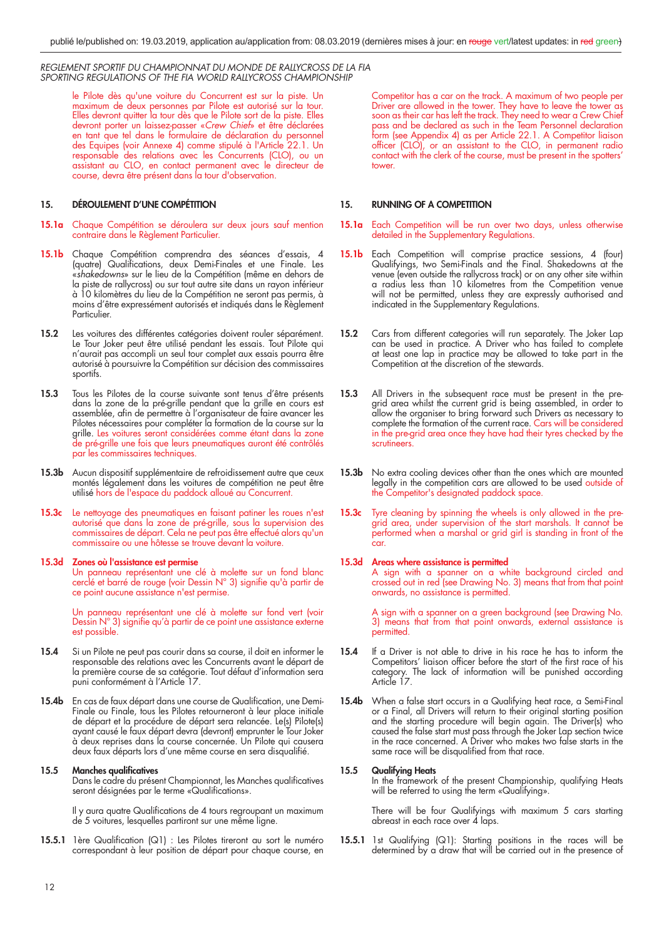le Pilote dès qu'une voiture du Concurrent est sur la piste. Un maximum de deux personnes par Pilote est autorisé sur la tour. Elles devront quitter la tour dès que le Pilote sort de la piste. Elles devront porter un laissez-passer «*Crew Chief*» et être déclarées en tant que tel dans le formulaire de déclaration du personnel des Equipes (voir Annexe 4) comme stipulé à l'Article 22.1. Un responsable des relations avec les Concurrents (CLO), ou un assistant au CLO, en contact permanent avec le directeur de course, devra être présent dans la tour d'observation.

#### **15. DÉROULEMENT D'UNE COMPÉTITION**

- **15.1a** Chaque Compétition se déroulera sur deux jours sauf mention contraire dans le Règlement Particulier.
- **15.1b** Chaque Compétition comprendra des séances d'essais, 4 (quatre) Qualifications, deux Demi-Finales et une Finale. Les «*shakedowns*» sur le lieu de la Compétition (même en dehors de la piste de rallycross) ou sur tout autre site dans un rayon inférieur à 10 kilomètres du lieu de la Compétition ne seront pas permis, à moins d'être expressément autorisés et indiqués dans le Règlement Particulier.
- **15.2** Les voitures des différentes catégories doivent rouler séparément. Le Tour Joker peut être utilisé pendant les essais. Tout Pilote qui n'aurait pas accompli un seul tour complet aux essais pourra être autorisé à poursuivre la Compétition sur décision des commissaires sportifs.
- **15.3** Tous les Pilotes de la course suivante sont tenus d'être présents dans la zone de la pré-grille pendant que la grille en cours est assemblée, afin de permettre à l'organisateur de faire avancer les Pilotes nécessaires pour compléter la formation de la course sur la grille. Les voitures seront considérées comme étant dans la zone de pré-grille une fois que leurs pneumatiques auront été contrôlés par les commissaires techniques.
- 15.3b Aucun dispositif supplémentaire de refroidissement autre que ceux montés légalement dans les voitures de compétition ne peut être utilisé hors de l'espace du paddock alloué au Concurrent.
- **15.3c** Le nettoyage des pneumatiques en faisant patiner les roues n'est autorisé que dans la zone de pré-grille, sous la supervision des commissaires de départ. Cela ne peut pas être effectué alors qu'un commissaire ou une hôtesse se trouve devant la voiture.

#### **15.3d Zones où l'assistance est permise**

 Un panneau représentant une clé à molette sur un fond blanc cerclé et barré de rouge (voir Dessin  $N^{\circ}$  3) signifie qu'à partir de ce point aucune assistance n'est permise.

> Un panneau représentant une clé à molette sur fond vert (voir Dessin N° 3) signifie qu'à partir de ce point une assistance externe est possible.

- **15.4** Si un Pilote ne peut pas courir dans sa course, il doit en informer le responsable des relations avec les Concurrents avant le départ de la première course de sa catégorie. Tout défaut d'information sera puni conformément à l'Article 17.
- 15.4b En cas de faux départ dans une course de Qualification, une Demi-Finale ou Finale, tous les Pilotes retourneront à leur place initiale de départ et la procédure de départ sera relancée. Le(s) Pilote(s) ayant causé le faux départ devra (devront) emprunter le Tour Joker à deux reprises dans la course concernée. Un Pilote qui causera deux faux départs lors d'une même course en sera disqualifié.

#### **15.5 Manches qualificatives**

Dans le cadre du présent Championnat, les Manches qualificatives seront désignées par le terme «Qualifications».

 Il y aura quatre Qualifi cations de 4 tours regroupant un maximum de 5 voitures, lesquelles partiront sur une même ligne.

**15.5.1** 1ère Qualification (Q1) : Les Pilotes tireront au sort le numéro correspondant à leur position de départ pour chaque course, en Competitor has a car on the track. A maximum of two people per Driver are allowed in the tower. They have to leave the tower as soon as their car has left the track. They need to wear a Crew Chief pass and be declared as such in the Team Personnel declaration form (see Appendix 4) as per Article 22.1. A Competitor liaison officer (CLO), or an assistant to the CLO, in permanent radio contact with the clerk of the course, must be present in the spotters' tower.

#### **15. RUNNING OF A COMPETITION**

- 15.1a Each Competition will be run over two days, unless otherwise detailed in the Supplementary Regulations.
- **15.1b** Each Competition will comprise practice sessions, 4 (four) Qualifyings, two Semi-Finals and the Final. Shakedowns at the venue (even outside the rallycross track) or on any other site within a radius less than 10 kilometres from the Competition venue will not be permitted, unless they are expressly authorised and indicated in the Supplementary Regulations.
- **15.2** Cars from different categories will run separately. The Joker Lap can be used in practice. A Driver who has failed to complete at least one lap in practice may be allowed to take part in the Competition at the discretion of the stewards.
- **15.3** All Drivers in the subsequent race must be present in the pregrid area whilst the current grid is being assembled, in order to allow the organiser to bring forward such Drivers as necessary to complete the formation of the current race. Cars will be considered in the pre-grid area once they have had their tyres checked by the scrutineers.
- 15.3b No extra cooling devices other than the ones which are mounted legally in the competition cars are allowed to be used outside of the Competitor's designated paddock space.
- **15.3c** Tyre cleaning by spinning the wheels is only allowed in the pregrid area, under supervision of the start marshals. It cannot be performed when a marshal or grid girl is standing in front of the car.

#### **15.3d Areas where assistance is permitted**

 A sign with a spanner on a white background circled and crossed out in red (see Drawing No. 3) means that from that point onwards, no assistance is permitted.

 A sign with a spanner on a green background (see Drawing No. 3) means that from that point onwards, external assistance is permitted.

- **15.4** If a Driver is not able to drive in his race he has to inform the Competitors' liaison officer before the start of the first race of his category. The lack of information will be punished according Article 17.
- **15.4b** When a false start occurs in a Qualifying heat race, a Semi-Final or a Final, all Drivers will return to their original starting position and the starting procedure will begin again. The Driver(s) who caused the false start must pass through the Joker Lap section twice in the race concerned. A Driver who makes two false starts in the same race will be disqualified from that race.

#### **15.5 Qualifying Heats**

In the framework of the present Championship, qualifying Heats will be referred to using the term «Qualifying».

 There will be four Qualifyings with maximum 5 cars starting abreast in each race over 4 laps.

**15.5.1** 1st Qualifying (Q1): Starting positions in the races will be determined by a draw that will be carried out in the presence of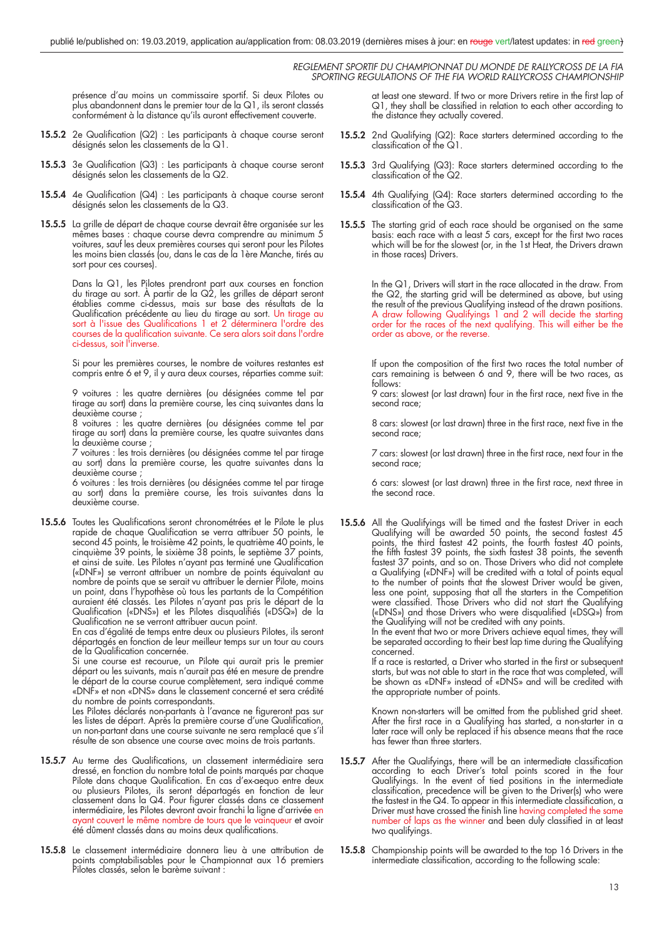présence d'au moins un commissaire sportif. Si deux Pilotes ou plus abandonnent dans le premier tour de la Q1, ils seront classés conformément à la distance qu'ils auront effectivement couverte.

- **15.5.2** 2e Qualification (Q2) : Les participants à chaque course seront désignés selon les classements de la Q1.
- **15.5.3** 3e Qualification (Q3) : Les participants à chaque course seront désignés selon les classements de la Q2.
- **15.5.4** 4e Qualification (Q4) : Les participants à chaque course seront désignés selon les classements de la Q3.
- **15.5.5** La grille de départ de chaque course devrait être organisée sur les mêmes bases : chaque course devra comprendre au minimum 5 voitures, sauf les deux premières courses qui seront pour les Pilotes les moins bien classés (ou, dans le cas de la 1ère Manche, tirés au sort pour ces courses).

 Dans la Q1, les Pilotes prendront part aux courses en fonction du tirage au sort. À partir de la Q2, les grilles de départ seront établies comme ci-dessus, mais sur base des résultats de la Qualification précédente au lieu du tirage au sort. Un tirage au sort à l'issue des Qualifications 1 et 2 déterminera l'ordre des courses de la qualification suivante. Ce sera alors soit dans l'ordre ci-dessus, soit l'inverse.

 Si pour les premières courses, le nombre de voitures restantes est compris entre 6 et 9, il y aura deux courses, réparties comme suit:

> 9 voitures : les quatre dernières (ou désignées comme tel par tirage au sort) dans la première course, les cinq suivantes dans la deuxième course ;

> 8 voitures : les quatre dernières (ou désignées comme tel par tirage au sort) dans la première course, les quatre suivantes dans la deuxième course

> 7 voitures : les trois dernières (ou désignées comme tel par tirage au sort) dans la première course, les quatre suivantes dans la deuxième course ;

> 6 voitures : les trois dernières (ou désignées comme tel par tirage au sort) dans la première course, les trois suivantes dans la deuxième course.

**15.5.6** Toutes les Qualifications seront chronométrées et le Pilote le plus rapide de chaque Qualification se verra attribuer 50 points, le second 45 points, le troisième 42 points, le quatrième 40 points, le cinquième 39 points, le sixième 38 points, le septième 37 points, et ainsi de suite. Les Pilotes n'ayant pas terminé une Qualification («DNF») se verront attribuer un nombre de points équivalant au nombre de points que se serait vu attribuer le dernier Pilote, moins un point, dans l'hypothèse où tous les partants de la Compétition auraient été classés. Les Pilotes n'ayant pas pris le départ de la Qualification («DNS») et les Pilotes disqualifiés («DSQ») de la Qualification ne se verront attribuer aucun point.

 En cas d'égalité de temps entre deux ou plusieurs Pilotes, ils seront départagés en fonction de leur meilleur temps sur un tour au cours de la Qualification concernée.

 Si une course est recourue, un Pilote qui aurait pris le premier départ ou les suivants, mais n'aurait pas été en mesure de prendre le départ de la course courue complètement, sera indiqué comme «DNF» et non «DNS» dans le classement concerné et sera crédité du nombre de points correspondants.

Les Pilotes déclarés non-partants à l'avance ne figureront pas sur les listes de départ. Après la première course d'une Qualification, un non-partant dans une course suivante ne sera remplacé que s'il résulte de son absence une course avec moins de trois partants.

- 15.5.7 Au terme des Qualifications, un classement intermédiaire sera dressé, en fonction du nombre total de points marqués par chaque Pilote dans chaque Qualification. En cas d'ex-aequo entre deux ou plusieurs Pilotes, ils seront départagés en fonction de leur classement dans la Q4. Pour figurer classés dans ce classement intermédiaire, les Pilotes devront avoir franchi la ligne d'arrivée en ayant couvert le même nombre de tours que le vainqueur et avoir été dûment classés dans au moins deux qualifications.
- **15.5.8** Le classement intermédiaire donnera lieu à une attribution de points comptabilisables pour le Championnat aux 16 premiers Pilotes classés, selon le barème suivant :

at least one steward. If two or more Drivers retire in the first lap of  $Q1$ , they shall be classified in relation to each other according to the distance they actually covered.

- **15.5.2** 2nd Qualifying (Q2): Race starters determined according to the classification of the  $Q1$ .
- **15.5.3** 3rd Qualifying (Q3): Race starters determined according to the classification of the  $\Omega$ .
- **15.5.4** 4th Qualifying (Q4): Race starters determined according to the classification of the  $Q3$ .
- **15.5.5** The starting grid of each race should be organised on the same basis: each race with a least 5 cars, except for the first two races which will be for the slowest (or, in the 1st Heat, the Drivers drawn in those races) Drivers.

 In the Q1, Drivers will start in the race allocated in the draw. From the Q2, the starting grid will be determined as above, but using the result of the previous Qualifying instead of the drawn positions. A draw following Qualifyings 1 and 2 will decide the starting order for the races of the next qualifying. This will either be the order as above, or the reverse.

If upon the composition of the first two races the total number of cars remaining is between 6 and 9, there will be two races, as follows:

9 cars: slowest (or last drawn) four in the first race, next five in the second race;

8 cars: slowest (or last drawn) three in the first race, next five in the second race;

7 cars: slowest (or last drawn) three in the first race, next four in the second race;

6 cars: slowest (or last drawn) three in the first race, next three in the second race.

**15.5.6** All the Qualifyings will be timed and the fastest Driver in each Qualifying will be awarded 50 points, the second fastest 45 points, the third fastest 42 points, the fourth fastest 40 points, the fifth fastest 39 points, the sixth fastest 38 points, the seventh fastest 37 points, and so on. Those Drivers who did not complete a Qualifying («DNF») will be credited with a total of points equal to the number of points that the slowest Driver would be given, less one point, supposing that all the starters in the Competition were classified. Those Drivers who did not start the Qualifying («DNS») and those Drivers who were disqualified («DSQ») from the Qualifying will not be credited with any points.

In the event that two or more Drivers achieve equal times, they will be separated according to their best lap time during the Qualifying concerned.

If a race is restarted, a Driver who started in the first or subsequent starts, but was not able to start in the race that was completed, will be shown as «DNF» instead of «DNS» and will be credited with the appropriate number of points.

> Known non-starters will be omitted from the published grid sheet. After the first race in a Qualifying has started, a non-starter in a later race will only be replaced if his absence means that the race has fewer than three starters.

- **15.5.7** After the Qualifyings, there will be an intermediate classification according to each Driver's total points scored in the four Qualifyings. In the event of tied positions in the intermediate classification, precedence will be given to the Driver(s) who were the fastest in the  $Q4$ . To appear in this intermediate classification, a Driver must have crossed the finish line having completed the same number of laps as the winner and been duly classified in at least two qualifyings.
- **15.5.8** Championship points will be awarded to the top 16 Drivers in the intermediate classification, according to the following scale: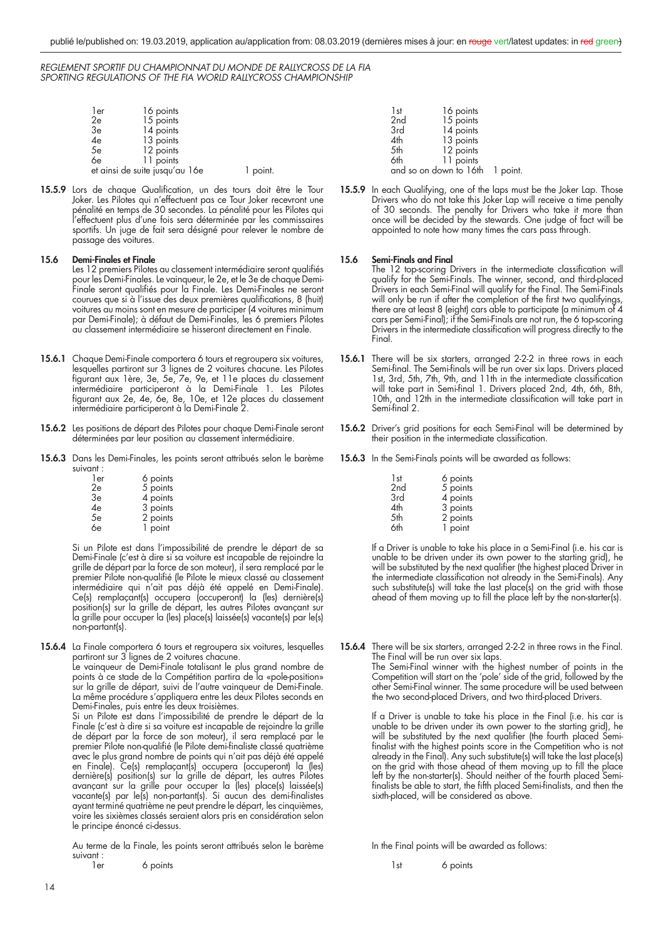| l er | 16 points                      |        |
|------|--------------------------------|--------|
| 2e   | 15 points                      |        |
| 3e   | 14 points                      |        |
| 4e   | 13 points                      |        |
| 5e   | 12 points                      |        |
| 6e   | 11 points                      |        |
|      | et ainsi de suite jusqu'au 16e | point. |

15.5.9 Lors de chaque Qualification, un des tours doit être le Tour Joker. Les Pilotes qui n'effectuent pas ce Tour Joker recevront une pénalité en temps de 30 secondes. La pénalité pour les Pilotes qui l'effectuent plus d'une fois sera déterminée par les commissaires sportifs. Un juge de fait sera désigné pour relever le nombre de passage des voitures.

#### **15.6 Demi-Finales et Finale**

- Les 12 premiers Pilotes au classement intermédiaire seront qualifiés pour les Demi-Finales. Le vainqueur, le 2e, et le 3e de chaque Demi-Finale seront qualifiés pour la Finale. Les Demi-Finales ne seront courues que si à l'issue des deux premières qualifications, 8 (huit) voitures au moins sont en mesure de participer (4 voitures minimum par Demi-Finale); à défaut de Demi-Finales, les 6 premiers Pilotes au classement intermédiaire se hisseront directement en Finale.
- **15.6.1** Chaque Demi-Finale comportera 6 tours et regroupera six voitures, lesquelles partiront sur 3 lignes de 2 voitures chacune. Les Pilotes figurant aux 1ère, 3e, 5e, 7e, 9e, et 11e places du classement intermédiaire participeront à la Demi-Finale 1. Les Pilotes fi gurant aux 2e, 4e, 6e, 8e, 10e, et 12e places du classement intermédiaire participeront à la Demi-Finale 2.
- **15.6.2** Les positions de départ des Pilotes pour chaque Demi-Finale seront déterminées par leur position au classement intermédiaire.
- **15.6.3** Dans les Demi-Finales, les points seront attribués selon le barème suivant :

| 1er | 6 points |
|-----|----------|
| 2e  | 5 points |
| Зe  | 4 points |
| 4e  | 3 points |
| 5e  | 2 points |
| 6e  | 1 point  |

 Si un Pilote est dans l'impossibilité de prendre le départ de sa Demi-Finale (c'est à dire si sa voiture est incapable de rejoindre la grille de départ par la force de son moteur), il sera remplacé par le premier Pilote non-qualifié (le Pilote le mieux classé au classement intermédiaire qui n'ait pas déjà été appelé en Demi-Finale). Ce(s) remplaçant(s) occupera (occuperont) la (les) dernière(s) position(s) sur la grille de départ, les autres Pilotes avançant sur la grille pour occuper la (les) place(s) laissée(s) vacante(s) par le(s) non-partant(s).

**15.6.4** La Finale comportera 6 tours et regroupera six voitures, lesquelles partiront sur 3 lignes de 2 voitures chacune. Le vainqueur de Demi-Finale totalisant le plus grand nombre de points à ce stade de la Compétition partira de la «pole-position»

sur la grille de départ, suivi de l'autre vainqueur de Demi-Finale. La même procédure s'appliquera entre les deux Pilotes seconds en Demi-Finales, puis entre les deux troisièmes. Si un Pilote est dans l'impossibilité de prendre le départ de la

Finale (c'est à dire si sa voiture est incapable de rejoindre la grille de départ par la force de son moteur), il sera remplacé par le premier Pilote non-qualifié (le Pilote demi-finaliste classé quatrième avec le plus grand nombre de points qui n'ait pas déjà été appelé en Finale). Ce(s) remplaçant(s) occupera (occuperont) la (les) dernière(s) position(s) sur la grille de départ, les autres Pilotes avançant sur la grille pour occuper la (les) place(s) laissée(s) vacante(s) par le(s) non-partant(s). Si aucun des demi-finalistes ayant terminé quatrième ne peut prendre le départ, les cinquièmes, voire les sixièmes classés seraient alors pris en considération selon le principe énoncé ci-dessus.

 Au terme de la Finale, les points seront attribués selon le barème suivant :

1er 6 points

| ו כו            | <b>I'V</b> PUILIIS              |  |
|-----------------|---------------------------------|--|
| 2 <sub>nd</sub> | 15 points                       |  |
| 3rd             | 14 points                       |  |
| 4th             | 13 points                       |  |
| 5th             | 12 points                       |  |
| 6th             | 11 points                       |  |
|                 | and so on down to 16th 1 point. |  |
|                 |                                 |  |

 $1$ st  $16$  points

**15.5.9** In each Qualifying, one of the laps must be the Joker Lap. Those Drivers who do not take this Joker Lap will receive a time penalty of 30 seconds. The penalty for Drivers who take it more than once will be decided by the stewards. One judge of fact will be appointed to note how many times the cars pass through.

#### **15.6 Semi-Finals and Final**

- The 12 top-scoring Drivers in the intermediate classification will qualify for the Semi-Finals. The winner, second, and third-placed Drivers in each Semi-Final will qualify for the Final. The Semi-Finals will only be run if after the completion of the first two qualifyings, there are at least 8 (eight) cars able to participate (a minimum of 4 cars per Semi-Final); if the Semi-Finals are not run, the 6 top-scoring Drivers in the intermediate classification will progress directly to the Final.
- 15.6.1 There will be six starters, arranged 2-2-2 in three rows in each Semi-final. The Semi-finals will be run over six laps. Drivers placed 1st, 3rd, 5th, 7th, 9th, and 11th in the intermediate classification will take part in Semi-final 1. Drivers placed 2nd, 4th, 6th, 8th, 10th, and 12th in the intermediate classification will take part in Semi-final 2.
- **15.6.2** Driver's grid positions for each Semi-Final will be determined by their position in the intermediate classification.
- **15.6.3** In the Semi-Finals points will be awarded as follows:

| 1st             | 6 points |
|-----------------|----------|
| 2 <sub>nd</sub> | 5 points |
| 3rd             | 4 points |
| 4th             | 3 points |
| 5th             | 2 points |
| 6th             | 1 point  |

 If a Driver is unable to take his place in a Semi-Final (i.e. his car is unable to be driven under its own power to the starting grid), he will be substituted by the next qualifier (the highest placed Driver in the intermediate classification not already in the Semi-Finals). Any such substitute(s) will take the last place(s) on the grid with those ahead of them moving up to fill the place left by the non-starter(s).

**15.6.4** There will be six starters, arranged 2-2-2 in three rows in the Final. The Final will be run over six laps.

The Semi-Final winner with the highest number of points in the Competition will start on the 'pole' side of the grid, followed by the other Semi-Final winner. The same procedure will be used between the two second-placed Drivers, and two third-placed Drivers.

 If a Driver is unable to take his place in the Final (i.e. his car is unable to be driven under its own power to the starting grid), he will be substituted by the next qualifier (the fourth placed Semifinalist with the highest points score in the Competition who is not already in the Final). Any such substitute(s) will take the last place(s) on the grid with those ahead of them moving up to fill the place left by the non-starter(s). Should neither of the fourth placed Semifinalists be able to start, the fifth placed Semi-finalists, and then the sixth-placed, will be considered as above.

In the Final points will be awarded as follows:

1st 6 points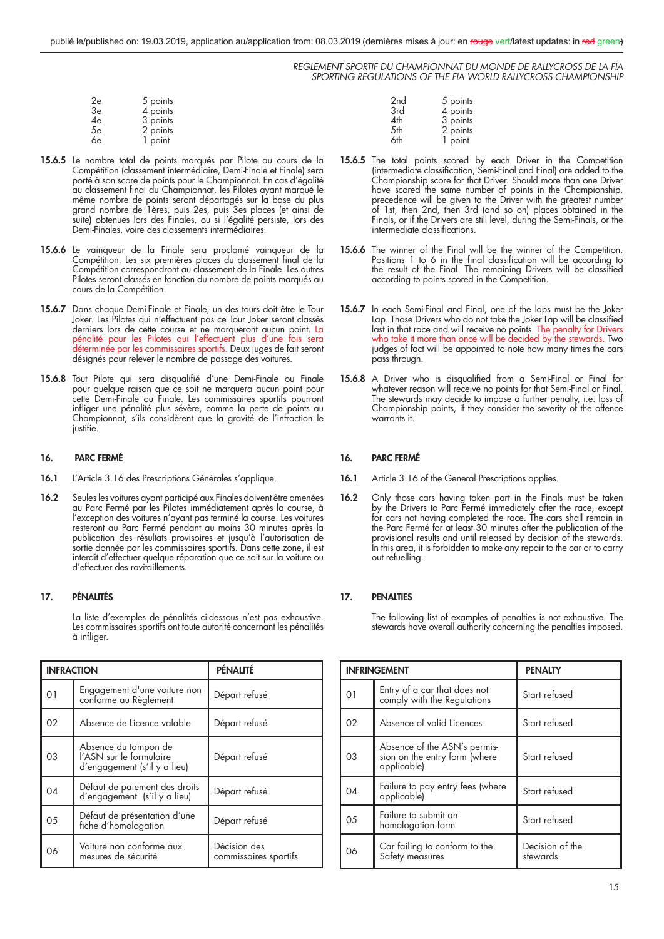| 2e | 5 points |
|----|----------|
| 3e | 4 points |
| 4e | 3 points |
| 5e | 2 points |
| 6e | 1 point  |

- **15.6.5** Le nombre total de points marqués par Pilote au cours de la Compétition (classement intermédiaire, Demi-Finale et Finale) sera porté à son score de points pour le Championnat. En cas d'égalité au classement final du Championnat, les Pilotes ayant marqué le même nombre de points seront départagés sur la base du plus grand nombre de 1ères, puis 2es, puis 3es places (et ainsi de suite) obtenues lors des Finales, ou si l'égalité persiste, lors des Demi-Finales, voire des classements intermédiaires.
- **15.6.6** Le vainqueur de la Finale sera proclamé vainqueur de la Compétition. Les six premières places du classement final de la Compétition correspondront au classement de la Finale. Les autres Pilotes seront classés en fonction du nombre de points marqués au cours de la Compétition.
- **15.6.7** Dans chaque Demi-Finale et Finale, un des tours doit être le Tour Joker. Les Pilotes qui n'effectuent pas ce Tour Joker seront classés derniers lors de cette course et ne marqueront aucun point. La pénalité pour les Pilotes qui l'effectuent plus d'une fois sera déterminée par les commissaires sportifs. Deux juges de fait seront désignés pour relever le nombre de passage des voitures.
- 15.6.8 Tout Pilote qui sera disqualifié d'une Demi-Finale ou Finale pour quelque raison que ce soit ne marquera aucun point pour cette Demi-Finale ou Finale. Les commissaires sportifs pourront infl iger une pénalité plus sévère, comme la perte de points au Championnat, s'ils considèrent que la gravité de l'infraction le justifie.

#### **16. PARC FERMÉ**

- **16.1** L'Article 3.16 des Prescriptions Générales s'applique.
- **16.2** Seules les voitures ayant participé aux Finales doivent être amenées au Parc Fermé par les Pilotes immédiatement après la course, à l'exception des voitures n'ayant pas terminé la course. Les voitures resteront au Parc Fermé pendant au moins 30 minutes après la publication des résultats provisoires et jusqu'à l'autorisation de sortie donnée par les commissaires sportifs. Dans cette zone, il est interdit d'effectuer quelque réparation que ce soit sur la voiture ou d'effectuer des ravitaillements.

#### **17. PÉNALITÉS**

 La liste d'exemples de pénalités ci-dessous n'est pas exhaustive. Les commissaires sportifs ont toute autorité concernant les pénalités à infliger.

| <b>INFRACTION</b> |                                                                                 | PÉNALITÉ                              |
|-------------------|---------------------------------------------------------------------------------|---------------------------------------|
| O <sub>1</sub>    | Engagement d'une voiture non<br>conforme au Règlement                           | Départ refusé                         |
| 02                | Absence de Licence valable                                                      | Départ refusé                         |
| 03                | Absence du tampon de<br>l'ASN sur le formulaire<br>d'engagement (s'il y a lieu) | Départ refusé                         |
| 04                | Défaut de paiement des droits<br>d'engagement (s'il y a lieu)                   | Départ refusé                         |
| 05                | Défaut de présentation d'une<br>fiche d'homologation                            | Départ refusé                         |
| 06                | Voiture non conforme aux<br>mesures de sécurité                                 | Décision des<br>commissaires sportifs |

| 2 <sub>nd</sub> | 5 points |
|-----------------|----------|
| 3rd             | 4 points |
| 4th             | 3 points |
| 5th             | 2 points |
| 6th             | 1 point  |

- **15.6.5** The total points scored by each Driver in the Competition (intermediate classification, Semi-Final and Final) are added to the Championship score for that Driver. Should more than one Driver have scored the same number of points in the Championship, precedence will be given to the Driver with the greatest number of 1st, then 2nd, then 3rd (and so on) places obtained in the Finals, or if the Drivers are still level, during the Semi-Finals, or the intermediate classifications.
- 15.6.6 The winner of the Final will be the winner of the Competition. Positions 1 to 6 in the final classification will be according to the result of the Final. The remaining Drivers will be classified according to points scored in the Competition.
- 15.6.7 In each Semi-Final and Final, one of the laps must be the Joker Lap. Those Drivers who do not take the Joker Lap will be classified last in that race and will receive no points. The penalty for Drivers who take it more than once will be decided by the stewards. Two judges of fact will be appointed to note how many times the cars pass through.
- 15.6.8 A Driver who is disqualified from a Semi-Final or Final for whatever reason will receive no points for that Semi-Final or Final. The stewards may decide to impose a further penalty, i.e. loss of Championship points, if they consider the severity of the offence warrants it.

#### **16. PARC FERMÉ**

- 16.1 Article 3.16 of the General Prescriptions applies.
- **16.2** Only those cars having taken part in the Finals must be taken by the Drivers to Parc Fermé immediately after the race, except for cars not having completed the race. The cars shall remain in the Parc Fermé for at least 30 minutes after the publication of the provisional results and until released by decision of the stewards. In this area, it is forbidden to make any repair to the car or to carry out refuelling.

#### **17. PENALTIES**

 The following list of examples of penalties is not exhaustive. The stewards have overall authority concerning the penalties imposed.

|                | <b>INFRINGEMENT</b>                                                          | <b>PENALTY</b>              |
|----------------|------------------------------------------------------------------------------|-----------------------------|
| 01             | Entry of a car that does not<br>comply with the Regulations                  | Start refused               |
| 02             | Absence of valid Licences                                                    | Start refused               |
| 0 <sub>3</sub> | Absence of the ASN's permis-<br>sion on the entry form (where<br>applicable) | Start refused               |
| 04             | Failure to pay entry fees (where<br>applicable)                              | Start refused               |
| 05             | Failure to submit an<br>homologation form                                    | Start refused               |
| 06             | Car failing to conform to the<br>Safety measures                             | Decision of the<br>stewards |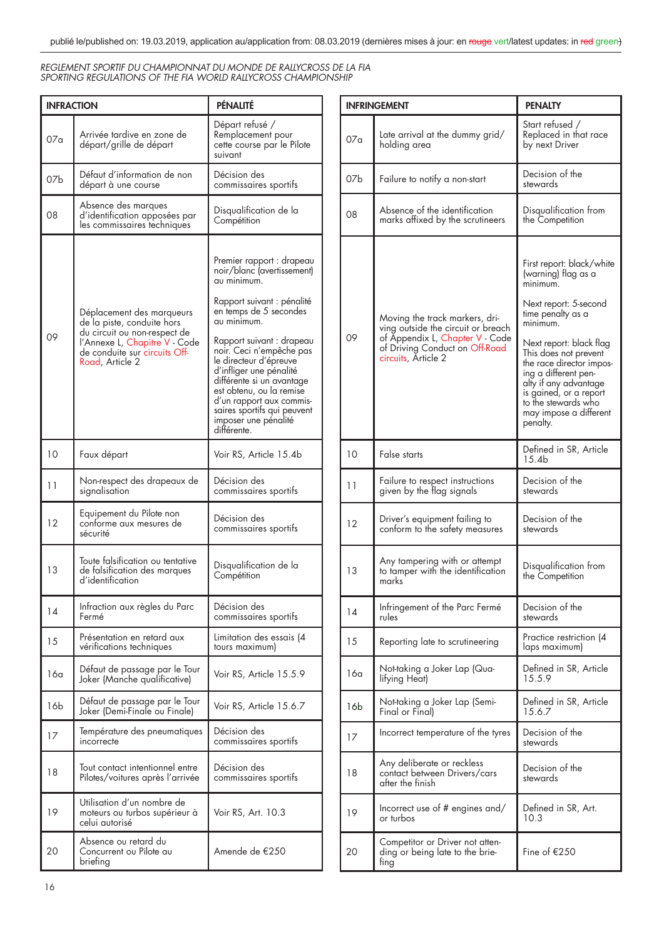| <b>INFRACTION</b> |                                                                                         | PÉNALITÉ                                                                                                                                                                                                                                 |
|-------------------|-----------------------------------------------------------------------------------------|------------------------------------------------------------------------------------------------------------------------------------------------------------------------------------------------------------------------------------------|
| 07 <sub>a</sub>   | Arrivée tardive en zone de<br>départ/grille de départ                                   | Départ refusé /<br>Remplacement pour<br>cette course par le Pilote<br>suivant                                                                                                                                                            |
| 07 <sub>b</sub>   | Défaut d'information de non<br>départ à une course                                      | Décision des<br>commissaires sportifs                                                                                                                                                                                                    |
| 08                | Absence des marques<br>d'identification apposées par<br>les commissaires techniques     | Disqualification de la<br>Compétition                                                                                                                                                                                                    |
| 09                | Déplacement des marqueurs<br>de la piste, conduite hors<br>du circuit ou non-respect de | Premier rapport : drapeau<br>noir/blanc (avertissement)<br>au minimum.<br>Rapport suivant : pénalité<br>en temps de 5 secondes<br>au minimum.<br>Rapport suivant : drapeau                                                               |
|                   | l'Annexe L, Chapitre V - Code<br>de conduite sur circuits Off-<br>Road, Article 2       | noir. Ceci n'empêche pas<br>le directeur d'épreuve<br>d'infliger une pénalité<br>différente si un avantage<br>est obtenu, ou la remise<br>d'un rapport aux commis-<br>saires sportifs qui peuvent<br>imposer une pénalité<br>différente. |
| 10                | Faux départ                                                                             | Voir RS, Article 15.4b                                                                                                                                                                                                                   |
| 11                | Non-respect des drapeaux de<br>signalisation                                            | Décision des<br>commissaires sportifs                                                                                                                                                                                                    |
| 12                | Equipement du Pilote non<br>conforme aux mesures de<br>sécurité                         | Décision des<br>commissaires sportifs                                                                                                                                                                                                    |
| 13                | Toute falsification ou tentative<br>de falsification des marques<br>d'identification    | Disqualification de la<br>Compétition                                                                                                                                                                                                    |
| 14                | Infraction aux règles du Parc<br>Fermé                                                  | Décision des<br>commissaires sportifs                                                                                                                                                                                                    |
| 15                | Présentation en retard aux<br>vérifications techniques                                  | Limitation des essais (4<br>tours maximum)                                                                                                                                                                                               |
| 16a               | Défaut de passage par le Tour<br>Joker (Manche qualificative)                           | Voir RS, Article 15.5.9                                                                                                                                                                                                                  |
| 16b               | Défaut de passage par le Tour<br>Joker (Demi-Finale ou Finale)                          | Voir RS, Article 15.6.7                                                                                                                                                                                                                  |
| 17                | Température des pneumatiques<br>incorrecte                                              | Décision des<br>commissaires sportifs                                                                                                                                                                                                    |
| 18                | Tout contact intentionnel entre<br>Pilotes/voitures après l'arrivée                     | Décision des<br>commissaires sportifs                                                                                                                                                                                                    |
| 19                | Utilisation d'un nombre de<br>moteurs ou turbos supérieur à<br>celui autorisé           | Voir RS, Art. 10.3                                                                                                                                                                                                                       |
| 20                | Absence ou retard du<br>Concurrent ou Pilote au<br>briefing                             | Amende de €250                                                                                                                                                                                                                           |

| <b>INFRINGEMENT</b> |                                                                                                                                                                  | <b>PENALTY</b>                                                                                                                                                                                                                                                                                                                                |
|---------------------|------------------------------------------------------------------------------------------------------------------------------------------------------------------|-----------------------------------------------------------------------------------------------------------------------------------------------------------------------------------------------------------------------------------------------------------------------------------------------------------------------------------------------|
| 07a                 | Late arrival at the dummy grid/<br>holding area                                                                                                                  | Start refused /<br>Replaced in that race<br>by next Driver                                                                                                                                                                                                                                                                                    |
| 07b                 | Failure to notify a non-start                                                                                                                                    | Decision of the<br>stewards                                                                                                                                                                                                                                                                                                                   |
| 08                  | Absence of the identification<br>marks affixed by the scrutineers                                                                                                | Disqualification from<br>the Competition                                                                                                                                                                                                                                                                                                      |
| 09                  | Moving the track markers, dri-<br>ving outside the circuit or breach<br>of Appendix L, Chapter V - Code<br>of Driving Conduct on Off-Road<br>circuits, Article 2 | First report: black/white<br>(warning) flag as a<br>minimum<br>Next report: 5-second<br>time penalty as a<br>minimum.<br>Next report: black flag<br>This does not prevent<br>the race director impos-<br>ing a different pen-<br>alty if any advantage<br>is gained, or a report<br>to the stewards who<br>may impose a different<br>penalty. |
| 10                  | False starts                                                                                                                                                     | Defined in SR, Article<br>15.4 <sub>b</sub>                                                                                                                                                                                                                                                                                                   |
| 11                  | Failure to respect instructions<br>given by the flag signals                                                                                                     | Decision of the<br>stewards                                                                                                                                                                                                                                                                                                                   |
| 12                  | Driver's equipment failing to<br>conform to the safety measures                                                                                                  | Decision of the<br>stewards                                                                                                                                                                                                                                                                                                                   |
| 13                  | Any tampering with or attempt<br>to tamper with the identification<br>marks                                                                                      | Disqualification from<br>the Competition                                                                                                                                                                                                                                                                                                      |
| 14                  | Infringement of the Parc Fermé<br>rules                                                                                                                          | Decision of the<br>stewards                                                                                                                                                                                                                                                                                                                   |
| 15                  | Reporting late to scrutineering                                                                                                                                  | Practice restriction (4<br>laps maximum)                                                                                                                                                                                                                                                                                                      |
| 16a                 | Not-taking a Joker Lap (Qua-<br>lifying Heat)                                                                                                                    | Defined in SR, Article<br>15.5.9                                                                                                                                                                                                                                                                                                              |
| 16 <sub>b</sub>     | Not-taking a Joker Lap (Semi-<br>Final or Final)                                                                                                                 | Defined in SR, Article<br>15.6.7                                                                                                                                                                                                                                                                                                              |
| 17                  | Incorrect temperature of the tyres                                                                                                                               | Decision of the<br>stewards                                                                                                                                                                                                                                                                                                                   |
| 18                  | Any deliberate or reckless<br>contact between Drivers/cars<br>after the finish                                                                                   | Decision of the<br>stewards                                                                                                                                                                                                                                                                                                                   |
| 19                  | Incorrect use of $#$ engines and/<br>or turbos                                                                                                                   | Defined in SR, Art.<br>10.3                                                                                                                                                                                                                                                                                                                   |
| 20                  | Competitor or Driver not atten-<br>ding or being late to the brie-<br>ting                                                                                       | Fine of €250                                                                                                                                                                                                                                                                                                                                  |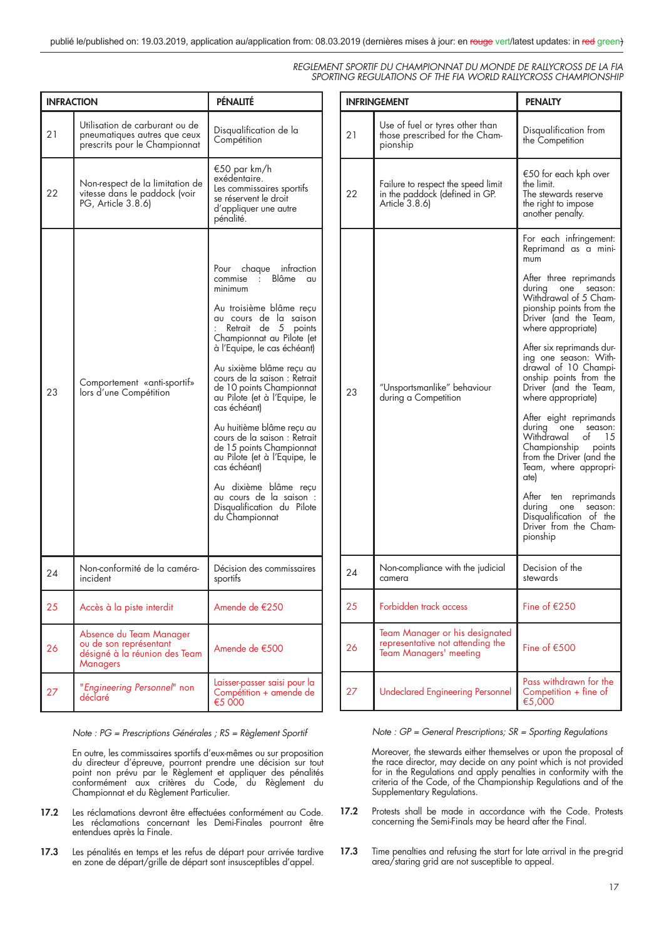| <b>INFRACTION</b> |                                                                                                       | PÉNALITÉ                                                                                                                                                                                                                                                                                                                                                                                                                                                                                                                                                                            |
|-------------------|-------------------------------------------------------------------------------------------------------|-------------------------------------------------------------------------------------------------------------------------------------------------------------------------------------------------------------------------------------------------------------------------------------------------------------------------------------------------------------------------------------------------------------------------------------------------------------------------------------------------------------------------------------------------------------------------------------|
| 21                | Utilisation de carburant ou de<br>pneumatiques autres que ceux<br>prescrits pour le Championnat       | Disqualification de la<br>Compétition                                                                                                                                                                                                                                                                                                                                                                                                                                                                                                                                               |
| 22                | Non-respect de la limitation de<br>vitesse dans le paddock (voir<br>PG, Article 3.8.6)                | €50 par km/h<br>exédentaire.<br>Les commissaires sportifs<br>se réservent le droit<br>d'appliquer une autre<br>pénalité.                                                                                                                                                                                                                                                                                                                                                                                                                                                            |
| 23                | Comportement «anti-sportif»<br>lors d'une Compétition                                                 | Pour chaque infraction<br>commise : Blâme au<br>minimum<br>Au troisième blâme reçu<br>au cours de la saison<br>Retrait de 5 points<br>Championnat au Pilote (et<br>à l'Equipe, le cas échéant)<br>Au sixième blâme recu au<br>cours de la saison : Retrait<br>de 10 points Championnat<br>au Pilote (et à l'Equipe, le<br>cas échéant)<br>Au huitième blâme recu au<br>cours de la saison : Retrait<br>de 15 points Championnat<br>au Pilote (et à l'Equipe, le<br>cas échéant)<br>Au dixième blâme recu<br>au cours de la saison :<br>Disqualification du Pilote<br>du Championnat |
| 24                | Non-conformité de la caméra-<br>incident                                                              | Décision des commissaires<br>sportits                                                                                                                                                                                                                                                                                                                                                                                                                                                                                                                                               |
| 25                | Accès à la piste interdit                                                                             | Amende de €250                                                                                                                                                                                                                                                                                                                                                                                                                                                                                                                                                                      |
| 26                | Absence du Team Manager<br>ou de son représentant<br>désigné à la réunion des Team<br><b>Managers</b> | Amende de €500                                                                                                                                                                                                                                                                                                                                                                                                                                                                                                                                                                      |
| 27                | "Engineering Personnel" non<br>déclaré                                                                | Laisser-passer saisi pour la<br>Compétition + amende de<br>€5 000                                                                                                                                                                                                                                                                                                                                                                                                                                                                                                                   |

*Note : PG = Prescriptions Générales ; RS = Règlement Sportif*

 En outre, les commissaires sportifs d'eux-mêmes ou sur proposition du directeur d'épreuve, pourront prendre une décision sur tout point non prévu par le Règlement et appliquer des pénalités conformément aux critères du Code, du Règlement du Championnat et du Règlement Particulier.

- **17.2** Les réclamations devront être effectuées conformément au Code. Les réclamations concernant les Demi-Finales pourront être entendues après la Finale.
- **17.3** Les pénalités en temps et les refus de départ pour arrivée tardive en zone de départ/grille de départ sont insusceptibles d'appel.

|    | <b>INFRINGEMENT</b>                                                                                 | <b>PENALTY</b>                                                                                                                                                      |
|----|-----------------------------------------------------------------------------------------------------|---------------------------------------------------------------------------------------------------------------------------------------------------------------------|
| 21 | Use of fuel or tyres other than<br>those prescribed for the Cham-<br>pionship                       | Disqualification from<br>the Competition                                                                                                                            |
| 22 | Failure to respect the speed limit<br>in the paddock (defined in GP.<br>Article 3.8.6)              | €50 for each kph over<br>the limit.<br>The stewards reserve<br>the right to impose<br>another penalty.                                                              |
| 23 | "Unsportsmanlike" behaviour<br>during a Competition                                                 | For each infringement:<br>Reprimand as a mini-<br>mum                                                                                                               |
|    |                                                                                                     | After three reprimands<br>during<br>season:<br>one<br>Withdrawal of 5 Cham-<br>pionship points from the<br>Driver (and the Team,<br>where appropriate)              |
|    |                                                                                                     | After six reprimands dur-<br>ing one season: With-<br>drawal of 10 Champi-<br>onship points from the<br>Driver (and the Team,<br>where appropriate)                 |
|    |                                                                                                     | After eight reprimands<br>during<br>one<br>season:<br>Withdrawal<br>of<br>15<br>Championship<br>points<br>from the Driver (and the<br>Team, where appropri-<br>ate) |
|    |                                                                                                     | After ten<br>reprimands<br>during<br>one<br>season:<br>Disqualification of the<br>Driver from the Cham-<br>pionship                                                 |
| 24 | Non-compliance with the judicial<br>camera                                                          | Decision of the<br>stewards                                                                                                                                         |
| 25 | Forbidden track access                                                                              | Fine of $£250$                                                                                                                                                      |
| 26 | Team Manager or his designated<br>representative not attending the<br><b>Team Managers' meeting</b> | Fine of $£500$                                                                                                                                                      |
| 27 | <b>Undeclared Engineering Personnel</b>                                                             | Pass withdrawn for the<br>Competition $+$ fine of<br>€5,000                                                                                                         |

*Note : GP = General Prescriptions; SR = Sporting Regulations*

 Moreover, the stewards either themselves or upon the proposal of the race director, may decide on any point which is not provided for in the Regulations and apply penalties in conformity with the criteria of the Code, of the Championship Regulations and of the Supplementary Regulations.

- **17.2** Protests shall be made in accordance with the Code. Protests concerning the Semi-Finals may be heard after the Final.
- **17.3** Time penalties and refusing the start for late arrival in the pre-grid area/staring grid are not susceptible to appeal.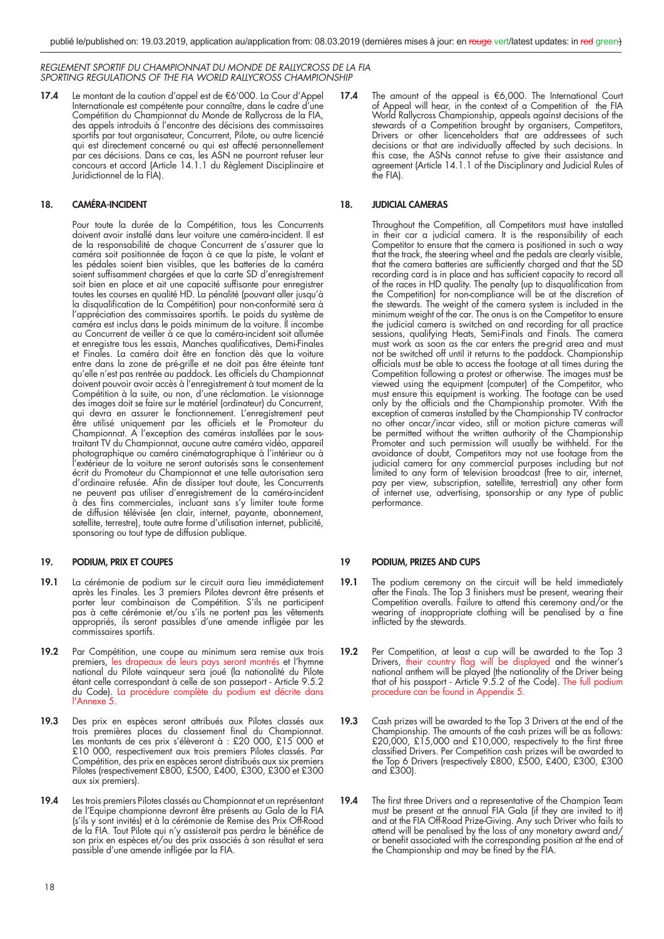**17.4** Le montant de la caution d'appel est de €6'000. La Cour d'Appel Internationale est compétente pour connaître, dans le cadre d'une Compétition du Championnat du Monde de Rallycross de la FIA, des appels introduits à l'encontre des décisions des commissaires sportifs par tout organisateur, Concurrent, Pilote, ou autre licencié qui est directement concerné ou qui est affecté personnellement par ces décisions. Dans ce cas, les ASN ne pourront refuser leur concours et accord (Article 14.1.1 du Règlement Disciplinaire et Juridictionnel de la FIA).

#### **18. CAMÉRA-INCIDENT**

 Pour toute la durée de la Compétition, tous les Concurrents doivent avoir installé dans leur voiture une caméra-incident. Il est de la responsabilité de chaque Concurrent de s'assurer que la caméra soit positionnée de façon à ce que la piste, le volant et les pédales soient bien visibles, que les batteries de la caméra soient suffisamment chargées et que la carte SD d'enregistrement soit bien en place et ait une capacité suffisante pour enregistrer toutes les courses en qualité HD. La pénalité (pouvant aller jusqu'à la disqualification de la Compétition) pour non-conformité sera à l'appréciation des commissaires sportifs. Le poids du système de caméra est inclus dans le poids minimum de la voiture. Il incombe au Concurrent de veiller à ce que la caméra-incident soit allumée et enregistre tous les essais, Manches qualificatives, Demi-Finales et Finales. La caméra doit être en fonction dès que la voiture entre dans la zone de pré-grille et ne doit pas être éteinte tant qu'elle n'est pas rentrée au paddock. Les officiels du Championnat doivent pouvoir avoir accès à l'enregistrement à tout moment de la Compétition à la suite, ou non, d'une réclamation. Le visionnage des images doit se faire sur le matériel (ordinateur) du Concurrent, qui devra en assurer le fonctionnement. L'enregistrement peut être utilisé uniquement par les officiels et le Promoteur du Championnat. A l'exception des caméras installées par le soustraitant TV du Championnat, aucune autre caméra vidéo, appareil photographique ou caméra cinématographique à l'intérieur ou à l'extérieur de la voiture ne seront autorisés sans le consentement écrit du Promoteur du Championnat et une telle autorisation sera d'ordinaire refusée. Afin de dissiper tout doute, les Concurrents ne peuvent pas utiliser d'enregistrement de la caméra-incident à des fins commerciales, incluant sans s'y limiter toute forme de diffusion télévisée (en clair, internet, payante, abonnement, satellite, terrestre), toute autre forme d'utilisation internet, publicité, sponsoring ou tout type de diffusion publique.

#### **19. PODIUM, PRIX ET COUPES**

- **19.1** La cérémonie de podium sur le circuit aura lieu immédiatement après les Finales. Les 3 premiers Pilotes devront être présents et porter leur combinaison de Compétition. S'ils ne participent pas à cette cérémonie et/ou s'ils ne portent pas les vêtements appropriés, ils seront passibles d'une amende infligée par les commissaires sportifs.
- **19.2** Par Compétition, une coupe au minimum sera remise aux trois premiers, les drapeaux de leurs pays seront montrés et l'hymne national du Pilote vainqueur sera joué (la nationalité du Pilote étant celle correspondant à celle de son passeport - Article 9.5.2 du Code). La procédure complète du podium est décrite dans l'Annexe 5.
- **19.3** Des prix en espèces seront attribués aux Pilotes classés aux trois premières places du classement final du Championnat. Les montants de ces prix s'élèveront à : £20 000, £15 000 et £10 000, respectivement aux trois premiers Pilotes classés. Par Compétition, des prix en espèces seront distribués aux six premiers Pilotes (respectivement £800, £500, £400, £300, £300 et £300 aux six premiers).
- **19.4** Les trois premiers Pilotes classés au Championnat et un représentant de l'Equipe championne devront être présents au Gala de la FIA (s'ils y sont invités) et à la cérémonie de Remise des Prix Off-Road de la FIA. Tout Pilote qui n'y assisterait pas perdra le bénéfice de son prix en espèces et/ou des prix associés à son résultat et sera passible d'une amende infligée par la FIA.

**17.4** The amount of the appeal is €6,000. The International Court of Appeal will hear, in the context of a Competition of the FIA World Rallycross Championship, appeals against decisions of the stewards of a Competition brought by organisers, Competitors, Drivers or other licenceholders that are addressees of such decisions or that are individually affected by such decisions. In this case, the ASNs cannot refuse to give their assistance and agreement (Article 14.1.1 of the Disciplinary and Judicial Rules of the FIA).

#### **18. JUDICIAL CAMERAS**

 Throughout the Competition, all Competitors must have installed in their car a judicial camera. It is the responsibility of each Competitor to ensure that the camera is positioned in such a way that the track, the steering wheel and the pedals are clearly visible, that the camera batteries are sufficiently charged and that the SD recording card is in place and has sufficient capacity to record all of the races in HD quality. The penalty (up to disqualification from the Competition) for non-compliance will be at the discretion of the stewards. The weight of the camera system is included in the minimum weight of the car. The onus is on the Competitor to ensure the judicial camera is switched on and recording for all practice sessions, qualifying Heats, Semi-Finals and Finals. The camera must work as soon as the car enters the pre-grid area and must not be switched off until it returns to the paddock. Championship officials must be able to access the footage at all times during the Competition following a protest or otherwise. The images must be viewed using the equipment (computer) of the Competitor, who must ensure this equipment is working. The footage can be used only by the officials and the Championship promoter. With the exception of cameras installed by the Championship TV contractor no other oncar/incar video, still or motion picture cameras will be permitted without the written authority of the Championship Promoter and such permission will usually be withheld. For the avoidance of doubt, Competitors may not use footage from the judicial camera for any commercial purposes including but not limited to any form of television broadcast (free to air, internet, pay per view, subscription, satellite, terrestrial) any other form of internet use, advertising, sponsorship or any type of public performance.

#### **19 PODIUM, PRIZES AND CUPS**

- **19.1** The podium ceremony on the circuit will be held immediately after the Finals. The Top 3 finishers must be present, wearing their Competition overalls. Failure to attend this ceremony and/or the wearing of inappropriate clothing will be penalised by a fine inflicted by the stewards.
- **19.2** Per Competition, at least a cup will be awarded to the Top 3 Drivers, their country flag will be displayed and the winner's national anthem will be played (the nationality of the Driver being that of his passport - Article 9.5.2 of the Code). The full podium procedure can be found in Appendix 5.
- **19.3** Cash prizes will be awarded to the Top 3 Drivers at the end of the Championship. The amounts of the cash prizes will be as follows:  $£20,000, £15,000$  and £10,000, respectively to the first three classified Drivers. Per Competition cash prizes will be awarded to the Top 6 Drivers (respectively £800, £500, £400, £300, £300 and £300).
- **19.4** The first three Drivers and a representative of the Champion Team must be present at the annual FIA Gala (if they are invited to it) and at the FIA Off-Road Prize-Giving. Any such Driver who fails to attend will be penalised by the loss of any monetary award and/ or benefit associated with the corresponding position at the end of the Championship and may be fined by the FIA.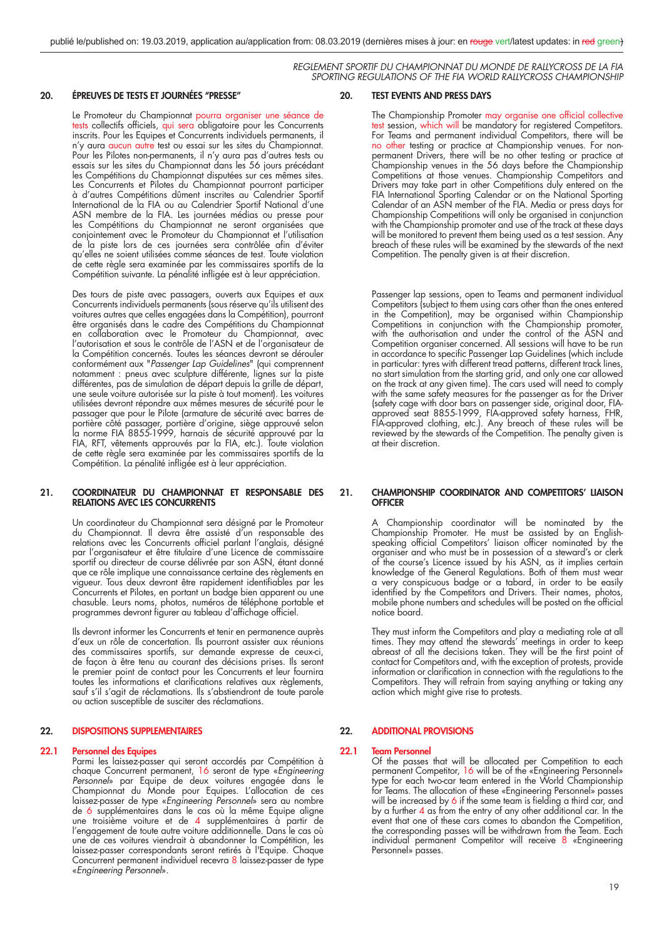#### **20. ÉPREUVES DE TESTS ET JOURNÉES ''PRESSE''**

 Le Promoteur du Championnat pourra organiser une séance de tests collectifs officiels, qui sera obligatoire pour les Concurrents inscrits. Pour les Equipes et Concurrents individuels permanents, il n'y aura aucun autre test ou essai sur les sites du Championnat. Pour les Pilotes non-permanents, il n'y aura pas d'autres tests ou essais sur les sites du Championnat dans les 56 jours précédant les Compétitions du Championnat disputées sur ces mêmes sites. Les Concurrents et Pilotes du Championnat pourront participer à d'autres Compétitions dûment inscrites au Calendrier Sportif International de la FIA ou au Calendrier Sportif National d'une ASN membre de la FIA. Les journées médias ou presse pour les Compétitions du Championnat ne seront organisées que conjointement avec le Promoteur du Championnat et l'utilisation de la piste lors de ces journées sera contrôlée afin d'éviter qu'elles ne soient utilisées comme séances de test. Toute violation de cette règle sera examinée par les commissaires sportifs de la Compétition suivante. La pénalité infligée est à leur appréciation.

 Des tours de piste avec passagers, ouverts aux Equipes et aux Concurrents individuels permanents (sous réserve qu'ils utilisent des voitures autres que celles engagées dans la Compétition), pourront être organisés dans le cadre des Compétitions du Championnat en collaboration avec le Promoteur du Championnat, avec l'autorisation et sous le contrôle de l'ASN et de l'organisateur de la Compétition concernés. Toutes les séances devront se dérouler conformément aux "*Passenger Lap Guidelines*" (qui comprennent notamment : pneus avec sculpture différente, lignes sur la piste différentes, pas de simulation de départ depuis la grille de départ, une seule voiture autorisée sur la piste à tout moment). Les voitures utilisées devront répondre aux mêmes mesures de sécurité pour le passager que pour le Pilote (armature de sécurité avec barres de portière côté passager, portière d'origine, siège approuvé selon la norme FIA 8855-1999, harnais de sécurité approuvé par la FIA, RFT, vêtements approuvés par la FIA, etc.). Toute violation de cette règle sera examinée par les commissaires sportifs de la Compétition. La pénalité infligée est à leur appréciation.

#### **21. COORDINATEUR DU CHAMPIONNAT ET RESPONSABLE DES RELATIONS AVEC LES CONCURRENTS**

 Un coordinateur du Championnat sera désigné par le Promoteur du Championnat. Il devra être assisté d'un responsable des relations avec les Concurrents officiel parlant l'anglais, désigné par l'organisateur et être titulaire d'une Licence de commissaire sportif ou directeur de course délivrée par son ASN, étant donné que ce rôle implique une connaissance certaine des règlements en vigueur. Tous deux devront être rapidement identifiables par les Concurrents et Pilotes, en portant un badge bien apparent ou une chasuble. Leurs noms, photos, numéros de téléphone portable et programmes devront figurer au tableau d'affichage officiel.

 Ils devront informer les Concurrents et tenir en permanence auprès d'eux un rôle de concertation. Ils pourront assister aux réunions des commissaires sportifs, sur demande expresse de ceux-ci, de façon à être tenu au courant des décisions prises. Ils seront le premier point de contact pour les Concurrents et leur fournira toutes les informations et clarifications relatives aux règlements, sauf s'il s'agit de réclamations. Ils s'abstiendront de toute parole ou action susceptible de susciter des réclamations.

#### **22. DISPOSITIONS SUPPLEMENTAIRES**

#### **22.1 Personnel des Equipes**

Parmi les laissez-passer qui seront accordés par Compétition à chaque Concurrent permanent, 16 seront de type «*Engineering Personnel*» par Equipe de deux voitures engagée dans le Championnat du Monde pour Equipes. L'allocation de ces laissez-passer de type «*Engineering Personnel*» sera au nombre de 6 supplémentaires dans le cas où la même Equipe aligne une troisième voiture et de 4 supplémentaires à partir de l'engagement de toute autre voiture additionnelle. Dans le cas où une de ces voitures viendrait à abandonner la Compétition, les laissez-passer correspondants seront retirés à l'Equipe. Chaque Concurrent permanent individuel recevra 8 laissez-passer de type «*Engineering Personnel*».

#### **20. TEST EVENTS AND PRESS DAYS**

The Championship Promoter may organise one official collective test session, which will be mandatory for registered Competitors. For Teams and permanent individual Competitors, there will be no other testing or practice at Championship venues. For nonpermanent Drivers, there will be no other testing or practice at Championship venues in the 56 days before the Championship Competitions at those venues. Championship Competitors and Drivers may take part in other Competitions duly entered on the FIA International Sporting Calendar or on the National Sporting Calendar of an ASN member of the FIA. Media or press days for Championship Competitions will only be organised in conjunction with the Championship promoter and use of the track at these days will be monitored to prevent them being used as a test session. Any breach of these rules will be examined by the stewards of the next Competition. The penalty given is at their discretion.

 Passenger lap sessions, open to Teams and permanent individual Competitors (subject to them using cars other than the ones entered in the Competition), may be organised within Championship Competitions in conjunction with the Championship promoter, with the authorisation and under the control of the ASN and Competition organiser concerned. All sessions will have to be run in accordance to specific Passenger Lap Guidelines (which include in particular: tyres with different tread patterns, different track lines, no start simulation from the starting grid, and only one car allowed on the track at any given time). The cars used will need to comply with the same safety measures for the passenger as for the Driver (safety cage with door bars on passenger side, original door, FIAapproved seat 8855-1999, FIA-approved safety harness, FHR, FIA-approved clothing, etc.). Any breach of these rules will be reviewed by the stewards of the Competition. The penalty given is at their discretion.

#### **21. CHAMPIONSHIP COORDINATOR AND COMPETITORS' LIAISON OFFICER**

Championship coordinator will be nominated by the Championship Promoter. He must be assisted by an Englishspeaking official Competitors' liaison officer nominated by the organiser and who must be in possession of a steward's or clerk of the course's Licence issued by his ASN, as it implies certain knowledge of the General Regulations. Both of them must wear a very conspicuous badge or a tabard, in order to be easily identified by the Competitors and Drivers. Their names, photos, mobile phone numbers and schedules will be posted on the official notice board.

 They must inform the Competitors and play a mediating role at all times. They may attend the stewards' meetings in order to keep abreast of all the decisions taken. They will be the first point of contact for Competitors and, with the exception of protests, provide information or clarification in connection with the regulations to the Competitors. They will refrain from saying anything or taking any action which might give rise to protests.

#### **22. ADDITIONAL PROVISIONS**

#### **22.1 Team Personnel**

 Of the passes that will be allocated per Competition to each permanent Competitor, 16 will be of the «Engineering Personnel» type for each two-car team entered in the World Championship for Teams. The allocation of these «Engineering Personnel» passes will be increased by  $6$  if the same team is fielding a third car, and by a further 4 as from the entry of any other additional car. In the event that one of these cars comes to abandon the Competition, the corresponding passes will be withdrawn from the Team. Each individual permanent Competitor will receive 8 «Engineering Personnel» passes.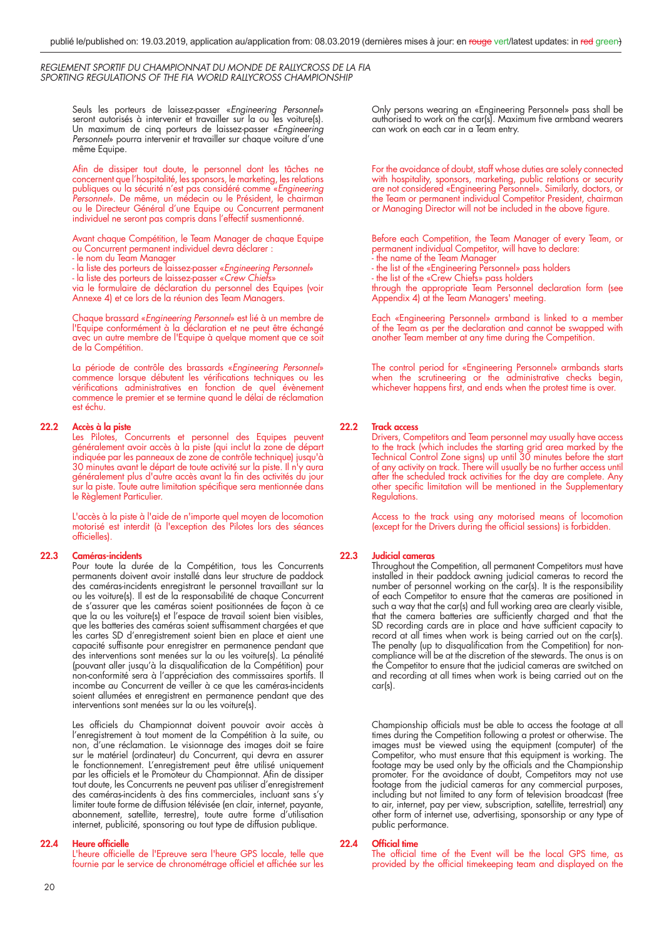Seuls les porteurs de laissez-passer «*Engineering Personnel*» seront autorisés à intervenir et travailler sur la ou les voiture(s). Un maximum de cinq porteurs de laissez-passer «*Engineering*  Personnel» pourra intervenir et travailler sur chaque voiture d'une même Equipe.

Afin de dissiper tout doute, le personnel dont les tâches ne concernent que l'hospitalité, les sponsors, le marketing, les relations publiques ou la sécurité n'est pas considéré comme «*Engineering Personnel*». De même, un médecin ou le Président, le chairman ou le Directeur Général d'une Equipe ou Concurrent permanent individuel ne seront pas compris dans l'effectif susmentionné.

 Avant chaque Compétition, le Team Manager de chaque Equipe ou Concurrent permanent individuel devra déclarer :

- le nom du Team Manager

- la liste des porteurs de laissez-passer «*Engineering Personnel*»

- la liste des porteurs de laissez-passer «Crew Chiefs»

 via le formulaire de déclaration du personnel des Equipes (voir Annexe 4) et ce lors de la réunion des Team Managers.

> Chaque brassard «*Engineering Personnel*» est lié à un membre de l'Equipe conformément à la déclaration et ne peut être échangé avec un autre membre de l'Equipe à quelque moment que ce soit de la Compétition.

 La période de contrôle des brassards «*Engineering Personnel*» commence lorsque débutent les vérifications techniques ou les vérifications administratives en fonction de quel évènement commence le premier et se termine quand le délai de réclamation est échu.

#### **22.2 Accès à la piste**

 Les Pilotes, Concurrents et personnel des Equipes peuvent généralement avoir accès à la piste (qui inclut la zone de départ indiquée par les panneaux de zone de contrôle technique) jusqu'à 30 minutes avant le départ de toute activité sur la piste. Il n'y aura généralement plus d'autre accès avant la fin des activités du jour sur la piste. Toute autre limitation spécifique sera mentionnée dans le Règlement Particulier.

 L'accès à la piste à l'aide de n'importe quel moyen de locomotion motorisé est interdit (à l'exception des Pilotes lors des séances officielles).

#### **22.3 Caméras-incidents**

 Pour toute la durée de la Compétition, tous les Concurrents permanents doivent avoir installé dans leur structure de paddock des caméras-incidents enregistrant le personnel travaillant sur la ou les voiture(s). Il est de la responsabilité de chaque Concurrent de s'assurer que les caméras soient positionnées de façon à ce que la ou les voiture(s) et l'espace de travail soient bien visibles, que les batteries des caméras soient suffisamment chargées et que les cartes SD d'enregistrement soient bien en place et aient une capacité suffisante pour enregistrer en permanence pendant que des interventions sont menées sur la ou les voiture(s). La pénalité (pouvant aller jusqu'à la disqualification de la Compétition) pour non-conformité sera à l'appréciation des commissaires sportifs. Il incombe au Concurrent de veiller à ce que les caméras-incidents soient allumées et enregistrent en permanence pendant que des interventions sont menées sur la ou les voiture(s).

Les officiels du Championnat doivent pouvoir avoir accès à l'enregistrement à tout moment de la Compétition à la suite, ou non, d'une réclamation. Le visionnage des images doit se faire sur le matériel (ordinateur) du Concurrent, qui devra en assurer le fonctionnement. L'enregistrement peut être utilisé uniquement par les officiels et le Promoteur du Championnat. Afin de dissiper tout doute, les Concurrents ne peuvent pas utiliser d'enregistrement des caméras-incidents à des fins commerciales, incluant sans s'y limiter toute forme de diffusion télévisée (en clair, internet, payante, abonnement, satellite, terrestre), toute autre forme d'utilisation internet, publicité, sponsoring ou tout type de diffusion publique.

#### **22.4 Heure officielle**

L'heure officielle de l'Epreuve sera l'heure GPS locale, telle que fournie par le service de chronométrage officiel et affichée sur les For the avoidance of doubt, staff whose duties are solely connected with hospitality, sponsors, marketing, public relations or security are not considered «Engineering Personnel». Similarly, doctors, or the Team or permanent individual Competitor President, chairman or Managing Director will not be included in the above figure.

 Before each Competition, the Team Manager of every Team, or permanent individual Competitor, will have to declare:

- the name of the Team Manager
- the list of the «Engineering Personnel» pass holders
- the list of the «Crew Chiefs» pass holders

 through the appropriate Team Personnel declaration form (see Appendix 4) at the Team Managers' meeting.

> Each «Engineering Personnel» armband is linked to a member of the Team as per the declaration and cannot be swapped with another Team member at any time during the Competition.

> The control period for «Engineering Personnel» armbands starts when the scrutineering or the administrative checks begin, whichever happens first, and ends when the protest time is over.

#### **22.2 Track access**

 Drivers, Competitors and Team personnel may usually have access to the track (which includes the starting grid area marked by the Technical Control Zone signs) up until 30 minutes before the start of any activity on track. There will usually be no further access until after the scheduled track activities for the day are complete. Any other specific limitation will be mentioned in the Supplementary Regulations.

 Access to the track using any motorised means of locomotion (except for the Drivers during the official sessions) is forbidden.

#### **22.3 Judicial cameras**

 Throughout the Competition, all permanent Competitors must have installed in their paddock awning judicial cameras to record the number of personnel working on the car(s). It is the responsibility of each Competitor to ensure that the cameras are positioned in such a way that the car(s) and full working area are clearly visible, that the camera batteries are sufficiently charged and that the SD recording cards are in place and have sufficient capacity to record at all times when work is being carried out on the car(s). The penalty (up to disqualification from the Competition) for noncompliance will be at the discretion of the stewards. The onus is on the Competitor to ensure that the judicial cameras are switched on and recording at all times when work is being carried out on the car(s).

Championship officials must be able to access the footage at all times during the Competition following a protest or otherwise. The images must be viewed using the equipment (computer) of the Competitor, who must ensure that this equipment is working. The footage may be used only by the officials and the Championship promoter. For the avoidance of doubt, Competitors may not use footage from the judicial cameras for any commercial purposes, including but not limited to any form of television broadcast (free to air, internet, pay per view, subscription, satellite, terrestrial) any other form of internet use, advertising, sponsorship or any type of public performance.

#### **22.4** Official time

The official time of the Event will be the local GPS time, as provided by the official timekeeping team and displayed on the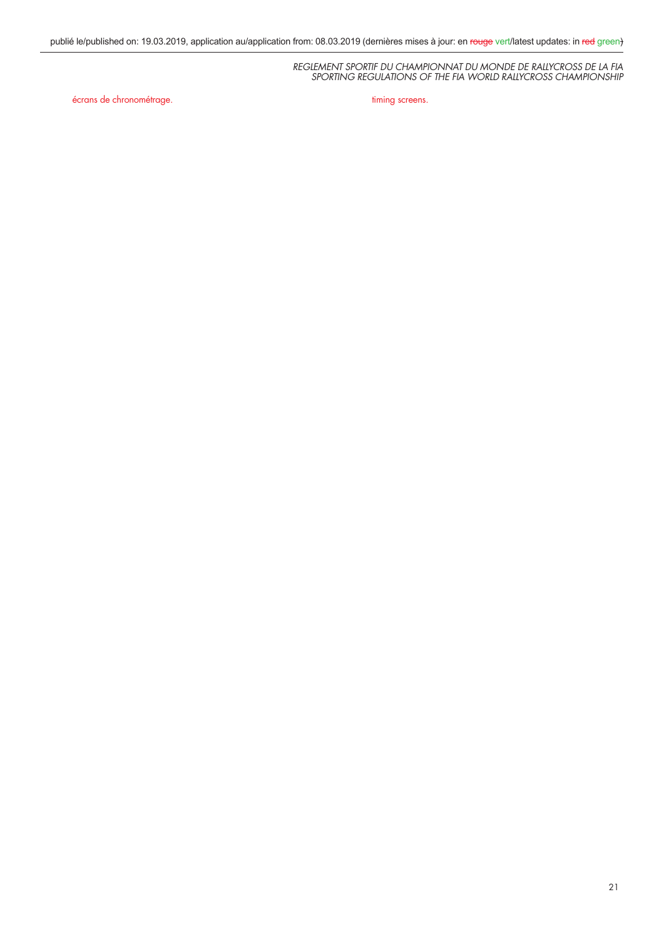écrans de chronométrage. The contracte de chronométrage de change de timing screens.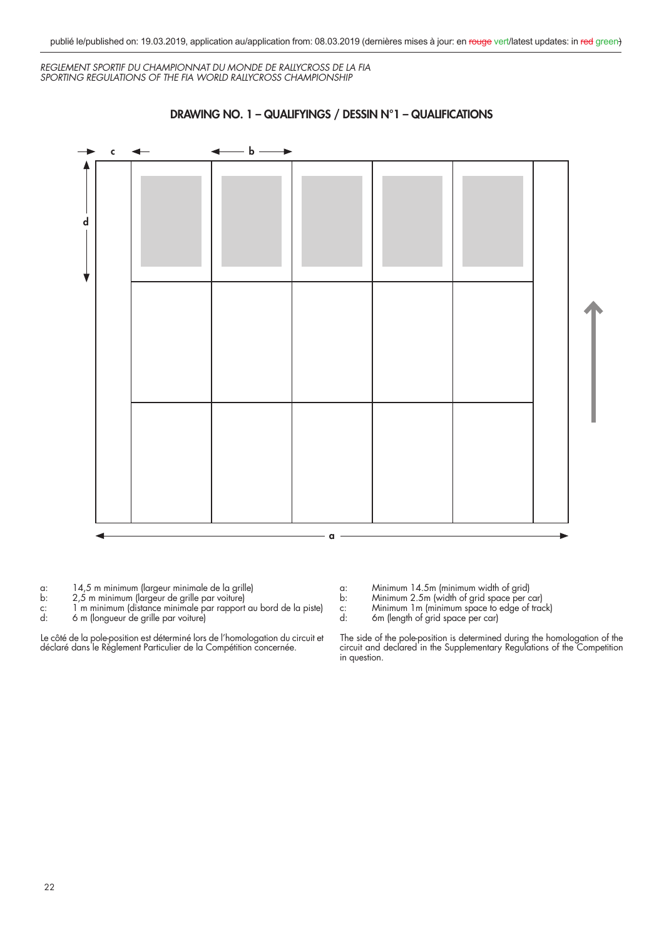

**DRAWING NO. 1 – QUALIFYINGS / DESSIN N°1 – QUALIFICATIONS**

a: 14,5 m minimum (largeur minimale de la grille)

- b: 2,5 m minimum (largeur de grille par voiture)
- c: 1 m minimum (distance minimale par rapport au bord de la piste)
- d: 6 m (longueur de grille par voiture)

Le côté de la pole-position est déterminé lors de l'homologation du circuit et déclaré dans le Règlement Particulier de la Compétition concernée.

- a: Minimum 14.5m (minimum width of grid)
- b: Minimum 2.5m (width of grid space per car)
- c: Minimum 1m (minimum space to edge of track)
- d: 6m (length of grid space per car)

The side of the pole-position is determined during the homologation of the circuit and declared in the Supplementary Regulations of the Competition in question.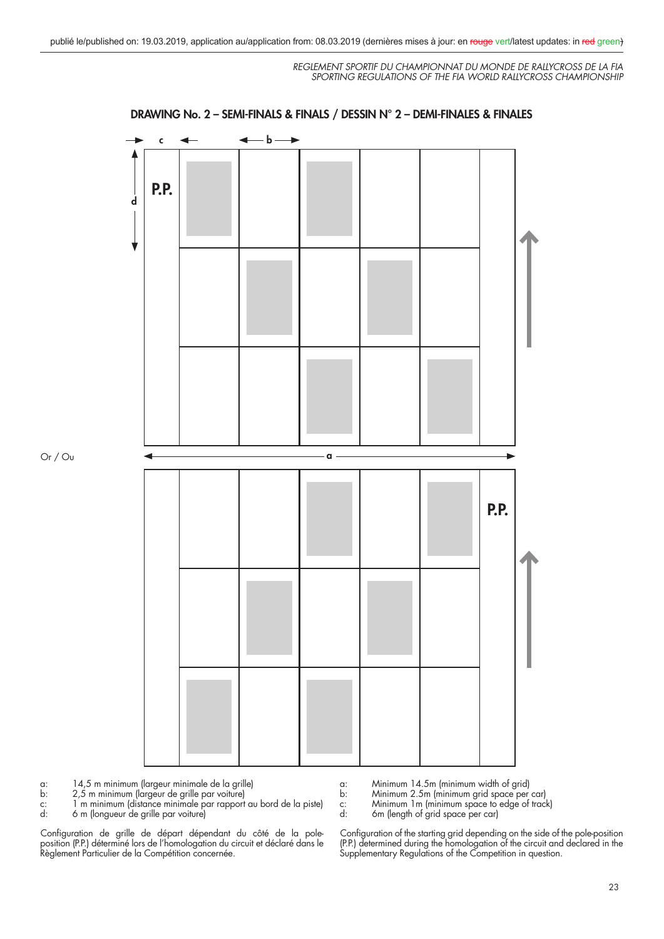

#### **DRAWING No. 2 – SEMI-FINALS & FINALS / DESSIN N° 2 – DEMI-FINALES & FINALES**

a: 14,5 m minimum (largeur minimale de la grille)

- b: 2,5 m minimum (largeur de grille par voiture)
- c: 1 m minimum (distance minimale par rapport au bord de la piste)
- 6 m (longueur de grille par voiture)

Or / Ou

Configuration de grille de départ dépendant du côté de la poleposition (P.P.) déterminé lors de l'homologation du circuit et déclaré dans le Règlement Particulier de la Compétition concernée.

a: Minimum 14.5m (minimum width of grid)

- b: Minimum 2.5m (minimum grid space per car)
- c: Minimum 1m (minimum space to edge of track)<br>d: 6m (length of grid space per car)
- 6m (length of grid space per car)

Configuration of the starting grid depending on the side of the pole-position (P.P.) determined during the homologation of the circuit and declared in the Supplementary Regulations of the Competition in question.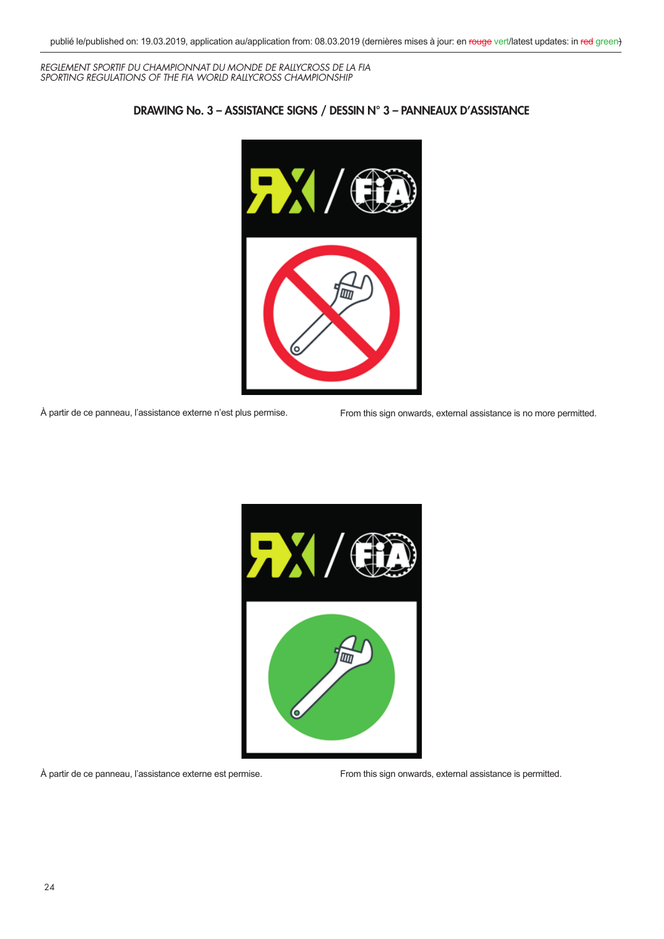

### **DRAWING No. 3 – ASSISTANCE SIGNS / DESSIN N° 3 – PANNEAUX D'ASSISTANCE**

À partir de ce panneau, l'assistance externe n'est plus permise. From this sign onwards, external assistance is no more permitted.



À partir de ce panneau, l'assistance externe est permise. From this sign onwards, external assistance is permitted.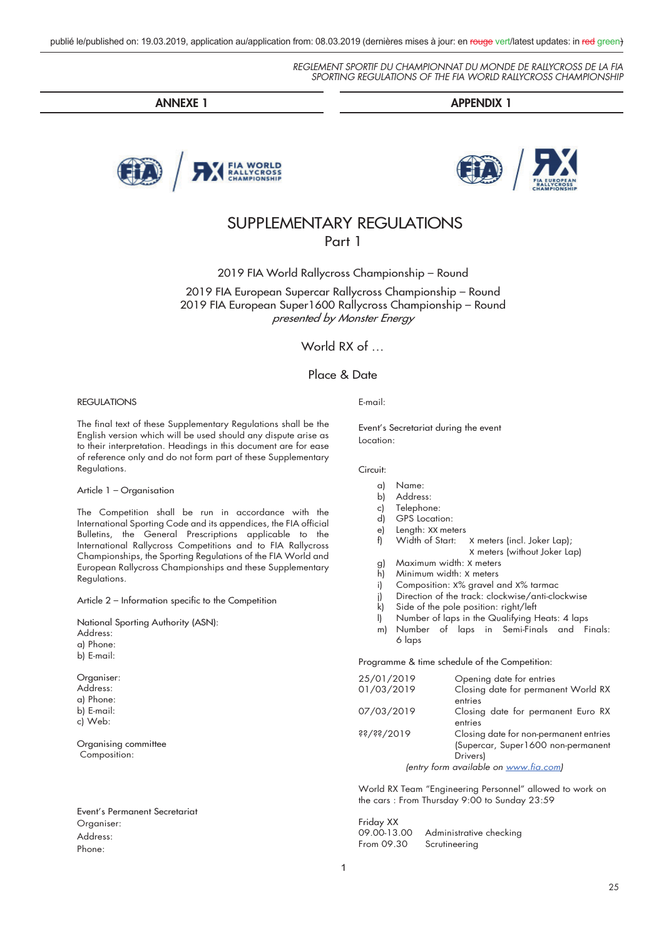**ANNEXE 1 APPENDIX 1**



# SUPPLEMENTARY REGULATIONS Part 1

2019 FIA World Rallycross Championship – Round

2019 FIA European Supercar Rallycross Championship – Round 2019 FIA European Super1600 Rallycross Championship – Round presented by Monster Energy

World RX of ...

### Place & Date

#### REGULATIONS

The final text of these Supplementary Regulations shall be the English version which will be used should any dispute arise as to their interpretation. Headings in this document are for ease of reference only and do not form part of these Supplementary Regulations.

#### Article 1 – Organisation

The Competition shall be run in accordance with the International Sporting Code and its appendices, the FIA official Bulletins, the General Prescriptions applicable to the International Rallycross Competitions and to FIA Rallycross Championships, the Sporting Regulations of the FIA World and European Rallycross Championships and these Supplementary Regulations.

Article 2 – Information specific to the Competition

National Sporting Authority (ASN): Address: a) Phone: b) E-mail: Organiser:

Address: a) Phone: b) E-mail: c) Web:

Organising committee Composition:

Event's Permanent Secretariat Organiser: Address: Phone:

#### E-mail:

Event's Secretariat during the event Location:

Circuit:

#### a) Name:

- b) Address:
- c) Telephone:
- d) GPS Location:
- e) Length: XX meters<br>f) Width of Start:
	- Width of Start: X meters (incl. Joker Lap); X meters (without Joker Lap)
- g) Maximum width: X meters
- h) Minimum width: X meters
- i) Composition: X% gravel and X% tarmac
- j) Direction of the track: clockwise/anti-clockwise
- k) Side of the pole position: right/left
- l) Number of laps in the Qualifying Heats: 4 laps
- m) Number of laps in Semi-Finals and Finals: 6 laps

Programme & time schedule of the Competition:

| 25/01/2019 | Opening date for entries               |
|------------|----------------------------------------|
| 01/03/2019 | Closing date for permanent World RX    |
|            | entries                                |
| 07/03/2019 | Closing date for permanent Euro RX     |
|            | entries                                |
| $is\$ /36\ | Closing date for non-permanent entries |
|            | (Supercar, Super1600 non-permanent     |
|            | Drivers)                               |
|            | (entry form available on www.fia.com)  |
|            |                                        |

World RX Team "Engineering Personnel" allowed to work on the cars : From Thursday 9:00 to Sunday 23:59

Friday XX<br>09.00-13.00 09.00-13.00 Administrative checking<br>From 09.30 Scrutineering Scrutineering

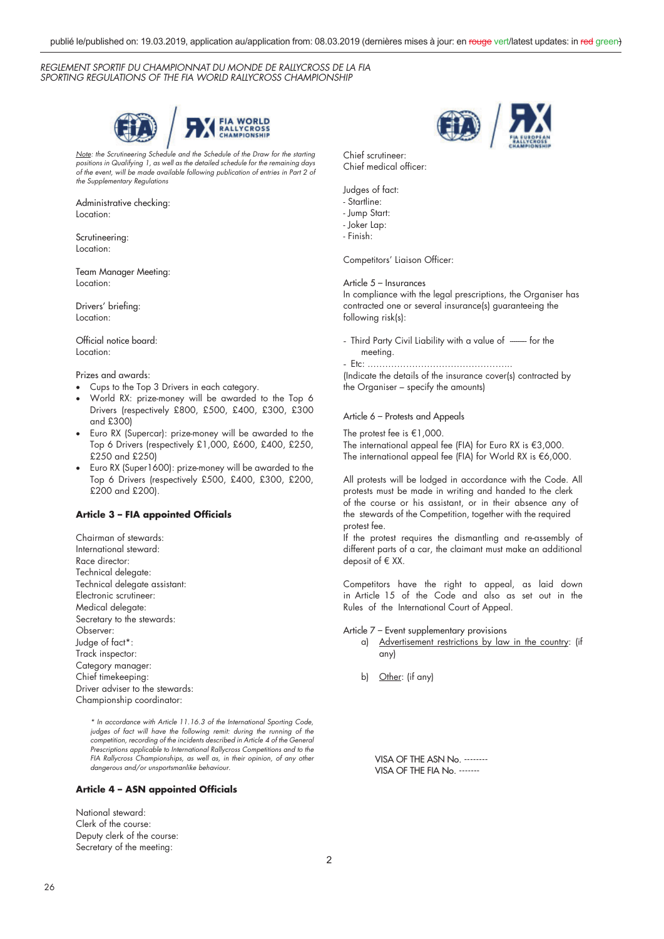

*Note: the Scrutineering Schedule and the Schedule of the Draw for the starting positions in Qualifying 1, as well as the detailed schedule for the remaining days of the event, will be made available following publication of entries in Part 2 of the Supplementary Regulations*

Administrative checking: Location:

Scrutineering: Location:

Team Manager Meeting: Location:

Drivers' briefing: Location:

Official notice board: Location:

#### Prizes and awards:

- Cups to the Top 3 Drivers in each category.
- x World RX: prize-money will be awarded to the Top 6 Drivers (respectively £800, £500, £400, £300, £300 and £300)
- Euro RX (Supercar): prize-money will be awarded to the Top 6 Drivers (respectively £1,000, £600, £400, £250, £250 and £250)
- Euro RX (Super1600): prize-money will be awarded to the Top 6 Drivers (respectively £500, £400, £300, £200, £200 and £200).

#### **Article 3 – FIA appointed Officials**

Chairman of stewards: International steward: Race director: Technical delegate: Technical delegate assistant: Electronic scrutineer: Medical delegate: Secretary to the stewards: Observer: Judge of fact\*: Track inspector: Category manager: Chief timekeeping Driver adviser to the stewards Championship coordinator:

> *\* In accordance with Article 11.16.3 of the International Sporting Code, judges of fact will have the following remit: during the running of the competition, recording of the incidents described in Article 4 of the General Prescriptions applicable to International Rallycross Competitions and to the FIA Rallycross Championships, as well as, in their opinion, of any other dangerous and/or unsportsmanlike behaviour.*

#### **Article 4 – ASN appointed Officials**

National steward: Clerk of the course: Deputy clerk of the course: Secretary of the meeting:



Chief scrutineer: Chief medical officer:

Judges of fact:

- Startline:
- Jump Start:
- Joker Lap:
- Finish:

Competitors' Liaison Officer:

Article 5 – Insurances

In compliance with the legal prescriptions, the Organiser has contracted one or several insurance(s) guaranteeing the following risk(s):

- Third Party Civil Liability with a value of ----- for the meeting.
- Etc: .………………………………………...

(Indicate the details of the insurance cover(s) contracted by the Organiser – specify the amounts)

#### Article 6 – Protests and Appeals

The protest fee is €1,000. The international appeal fee (FIA) for Euro RX is  $\in$ 3,000. The international appeal fee (FIA) for World RX is  $€6,000$ .

All protests will be lodged in accordance with the Code. All protests must be made in writing and handed to the clerk of the course or his assistant, or in their absence any of the stewards of the Competition, together with the required protest fee.

If the protest requires the dismantling and re-assembly of different parts of a car, the claimant must make an additional deposit of  $E$  XX.

Competitors have the right to appeal, as laid down in Article 15 of the Code and also as set out in the Rules of the International Court of Appeal.

Article 7 – Event supplementary provisions

- a) Advertisement restrictions by law in the country: (if any)
- b) Other: (if any)

VISA OF THE ASN No. -------- VISA OF THE FIA No. -------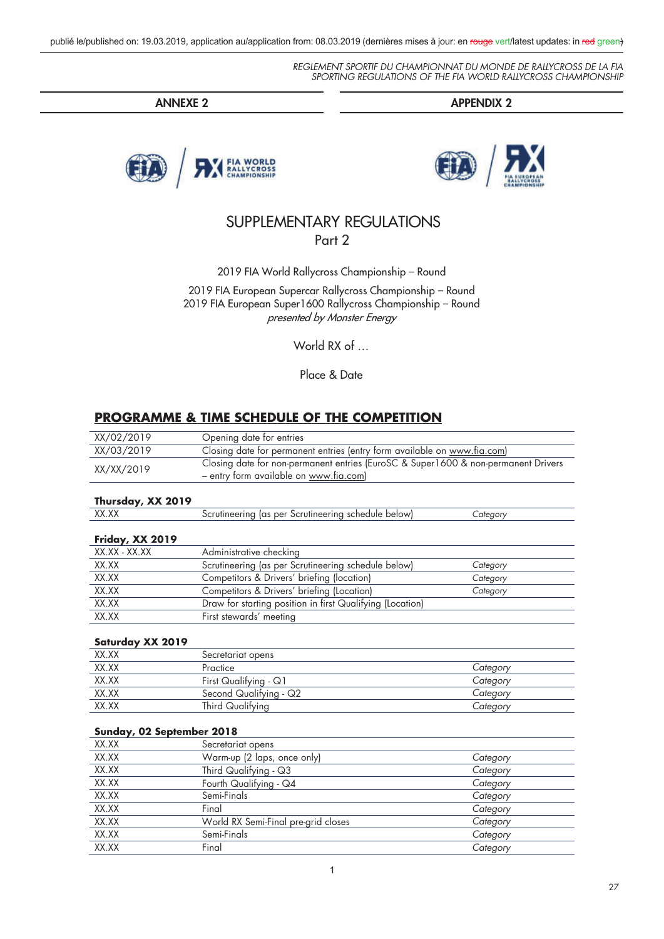**ANNEXE 2 APPENDIX 2**





# SUPPLEMENTARY REGULATIONS Part 2

2019 FIA World Rallycross Championship – Round

2019 FIA European Supercar Rallycross Championship – Round 2019 FIA European Super1600 Rallycross Championship – Round presented by Monster Energy

World RX of …

Place & Date

## **PROGRAMME & TIME SCHEDULE OF THE COMPETITION**

| XX/02/2019                | Opening date for entries                                                                                                     |          |
|---------------------------|------------------------------------------------------------------------------------------------------------------------------|----------|
| XX/03/2019                | Closing date for permanent entries (entry form available on www.fia.com)                                                     |          |
| XX/XX/2019                | Closing date for non-permanent entries (EuroSC & Super1600 & non-permanent Drivers<br>- entry form available on www.fia.com) |          |
| Thursday, XX 2019         |                                                                                                                              |          |
| XX.XX                     | Scrutineering (as per Scrutineering schedule below)                                                                          | Category |
| Friday, XX 2019           |                                                                                                                              |          |
| XX.XX - XX.XX             | Administrative checking                                                                                                      |          |
| XX.XX                     | Scrutineering (as per Scrutineering schedule below)                                                                          | Category |
| XX.XX                     | Competitors & Drivers' briefing (location)                                                                                   | Category |
| XX.XX                     | Competitors & Drivers' briefing (Location)                                                                                   | Category |
| XX.XX                     | Draw for starting position in first Qualifying (Location)                                                                    |          |
| XX.XX                     | First stewards' meeting                                                                                                      |          |
| Saturday XX 2019          |                                                                                                                              |          |
| XX.XX                     | Secretariat opens                                                                                                            |          |
| XX.XX                     | Practice                                                                                                                     | Category |
| XX.XX                     | First Qualifying - Q1                                                                                                        | Category |
| XX.XX                     | Second Qualifying - Q2                                                                                                       | Category |
| XX.XX                     | Third Qualifying                                                                                                             | Category |
| Sunday, 02 September 2018 |                                                                                                                              |          |
| XX.XX                     | Secretariat opens                                                                                                            |          |
| XX.XX                     | Warm-up (2 laps, once only)                                                                                                  | Category |
| XX.XX                     | Third Qualifying - Q3                                                                                                        | Category |
| XX.XX                     | Fourth Qualifying - Q4                                                                                                       | Category |
| XX.XX                     | Semi-Finals                                                                                                                  | Category |
| XX.XX                     | Final                                                                                                                        | Category |
| XX.XX                     | World RX Semi-Final pre-grid closes                                                                                          | Category |
| XX.XX                     | Semi-Finals                                                                                                                  | Category |
| XX.XX                     | Final                                                                                                                        | Category |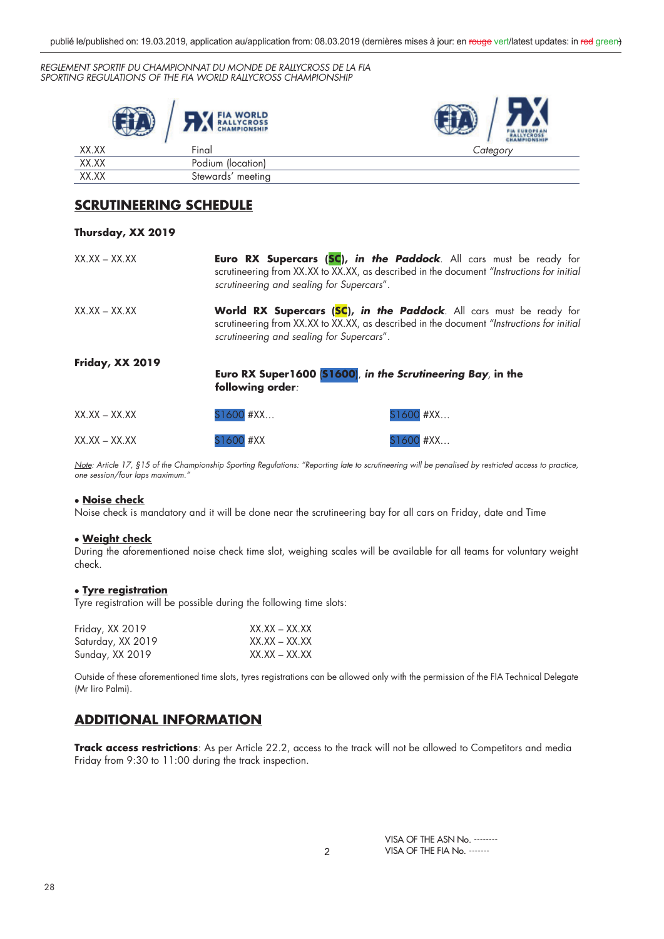|       | <b>FIA WORLD</b><br><b>RALLYCROSS</b><br><b>CHAMPIONSHIP</b> | FIA EUROPEAN |
|-------|--------------------------------------------------------------|--------------|
| XX.XX | Final                                                        | Category     |
| XX.XX | Podium (location)                                            |              |
| XX.XX | Stewards' meeting                                            |              |

# **SCRUTINEERING SCHEDULE**

| Thursday, XX 2019       |                                           |                                                                                                                                                                         |
|-------------------------|-------------------------------------------|-------------------------------------------------------------------------------------------------------------------------------------------------------------------------|
| $XX.XX - XX.XX$         | scrutineering and sealing for Supercars". | <b>Euro RX Supercars (SC), in the Paddock</b> . All cars must be ready for<br>scrutineering from XX.XX to XX.XX, as described in the document "Instructions for initial |
| $XX.XX - XX.XX$         | scrutineering and sealing for Supercars". | World RX Supercars (SC), in the Paddock. All cars must be ready for<br>scrutineering from XX.XX to XX.XX, as described in the document "Instructions for initial        |
| Friday, XX 2019         | following order:                          | Euro RX Super1600 [S1600], in the Scrutineering Bay, in the                                                                                                             |
| $XX$ , $XX - XX$ , $XX$ | S1600 #XX                                 | S1600 #XX                                                                                                                                                               |
| $XX$ XX $-$ XX $XX$     | S1600 #XX                                 | S1600 #XX                                                                                                                                                               |

*Note: Article 17, §15 of the Championship Sporting Regulations: "Reporting late to scrutineering will be penalised by restricted access to practice, one session/four laps maximum."* 

#### x **Noise check**

Noise check is mandatory and it will be done near the scrutineering bay for all cars on Friday, date and Time

#### x **Weight check**

During the aforementioned noise check time slot, weighing scales will be available for all teams for voluntary weight check.

#### **• Tyre registration**

Tyre registration will be possible during the following time slots:

| Friday, XX 2019   | $XX.XX - XX.XX$ |
|-------------------|-----------------|
| Saturday, XX 2019 | XX.XX – XX.XX   |
| Sunday, XX 2019   | $XX.XX - XX.XX$ |

Outside of these aforementioned time slots, tyres registrations can be allowed only with the permission of the FIA Technical Delegate (Mr Iiro Palmi).

## **ADDITIONAL INFORMATION**

**Track access restrictions**: As per Article 22.2, access to the track will not be allowed to Competitors and media Friday from 9:30 to 11:00 during the track inspection.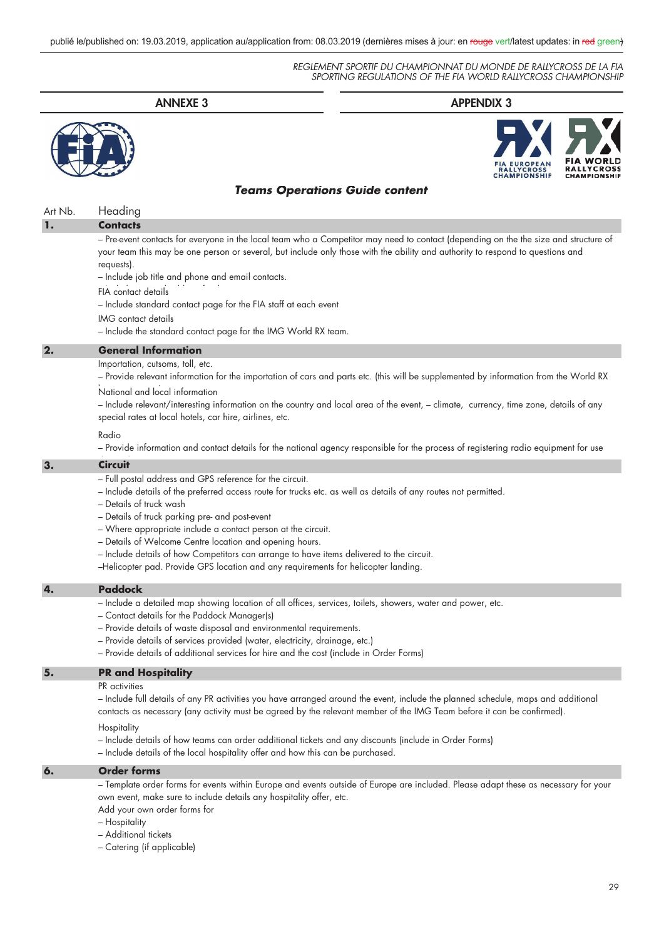|         | <b>ANNEXE 3</b>                                                                                                                                                                                                                                                                                                                                                                                                                                                                                                                                                                         | <b>APPENDIX 3</b>                                                                                                                                                                                                                                                              |
|---------|-----------------------------------------------------------------------------------------------------------------------------------------------------------------------------------------------------------------------------------------------------------------------------------------------------------------------------------------------------------------------------------------------------------------------------------------------------------------------------------------------------------------------------------------------------------------------------------------|--------------------------------------------------------------------------------------------------------------------------------------------------------------------------------------------------------------------------------------------------------------------------------|
|         |                                                                                                                                                                                                                                                                                                                                                                                                                                                                                                                                                                                         |                                                                                                                                                                                                                                                                                |
|         | <b>Teams Operations Guide content</b>                                                                                                                                                                                                                                                                                                                                                                                                                                                                                                                                                   |                                                                                                                                                                                                                                                                                |
| Art Nb. | Heading                                                                                                                                                                                                                                                                                                                                                                                                                                                                                                                                                                                 |                                                                                                                                                                                                                                                                                |
| 1.      | <b>Contacts</b>                                                                                                                                                                                                                                                                                                                                                                                                                                                                                                                                                                         |                                                                                                                                                                                                                                                                                |
|         | requests).<br>- Include job title and phone and email contacts.<br>FIA contact details<br>- Include standard contact page for the FIA staff at each event<br>IMG contact details<br>- Include the standard contact page for the IMG World RX team.                                                                                                                                                                                                                                                                                                                                      | - Pre-event contacts for everyone in the local team who a Competitor may need to contact (depending on the the size and structure of<br>your team this may be one person or several, but include only those with the ability and authority to respond to questions and         |
| 2.      | <b>General Information</b>                                                                                                                                                                                                                                                                                                                                                                                                                                                                                                                                                              |                                                                                                                                                                                                                                                                                |
|         | Importation, cutsoms, toll, etc.<br>National and local information<br>special rates at local hotels, car hire, airlines, etc.<br>Radio                                                                                                                                                                                                                                                                                                                                                                                                                                                  | - Provide relevant information for the importation of cars and parts etc. (this will be supplemented by information from the World RX<br>- Include relevant/interesting information on the country and local area of the event, - climate, currency, time zone, details of any |
|         |                                                                                                                                                                                                                                                                                                                                                                                                                                                                                                                                                                                         | - Provide information and contact details for the national agency responsible for the process of registering radio equipment for use                                                                                                                                           |
| З.      | <b>Circuit</b><br>- Full postal address and GPS reference for the circuit.<br>- Include details of the preferred access route for trucks etc. as well as details of any routes not permitted.<br>- Details of truck wash<br>- Details of truck parking pre- and post-event<br>- Where appropriate include a contact person at the circuit.<br>- Details of Welcome Centre location and opening hours.<br>- Include details of how Competitors can arrange to have items delivered to the circuit.<br>-Helicopter pad. Provide GPS location and any requirements for helicopter landing. |                                                                                                                                                                                                                                                                                |
| 4.      | <b>Paddock</b>                                                                                                                                                                                                                                                                                                                                                                                                                                                                                                                                                                          |                                                                                                                                                                                                                                                                                |
|         | - Include a detailed map showing location of all offices, services, toilets, showers, water and power, etc.<br>- Contact details for the Paddock Manager(s)<br>- Provide details of waste disposal and environmental requirements.<br>- Provide details of services provided (water, electricity, drainage, etc.)<br>- Provide details of additional services for hire and the cost (include in Order Forms)                                                                                                                                                                            |                                                                                                                                                                                                                                                                                |
| 5.      | <b>PR</b> and Hospitality                                                                                                                                                                                                                                                                                                                                                                                                                                                                                                                                                               |                                                                                                                                                                                                                                                                                |
|         | PR activities<br>contacts as necessary (any activity must be agreed by the relevant member of the IMG Team before it can be confirmed).<br>Hospitality<br>- Include details of how teams can order additional tickets and any discounts (include in Order Forms)                                                                                                                                                                                                                                                                                                                        | – Include full details of any PR activities you have arranged around the event, include the planned schedule, maps and additional                                                                                                                                              |
|         | - Include details of the local hospitality offer and how this can be purchased.                                                                                                                                                                                                                                                                                                                                                                                                                                                                                                         |                                                                                                                                                                                                                                                                                |
| 6.      | <b>Order forms</b>                                                                                                                                                                                                                                                                                                                                                                                                                                                                                                                                                                      |                                                                                                                                                                                                                                                                                |

– Template order forms for events within Europe and events outside of Europe are included. Please adapt these as necessary for your own event, make sure to include details any hospitality offer, etc.

Add your own order forms for

- Hospitality
- Additional tickets

– Catering (if applicable)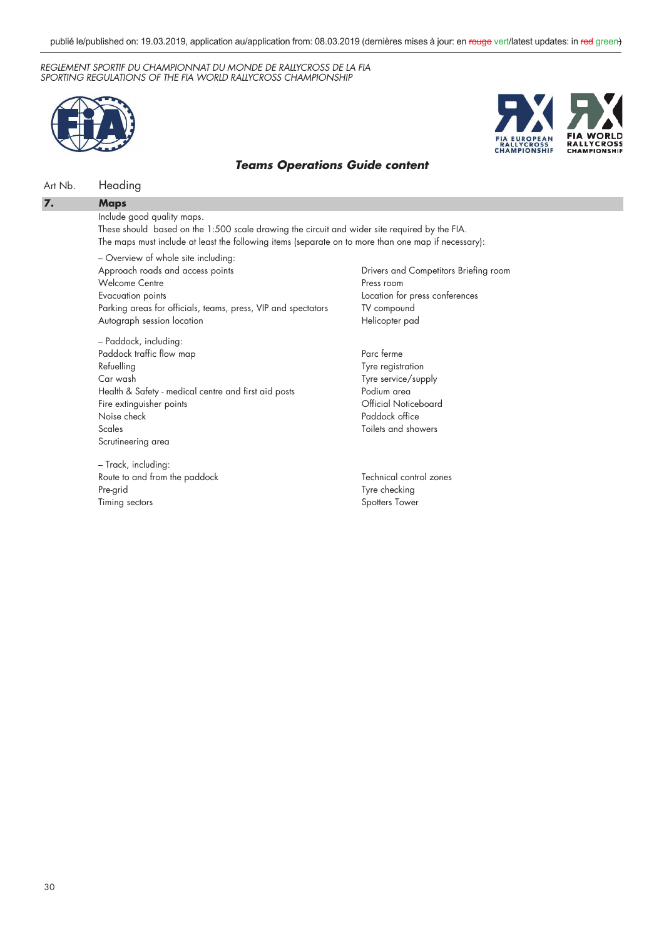



### *Teams Operations Guide content*

### Art Nb. Heading

#### **7. Maps**

Include good quality maps.

These should based on the 1:500 scale drawing the circuit and wider site required by the FIA. The maps must include at least the following items (separate on to more than one map if necessary):

– Overview of whole site including: Approach roads and access points Welcome Centre Evacuation points Parking areas for officials, teams, press, VIP and spectators Autograph session location

– Paddock, including: Paddock traffic flow map Refuelling Car wash Health & Safety - medical centre and first aid posts Fire extinguisher points Noise check Scales Scrutineering area

– Track, including: Route to and from the paddock Pre-grid Timing sectors

Drivers and Competitors Briefing room Press room Location for press conferences TV compound Helicopter pad

Parc ferme Tyre registration Tyre service/supply Podium area Official Noticeboard Paddock office Toilets and showers

Technical control zones Tyre checking Spotters Tower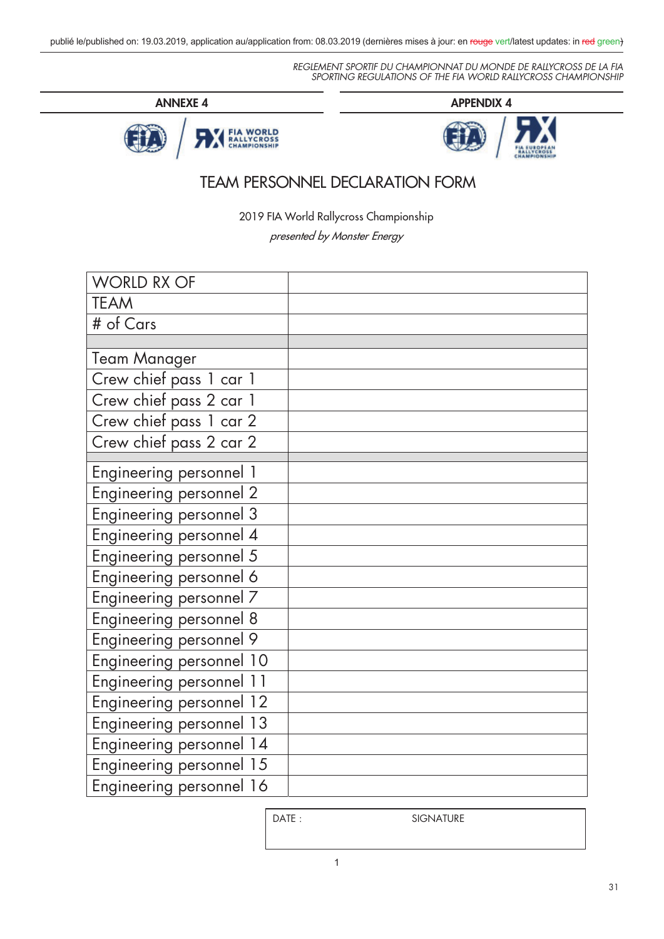





# TEAM PERSONNEL DECLARATION FORM

2019 FIA World Rallycross Championship

presented by Monster Energy

| <b>WORLD RX OF</b>       |  |
|--------------------------|--|
| <b>TEAM</b>              |  |
| # of Cars                |  |
|                          |  |
| <b>Team Manager</b>      |  |
| Crew chief pass 1 car 1  |  |
| Crew chief pass 2 car 1  |  |
| Crew chief pass 1 car 2  |  |
| Crew chief pass 2 car 2  |  |
| Engineering personnel 1  |  |
| Engineering personnel 2  |  |
| Engineering personnel 3  |  |
| Engineering personnel 4  |  |
| Engineering personnel 5  |  |
| Engineering personnel 6  |  |
| Engineering personnel 7  |  |
| Engineering personnel 8  |  |
| Engineering personnel 9  |  |
| Engineering personnel 10 |  |
| Engineering personnel 11 |  |
| Engineering personnel 12 |  |
| Engineering personnel 13 |  |
| Engineering personnel 14 |  |
| Engineering personnel 15 |  |
| Engineering personnel 16 |  |

SIGNATURE : SIGNATURE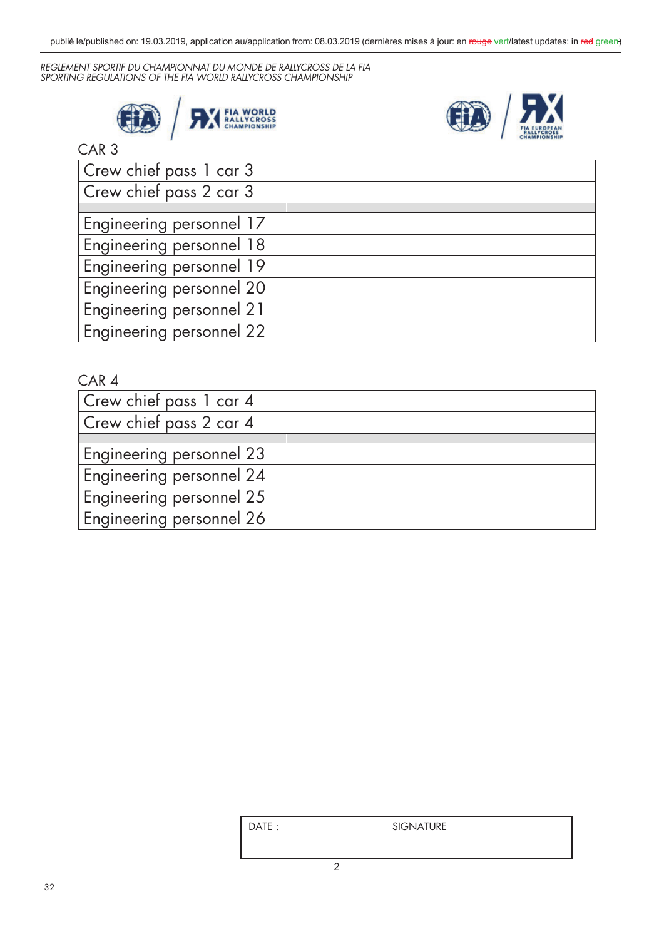



# CAR 3

| Crew chief pass 1 car 3  |  |
|--------------------------|--|
| Crew chief pass 2 car 3  |  |
|                          |  |
| Engineering personnel 17 |  |
| Engineering personnel 18 |  |
| Engineering personnel 19 |  |
| Engineering personnel 20 |  |
| Engineering personnel 21 |  |
| Engineering personnel 22 |  |
|                          |  |

| Crew chief pass 1 car 4  |  |
|--------------------------|--|
| Crew chief pass 2 car 4  |  |
|                          |  |
| Engineering personnel 23 |  |
| Engineering personnel 24 |  |
| Engineering personnel 25 |  |
| Engineering personnel 26 |  |
|                          |  |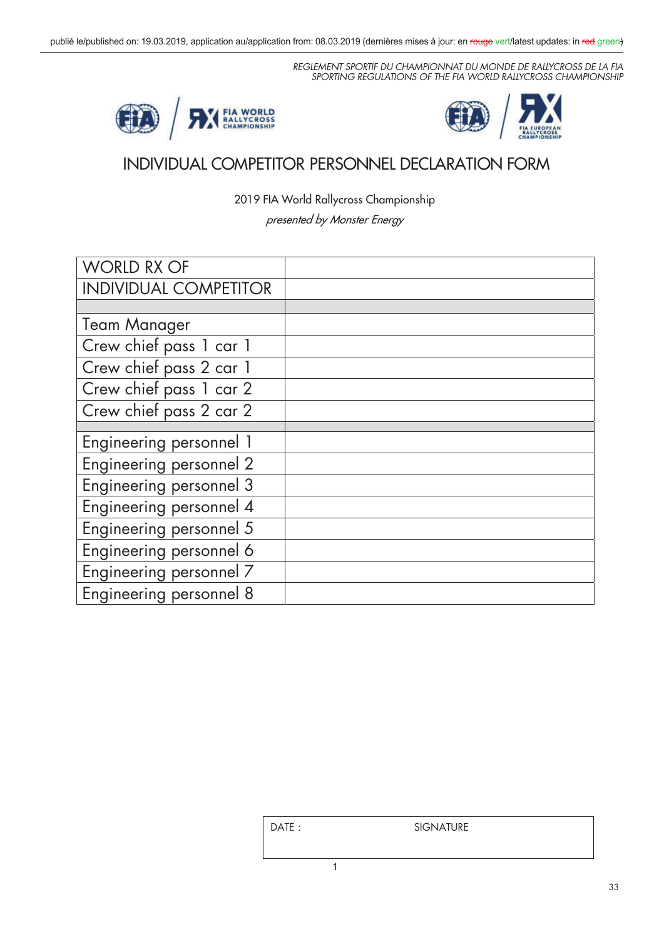



# INDIVIDUAL COMPETITOR PERSONNEL DECLARATION FORM

2019 FIA World Rallycross Championship

presented by Monster Energy

| <b>WORLD RX OF</b>                    |  |
|---------------------------------------|--|
| <b>INDIVIDUAL COMPETITOR</b>          |  |
|                                       |  |
| <b>Team Manager</b>                   |  |
| Crew chief pass 1 car 1               |  |
| Crew chief pass 2 car 1               |  |
| Crew chief pass 1 car 2               |  |
| $\overline{C}$ rew chief pass 2 car 2 |  |
|                                       |  |
| Engineering personnel 1               |  |
| Engineering personnel 2               |  |
| Engineering personnel 3               |  |
| Engineering personnel 4               |  |
| Engineering personnel 5               |  |
| Engineering personnel 6               |  |
| Engineering personnel 7               |  |
| Engineering personnel 8               |  |
|                                       |  |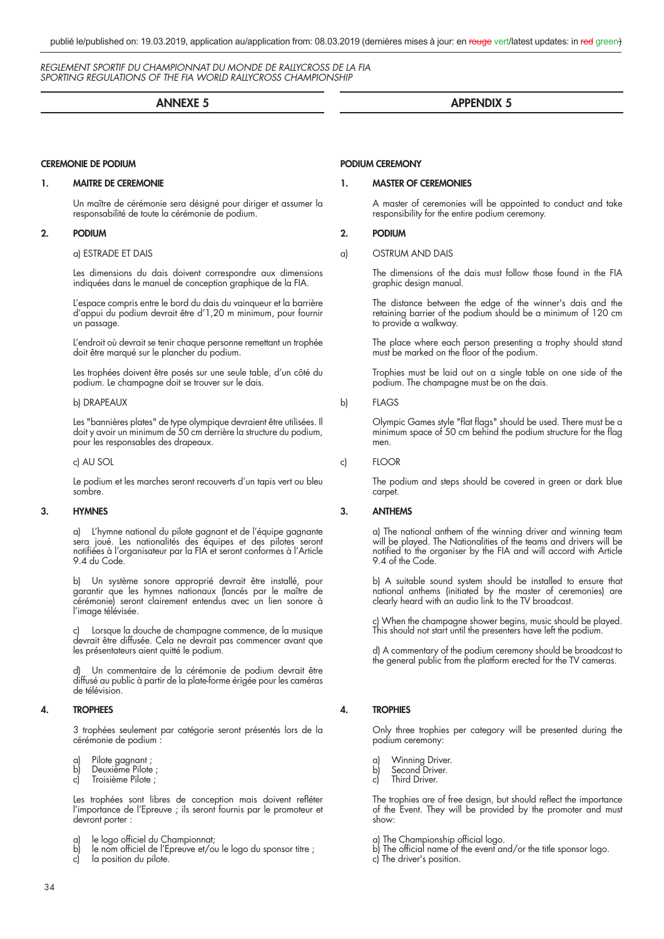#### **ANNEXE 5**

#### **CEREMONIE DE PODIUM**

#### **1. MAITRE DE CEREMONIE**

 Un maître de cérémonie sera désigné pour diriger et assumer la responsabilité de toute la cérémonie de podium.

#### **2. PODIUM**

#### a) ESTRADE ET DAIS

 Les dimensions du dais doivent correspondre aux dimensions indiquées dans le manuel de conception graphique de la FIA.

 L'espace compris entre le bord du dais du vainqueur et la barrière d'appui du podium devrait être d'1,20 m minimum, pour fournir un passage.

 L'endroit où devrait se tenir chaque personne remettant un trophée doit être marqué sur le plancher du podium.

 Les trophées doivent être posés sur une seule table, d'un côté du podium. Le champagne doit se trouver sur le dais.

#### b) DRAPEAUX

 Les "bannières plates" de type olympique devraient être utilisées. Il doit y avoir un minimum de 50 cm derrière la structure du podium, pour les responsables des drapeaux.

c) AU SOL

 Le podium et les marches seront recouverts d'un tapis vert ou bleu sombre.

#### **3. HYMNES**

 a) L'hymne national du pilote gagnant et de l'équipe gagnante sera joué. Les nationalités des équipes et des pilotes seront notifiées à l'organisateur par la FIA et seront conformes à l'Article 9.4 du Code.

 b) Un système sonore approprié devrait être installé, pour garantir que les hymnes nationaux (lancés par le maître de cérémonie) seront clairement entendus avec un lien sonore à l'image télévisée.

Lorsque la douche de champagne commence, de la musique devrait être diffusée. Cela ne devrait pas commencer avant que les présentateurs aient quitté le podium.

Un commentaire de la cérémonie de podium devrait être diffusé au public à partir de la plate-forme érigée pour les caméras de télévision.

#### **4. TROPHEES**

 3 trophées seulement par catégorie seront présentés lors de la cérémonie de podium :

- a) Pilote gagnant ;
- b) Deuxième Pilote ;
- c) Troisième Pilote ;

Les trophées sont libres de conception mais doivent refléter l'importance de l'Epreuve ; ils seront fournis par le promoteur et devront porter :

- a) le logo officiel du Championnat;
- b) le nom officiel de l'Epreuve et/ou le logo du sponsor titre ;
- c) la position du pilote.

# **APPENDIX 5**

#### **PODIUM CEREMONY**

#### **1. MASTER OF CEREMONIES**

 A master of ceremonies will be appointed to conduct and take responsibility for the entire podium ceremony.

#### **2. PODIUM**

#### a) OSTRUM AND DAIS

 The dimensions of the dais must follow those found in the FIA graphic design manual.

 The distance between the edge of the winner's dais and the retaining barrier of the podium should be a minimum of 120 cm to provide a walkway.

 The place where each person presenting a trophy should stand must be marked on the floor of the podium.

> Trophies must be laid out on a single table on one side of the podium. The champagne must be on the dais.

#### b) FLAGS

Olympic Games style "flat flags" should be used. There must be a minimum space of 50 cm behind the podium structure for the flag men.

c) FLOOR

 The podium and steps should be covered in green or dark blue carpet.

#### **3. ANTHEMS**

 a) The national anthem of the winning driver and winning team will be played. The Nationalities of the teams and drivers will be notified to the organiser by the FIA and will accord with Article 9.4 of the Code.

 b) A suitable sound system should be installed to ensure that national anthems (initiated by the master of ceremonies) are clearly heard with an audio link to the TV broadcast.

 c) When the champagne shower begins, music should be played. This should not start until the presenters have left the podium.

 d) A commentary of the podium ceremony should be broadcast to the general public from the platform erected for the TV cameras.

#### **4. TROPHIES**

 Only three trophies per category will be presented during the podium ceremony:

- 
- a) Winning Driver.<br>b) Second Driver. Second Driver.
- c) Third Driver.

The trophies are of free design, but should reflect the importance of the Event. They will be provided by the promoter and must show:

- a) The Championship official logo.
- b) The official name of the event and/or the title sponsor logo.
- c) The driver's position.